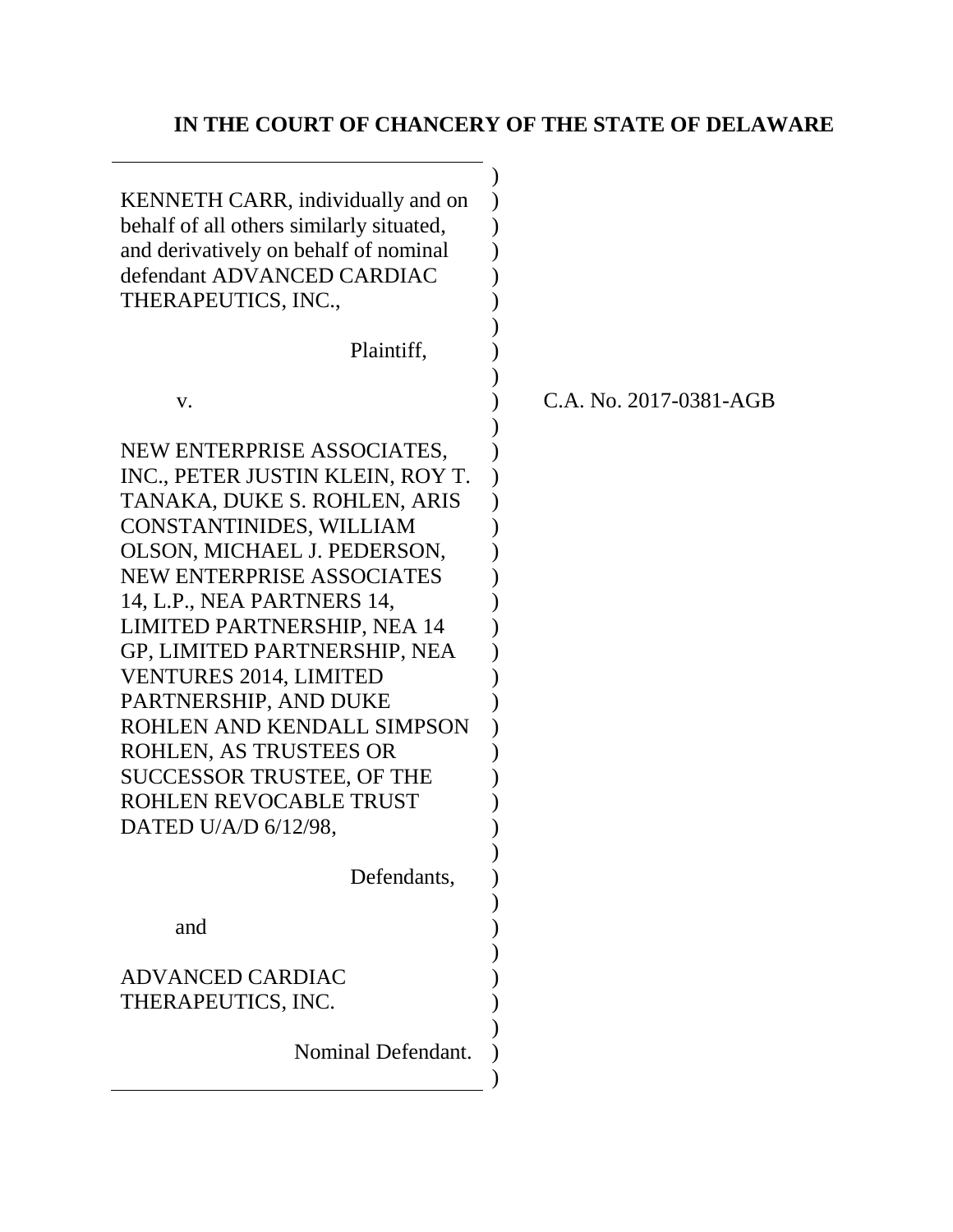# **IN THE COURT OF CHANCERY OF THE STATE OF DELAWARE**

| KENNETH CARR, individually and on<br>behalf of all others similarly situated,<br>and derivatively on behalf of nominal<br>defendant ADVANCED CARDIAC<br>THERAPEUTICS, INC.,<br>Plaintiff,                                                                                                                                                                                                                                                                                                                |                        |
|----------------------------------------------------------------------------------------------------------------------------------------------------------------------------------------------------------------------------------------------------------------------------------------------------------------------------------------------------------------------------------------------------------------------------------------------------------------------------------------------------------|------------------------|
| V.                                                                                                                                                                                                                                                                                                                                                                                                                                                                                                       | C.A. No. 2017-0381-AGB |
| NEW ENTERPRISE ASSOCIATES,<br>INC., PETER JUSTIN KLEIN, ROY T.<br>TANAKA, DUKE S. ROHLEN, ARIS<br>CONSTANTINIDES, WILLIAM<br>OLSON, MICHAEL J. PEDERSON,<br><b>NEW ENTERPRISE ASSOCIATES</b><br>14, L.P., NEA PARTNERS 14,<br><b>LIMITED PARTNERSHIP, NEA 14</b><br>GP, LIMITED PARTNERSHIP, NEA<br><b>VENTURES 2014, LIMITED</b><br>PARTNERSHIP, AND DUKE<br>ROHLEN AND KENDALL SIMPSON<br>ROHLEN, AS TRUSTEES OR<br><b>SUCCESSOR TRUSTEE, OF THE</b><br>ROHLEN REVOCABLE TRUST<br>DATED U/A/D 6/12/98, |                        |
| Defendants,                                                                                                                                                                                                                                                                                                                                                                                                                                                                                              |                        |
| and                                                                                                                                                                                                                                                                                                                                                                                                                                                                                                      |                        |
| <b>ADVANCED CARDIAC</b><br>THERAPEUTICS, INC.                                                                                                                                                                                                                                                                                                                                                                                                                                                            |                        |
| Nominal Defendant.                                                                                                                                                                                                                                                                                                                                                                                                                                                                                       |                        |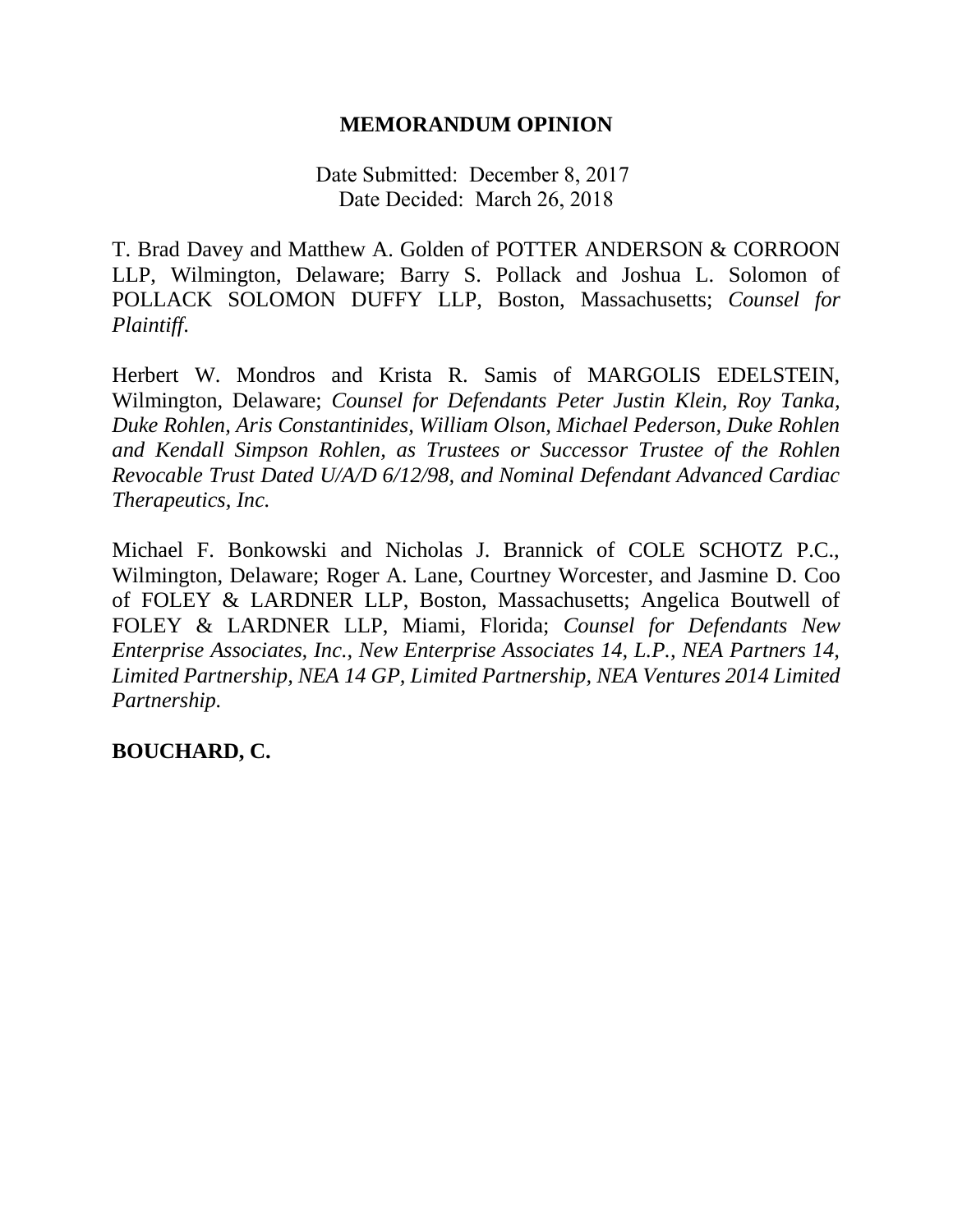### **MEMORANDUM OPINION**

Date Submitted: December 8, 2017 Date Decided: March 26, 2018

T. Brad Davey and Matthew A. Golden of POTTER ANDERSON & CORROON LLP, Wilmington, Delaware; Barry S. Pollack and Joshua L. Solomon of POLLACK SOLOMON DUFFY LLP, Boston, Massachusetts; *Counsel for Plaintiff*.

Herbert W. Mondros and Krista R. Samis of MARGOLIS EDELSTEIN, Wilmington, Delaware; *Counsel for Defendants Peter Justin Klein, Roy Tanka, Duke Rohlen, Aris Constantinides, William Olson, Michael Pederson, Duke Rohlen and Kendall Simpson Rohlen, as Trustees or Successor Trustee of the Rohlen Revocable Trust Dated U/A/D 6/12/98, and Nominal Defendant Advanced Cardiac Therapeutics, Inc.*

Michael F. Bonkowski and Nicholas J. Brannick of COLE SCHOTZ P.C., Wilmington, Delaware; Roger A. Lane, Courtney Worcester, and Jasmine D. Coo of FOLEY & LARDNER LLP, Boston, Massachusetts; Angelica Boutwell of FOLEY & LARDNER LLP, Miami, Florida; *Counsel for Defendants New Enterprise Associates, Inc., New Enterprise Associates 14, L.P., NEA Partners 14, Limited Partnership, NEA 14 GP, Limited Partnership, NEA Ventures 2014 Limited Partnership.*

# **BOUCHARD, C.**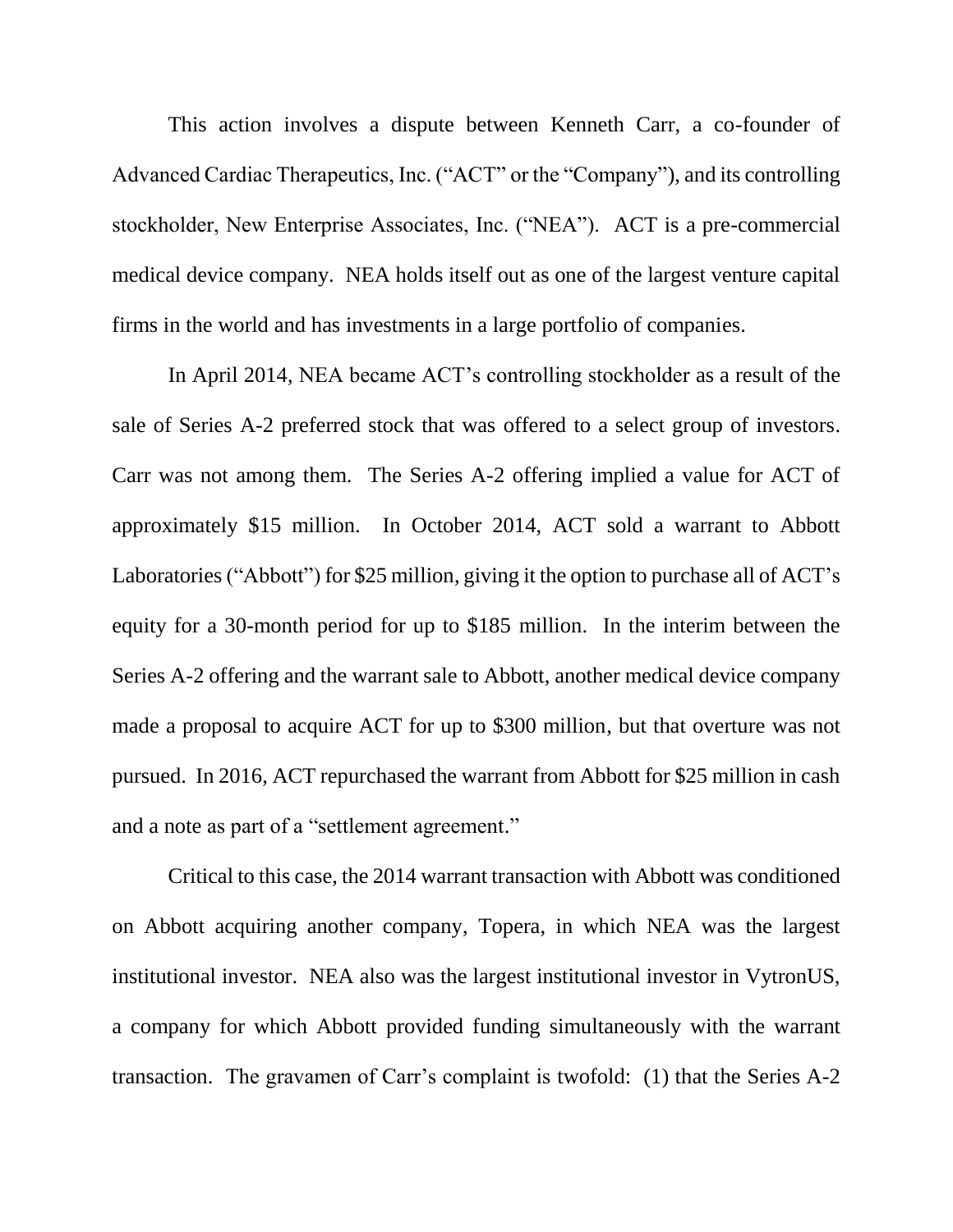This action involves a dispute between Kenneth Carr, a co-founder of Advanced Cardiac Therapeutics, Inc. ("ACT" or the "Company"), and its controlling stockholder, New Enterprise Associates, Inc. ("NEA"). ACT is a pre-commercial medical device company. NEA holds itself out as one of the largest venture capital firms in the world and has investments in a large portfolio of companies.

In April 2014, NEA became ACT's controlling stockholder as a result of the sale of Series A-2 preferred stock that was offered to a select group of investors. Carr was not among them. The Series A-2 offering implied a value for ACT of approximately \$15 million. In October 2014, ACT sold a warrant to Abbott Laboratories ("Abbott") for \$25 million, giving it the option to purchase all of ACT's equity for a 30-month period for up to \$185 million. In the interim between the Series A-2 offering and the warrant sale to Abbott, another medical device company made a proposal to acquire ACT for up to \$300 million, but that overture was not pursued. In 2016, ACT repurchased the warrant from Abbott for \$25 million in cash and a note as part of a "settlement agreement."

Critical to this case, the 2014 warrant transaction with Abbott was conditioned on Abbott acquiring another company, Topera, in which NEA was the largest institutional investor. NEA also was the largest institutional investor in VytronUS, a company for which Abbott provided funding simultaneously with the warrant transaction. The gravamen of Carr's complaint is twofold: (1) that the Series A-2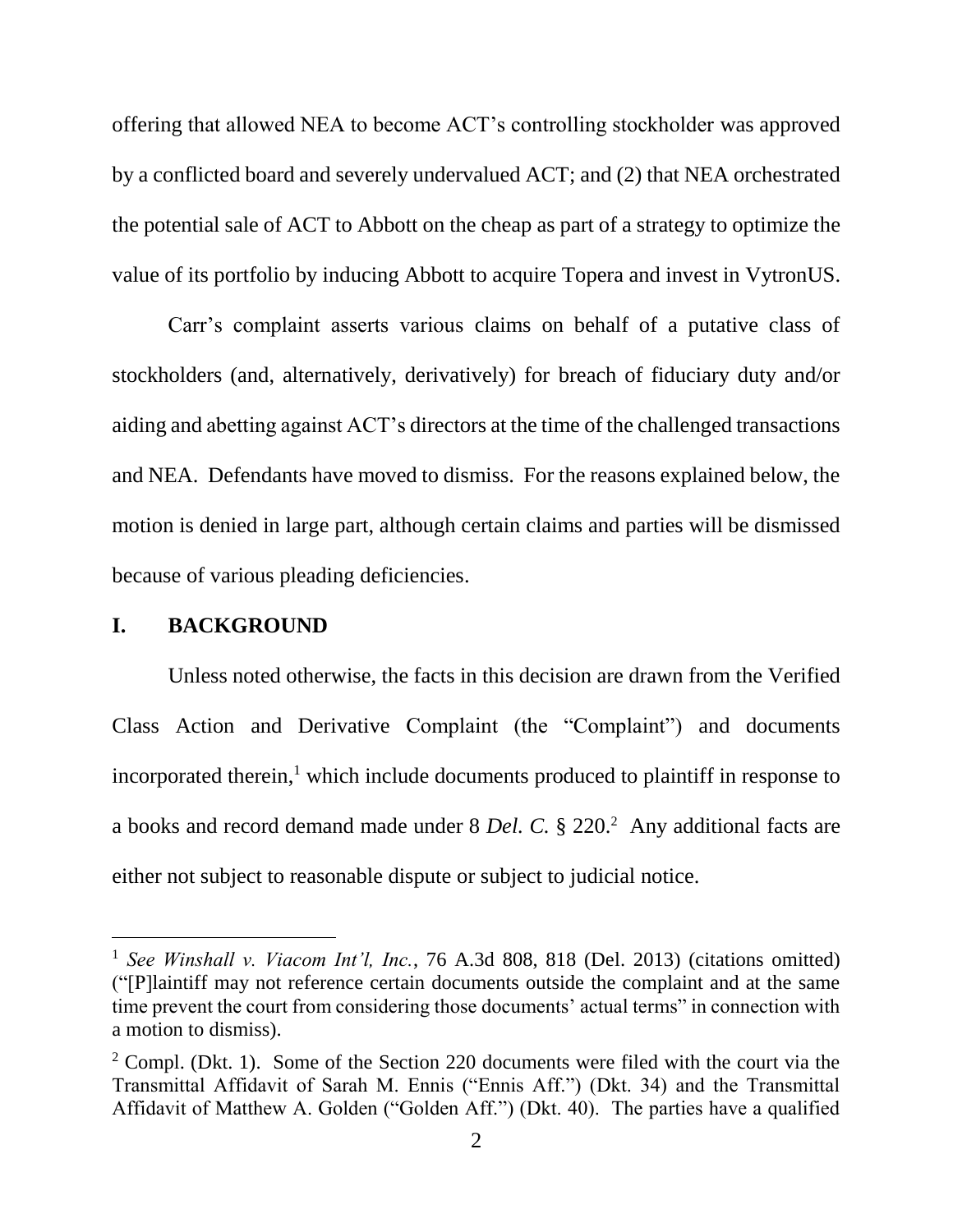offering that allowed NEA to become ACT's controlling stockholder was approved by a conflicted board and severely undervalued ACT; and (2) that NEA orchestrated the potential sale of ACT to Abbott on the cheap as part of a strategy to optimize the value of its portfolio by inducing Abbott to acquire Topera and invest in VytronUS.

Carr's complaint asserts various claims on behalf of a putative class of stockholders (and, alternatively, derivatively) for breach of fiduciary duty and/or aiding and abetting against ACT's directors at the time of the challenged transactions and NEA. Defendants have moved to dismiss. For the reasons explained below, the motion is denied in large part, although certain claims and parties will be dismissed because of various pleading deficiencies.

#### **I. BACKGROUND**

 $\overline{a}$ 

Unless noted otherwise, the facts in this decision are drawn from the Verified Class Action and Derivative Complaint (the "Complaint") and documents incorporated therein, <sup>1</sup> which include documents produced to plaintiff in response to a books and record demand made under 8 *Del. C.* § 220.<sup>2</sup> Any additional facts are either not subject to reasonable dispute or subject to judicial notice.

<sup>1</sup> *See Winshall v. Viacom Int'l, Inc.*, 76 A.3d 808, 818 (Del. 2013) (citations omitted) ("[P]laintiff may not reference certain documents outside the complaint and at the same time prevent the court from considering those documents' actual terms" in connection with a motion to dismiss).

 $2^{\circ}$  Compl. (Dkt. 1). Some of the Section 220 documents were filed with the court via the Transmittal Affidavit of Sarah M. Ennis ("Ennis Aff.") (Dkt. 34) and the Transmittal Affidavit of Matthew A. Golden ("Golden Aff.") (Dkt. 40). The parties have a qualified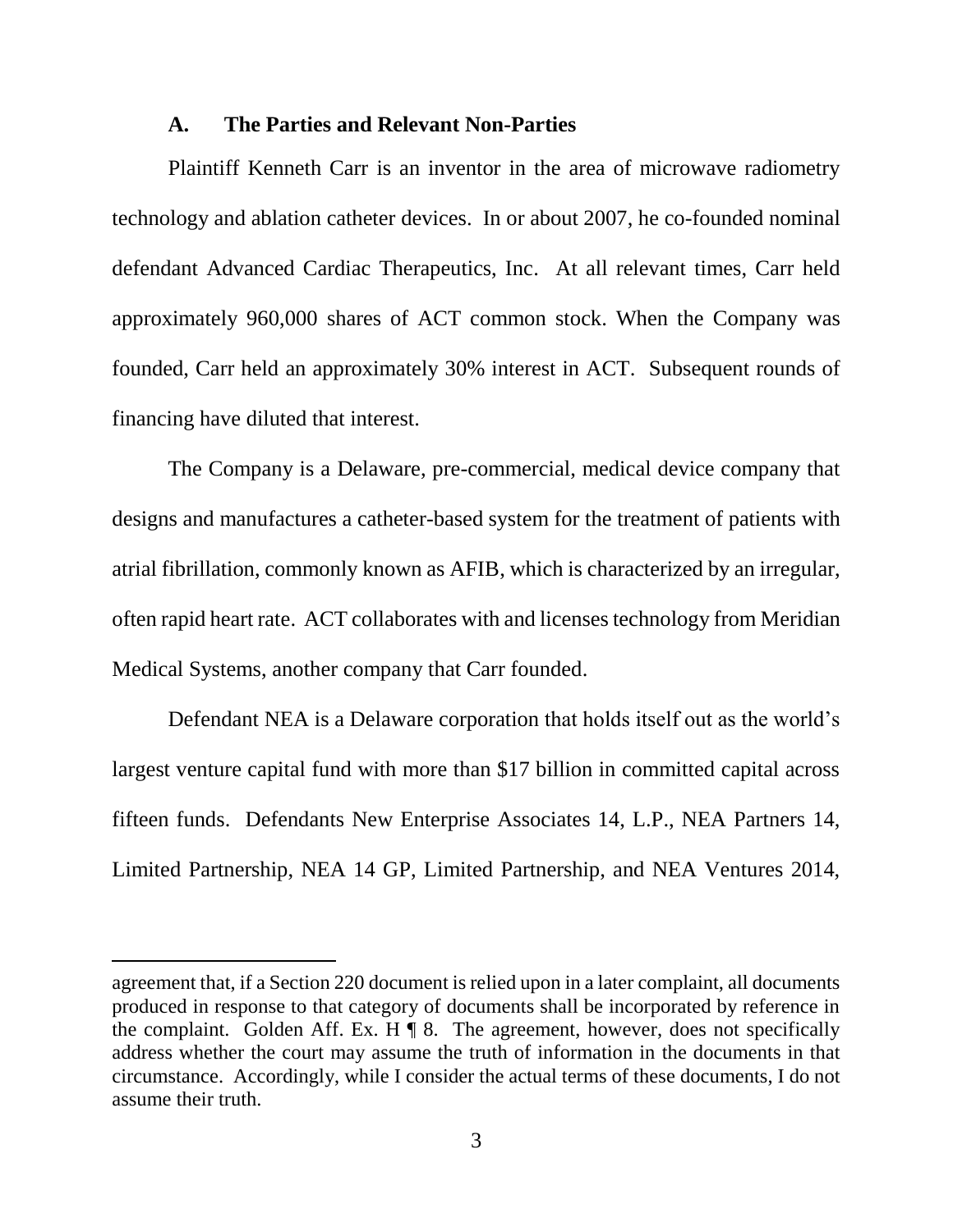#### **A. The Parties and Relevant Non-Parties**

Plaintiff Kenneth Carr is an inventor in the area of microwave radiometry technology and ablation catheter devices. In or about 2007, he co-founded nominal defendant Advanced Cardiac Therapeutics, Inc. At all relevant times, Carr held approximately 960,000 shares of ACT common stock. When the Company was founded, Carr held an approximately 30% interest in ACT. Subsequent rounds of financing have diluted that interest.

The Company is a Delaware, pre-commercial, medical device company that designs and manufactures a catheter-based system for the treatment of patients with atrial fibrillation, commonly known as AFIB, which is characterized by an irregular, often rapid heart rate. ACT collaborates with and licenses technology from Meridian Medical Systems, another company that Carr founded.

Defendant NEA is a Delaware corporation that holds itself out as the world's largest venture capital fund with more than \$17 billion in committed capital across fifteen funds. Defendants New Enterprise Associates 14, L.P., NEA Partners 14, Limited Partnership, NEA 14 GP, Limited Partnership, and NEA Ventures 2014,

agreement that, if a Section 220 document is relied upon in a later complaint, all documents produced in response to that category of documents shall be incorporated by reference in the complaint. Golden Aff. Ex. H  $\P$  8. The agreement, however, does not specifically address whether the court may assume the truth of information in the documents in that circumstance. Accordingly, while I consider the actual terms of these documents, I do not assume their truth.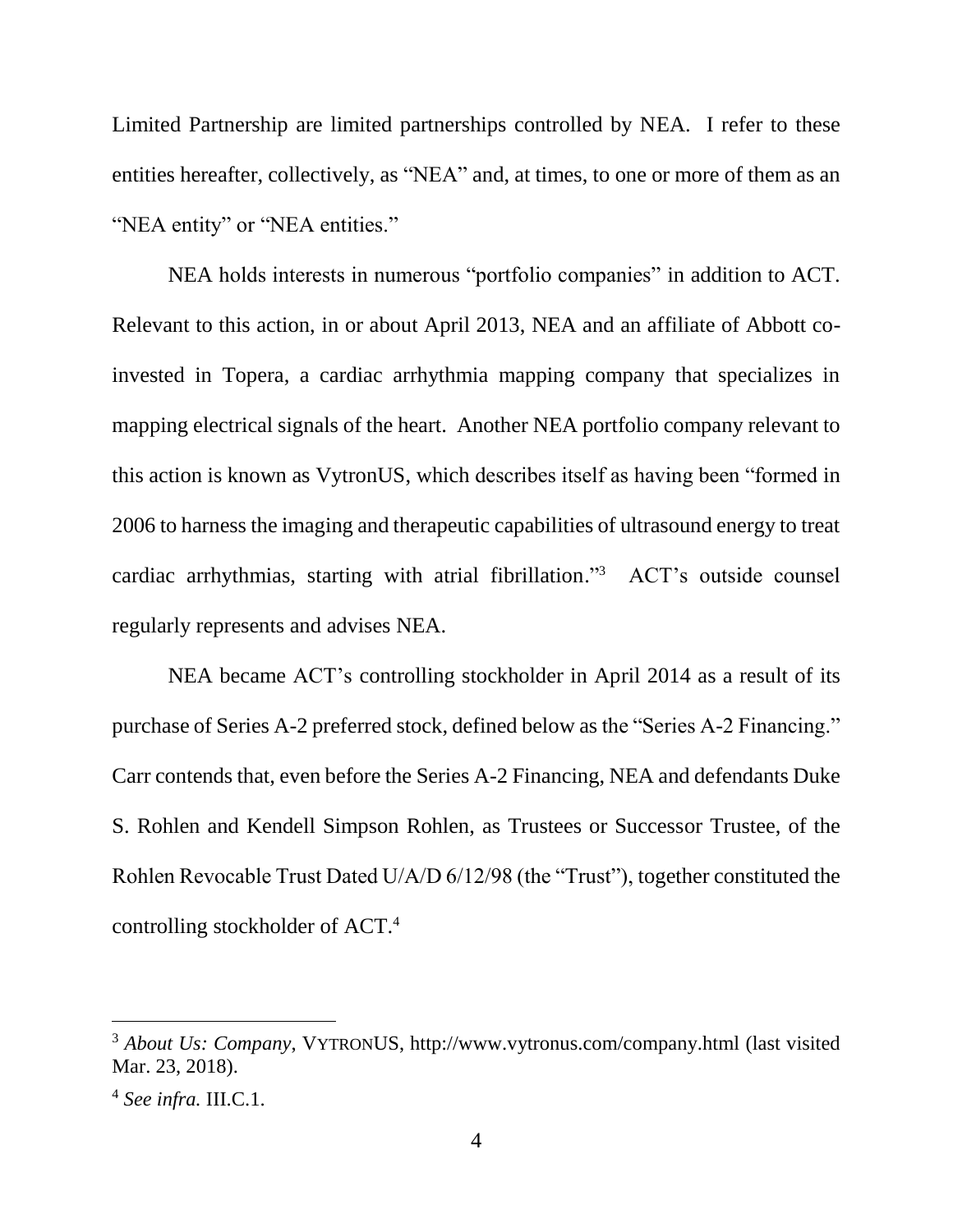Limited Partnership are limited partnerships controlled by NEA. I refer to these entities hereafter, collectively, as "NEA" and, at times, to one or more of them as an "NEA entity" or "NEA entities."

NEA holds interests in numerous "portfolio companies" in addition to ACT. Relevant to this action, in or about April 2013, NEA and an affiliate of Abbott coinvested in Topera, a cardiac arrhythmia mapping company that specializes in mapping electrical signals of the heart. Another NEA portfolio company relevant to this action is known as VytronUS, which describes itself as having been "formed in 2006 to harness the imaging and therapeutic capabilities of ultrasound energy to treat cardiac arrhythmias, starting with atrial fibrillation." 3 ACT's outside counsel regularly represents and advises NEA.

NEA became ACT's controlling stockholder in April 2014 as a result of its purchase of Series A-2 preferred stock, defined below as the "Series A-2 Financing." Carr contends that, even before the Series A-2 Financing, NEA and defendants Duke S. Rohlen and Kendell Simpson Rohlen, as Trustees or Successor Trustee, of the Rohlen Revocable Trust Dated U/A/D 6/12/98 (the "Trust"), together constituted the controlling stockholder of ACT. 4

<sup>3</sup> *About Us: Company*, VYTRONUS, http://www.vytronus.com/company.html (last visited Mar. 23, 2018).

<sup>4</sup> *See infra.* III.C.1.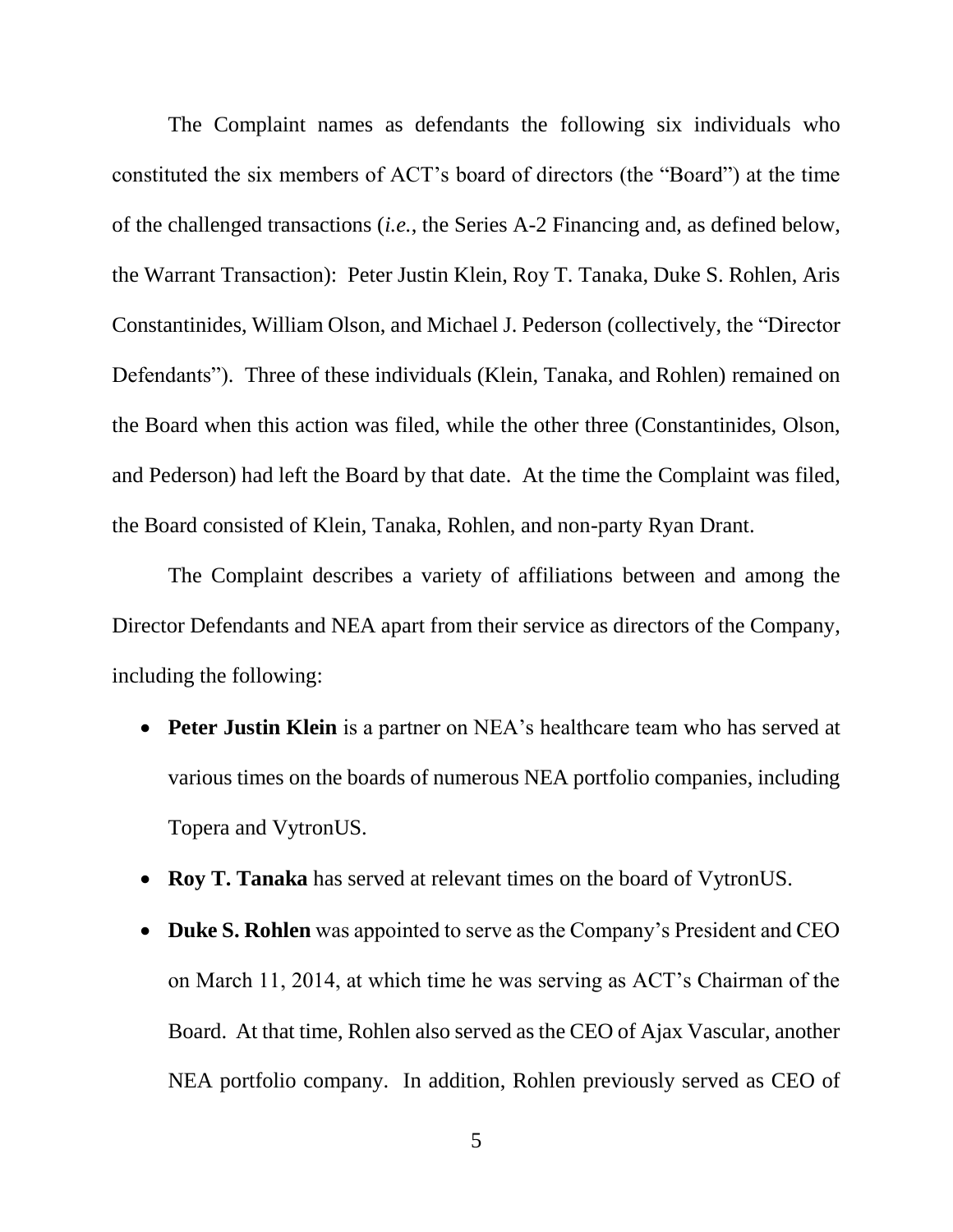The Complaint names as defendants the following six individuals who constituted the six members of ACT's board of directors (the "Board") at the time of the challenged transactions (*i.e.*, the Series A-2 Financing and, as defined below, the Warrant Transaction): Peter Justin Klein, Roy T. Tanaka, Duke S. Rohlen, Aris Constantinides, William Olson, and Michael J. Pederson (collectively, the "Director Defendants"). Three of these individuals (Klein, Tanaka, and Rohlen) remained on the Board when this action was filed, while the other three (Constantinides, Olson, and Pederson) had left the Board by that date. At the time the Complaint was filed, the Board consisted of Klein, Tanaka, Rohlen, and non-party Ryan Drant.

The Complaint describes a variety of affiliations between and among the Director Defendants and NEA apart from their service as directors of the Company, including the following:

- **Peter Justin Klein** is a partner on NEA's healthcare team who has served at various times on the boards of numerous NEA portfolio companies, including Topera and VytronUS.
- **Roy T. Tanaka** has served at relevant times on the board of VytronUS.
- **Duke S. Rohlen** was appointed to serve as the Company's President and CEO on March 11, 2014, at which time he was serving as ACT's Chairman of the Board. At that time, Rohlen also served as the CEO of Ajax Vascular, another NEA portfolio company. In addition, Rohlen previously served as CEO of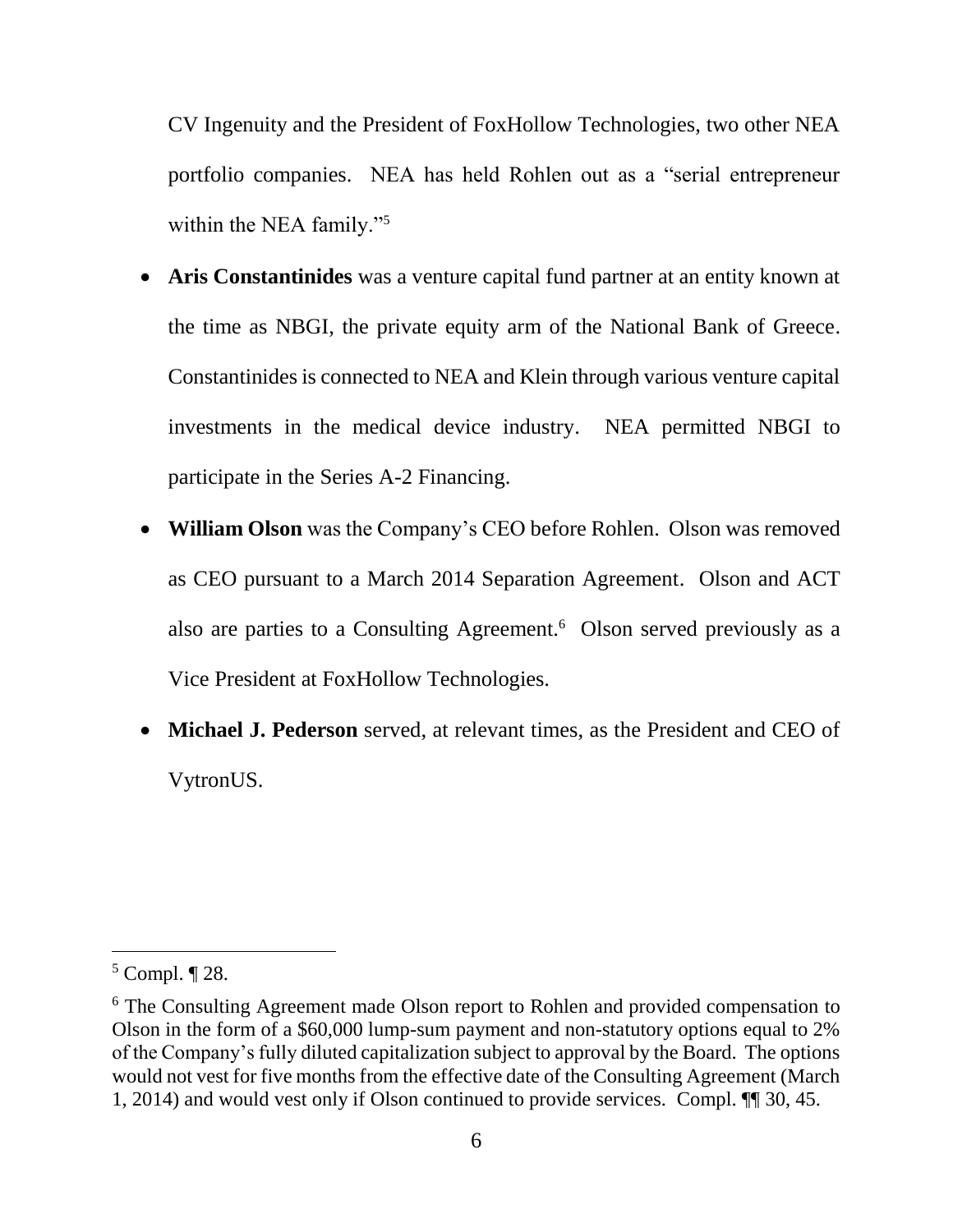CV Ingenuity and the President of FoxHollow Technologies, two other NEA portfolio companies. NEA has held Rohlen out as a "serial entrepreneur within the NEA family."<sup>5</sup>

- **Aris Constantinides** was a venture capital fund partner at an entity known at the time as NBGI, the private equity arm of the National Bank of Greece. Constantinides is connected to NEA and Klein through various venture capital investments in the medical device industry. NEA permitted NBGI to participate in the Series A-2 Financing.
- **William Olson** was the Company's CEO before Rohlen. Olson was removed as CEO pursuant to a March 2014 Separation Agreement. Olson and ACT also are parties to a Consulting Agreement.<sup>6</sup> Olson served previously as a Vice President at FoxHollow Technologies.
- **Michael J. Pederson** served, at relevant times, as the President and CEO of VytronUS.

 $5$  Compl.  $\P$  28.

<sup>6</sup> The Consulting Agreement made Olson report to Rohlen and provided compensation to Olson in the form of a \$60,000 lump-sum payment and non-statutory options equal to 2% of the Company's fully diluted capitalization subject to approval by the Board. The options would not vest for five months from the effective date of the Consulting Agreement (March 1, 2014) and would vest only if Olson continued to provide services. Compl. ¶¶ 30, 45.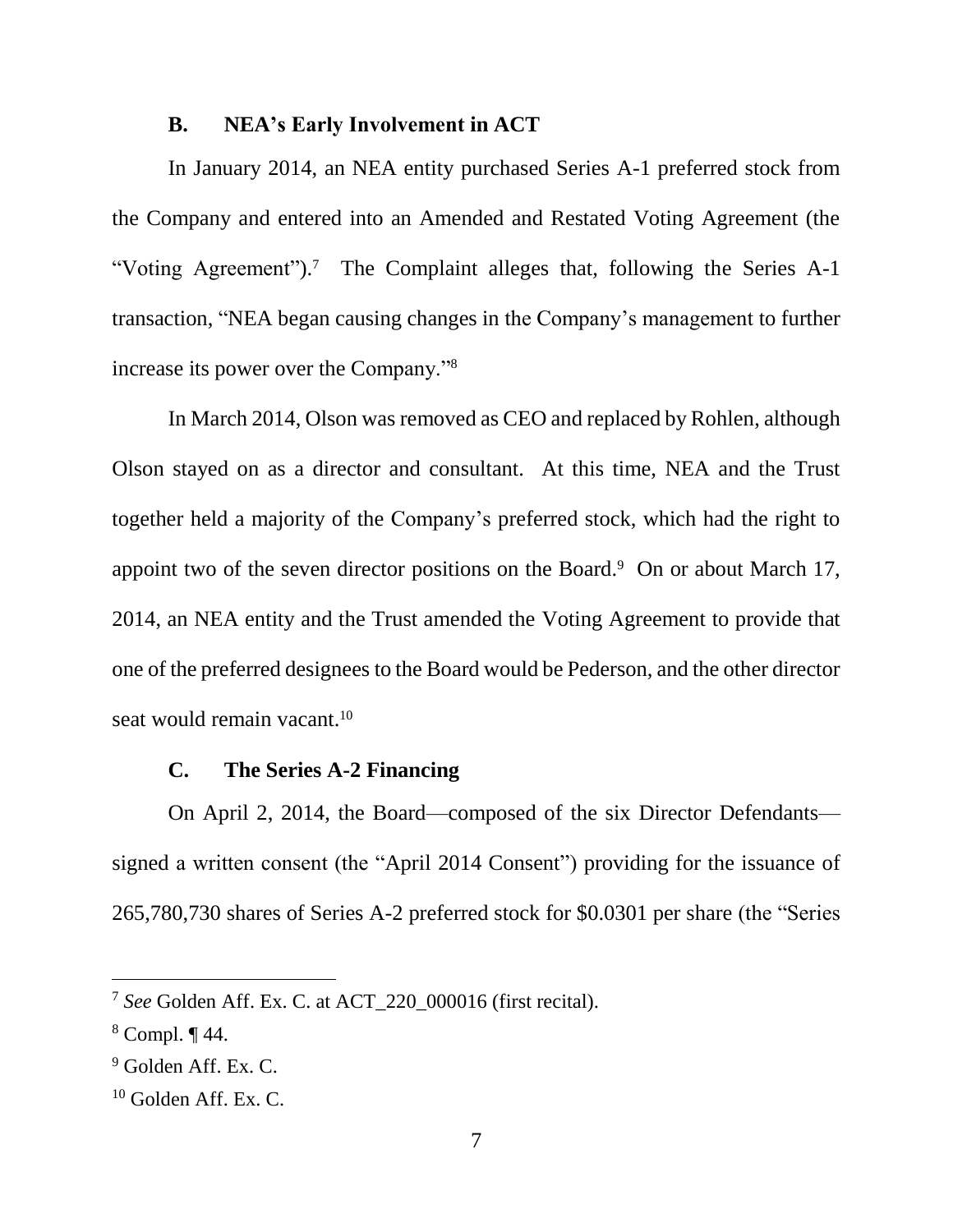#### **B. NEA's Early Involvement in ACT**

In January 2014, an NEA entity purchased Series A-1 preferred stock from the Company and entered into an Amended and Restated Voting Agreement (the "Voting Agreement").<sup>7</sup> The Complaint alleges that, following the Series A-1 transaction, "NEA began causing changes in the Company's management to further increase its power over the Company."<sup>8</sup>

In March 2014, Olson was removed as CEO and replaced by Rohlen, although Olson stayed on as a director and consultant. At this time, NEA and the Trust together held a majority of the Company's preferred stock, which had the right to appoint two of the seven director positions on the Board. $9$  On or about March 17, 2014, an NEA entity and the Trust amended the Voting Agreement to provide that one of the preferred designees to the Board would be Pederson, and the other director seat would remain vacant.<sup>10</sup>

### **C. The Series A-2 Financing**

On April 2, 2014, the Board—composed of the six Director Defendants signed a written consent (the "April 2014 Consent") providing for the issuance of 265,780,730 shares of Series A-2 preferred stock for \$0.0301 per share (the "Series

<sup>7</sup> *See* Golden Aff. Ex. C. at ACT\_220\_000016 (first recital).

 $8$  Compl.  $\P$  44.

<sup>&</sup>lt;sup>9</sup> Golden Aff. Ex. C.

 $10$  Golden Aff. Ex. C.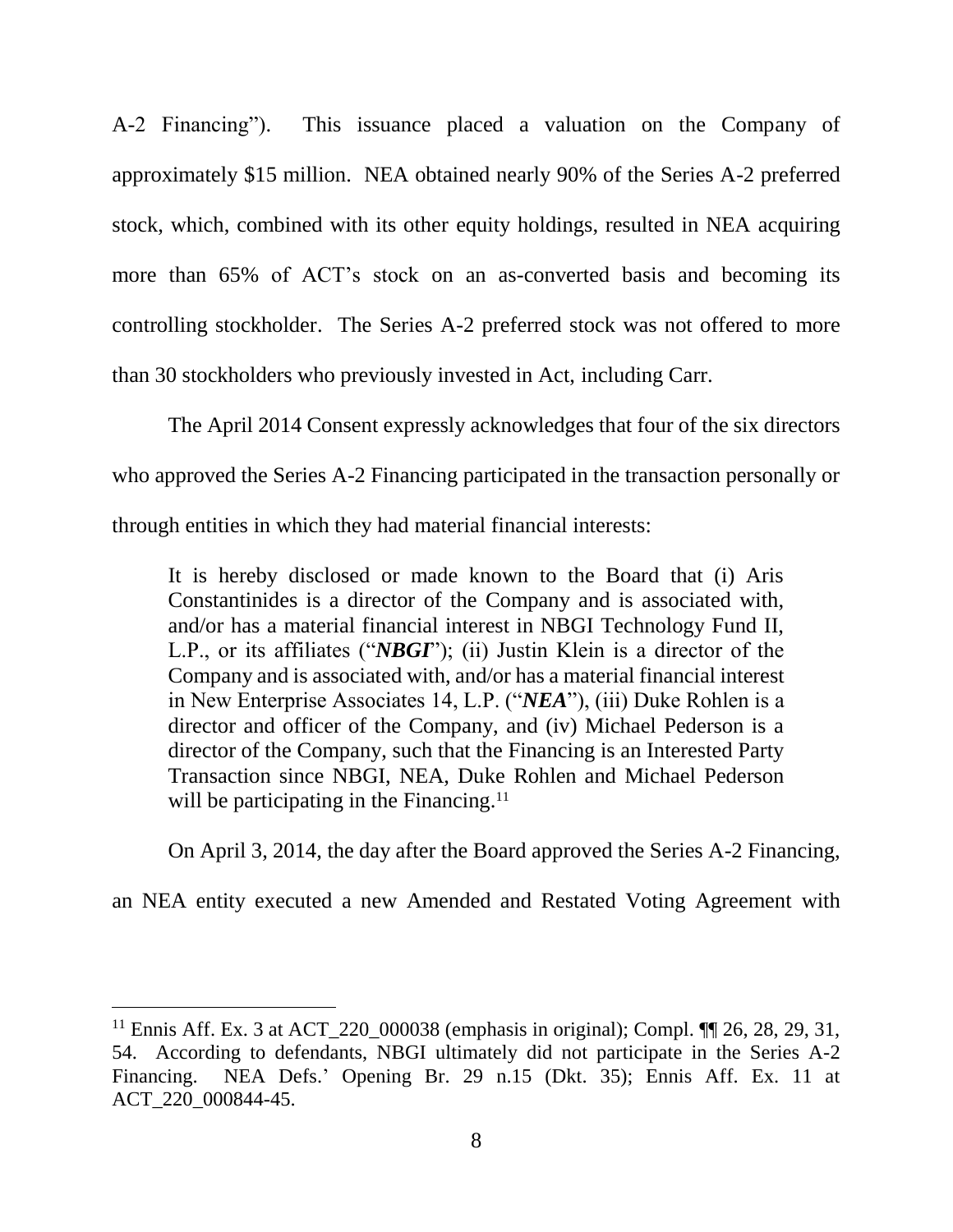A-2 Financing"). This issuance placed a valuation on the Company of approximately \$15 million. NEA obtained nearly 90% of the Series A-2 preferred stock, which, combined with its other equity holdings, resulted in NEA acquiring more than 65% of ACT's stock on an as-converted basis and becoming its controlling stockholder. The Series A-2 preferred stock was not offered to more than 30 stockholders who previously invested in Act, including Carr.

The April 2014 Consent expressly acknowledges that four of the six directors who approved the Series A-2 Financing participated in the transaction personally or through entities in which they had material financial interests:

It is hereby disclosed or made known to the Board that (i) Aris Constantinides is a director of the Company and is associated with, and/or has a material financial interest in NBGI Technology Fund II, L.P., or its affiliates ("*NBGI*"); (ii) Justin Klein is a director of the Company and is associated with, and/or has a material financial interest in New Enterprise Associates 14, L.P. ("*NEA*"), (iii) Duke Rohlen is a director and officer of the Company, and (iv) Michael Pederson is a director of the Company, such that the Financing is an Interested Party Transaction since NBGI, NEA, Duke Rohlen and Michael Pederson will be participating in the Financing.<sup>11</sup>

On April 3, 2014, the day after the Board approved the Series A-2 Financing,

an NEA entity executed a new Amended and Restated Voting Agreement with

<sup>&</sup>lt;sup>11</sup> Ennis Aff. Ex. 3 at ACT 220 000038 (emphasis in original); Compl.  $\P\P$  26, 28, 29, 31, 54. According to defendants, NBGI ultimately did not participate in the Series A-2 Financing. NEA Defs.' Opening Br. 29 n.15 (Dkt. 35); Ennis Aff. Ex. 11 at ACT\_220\_000844-45.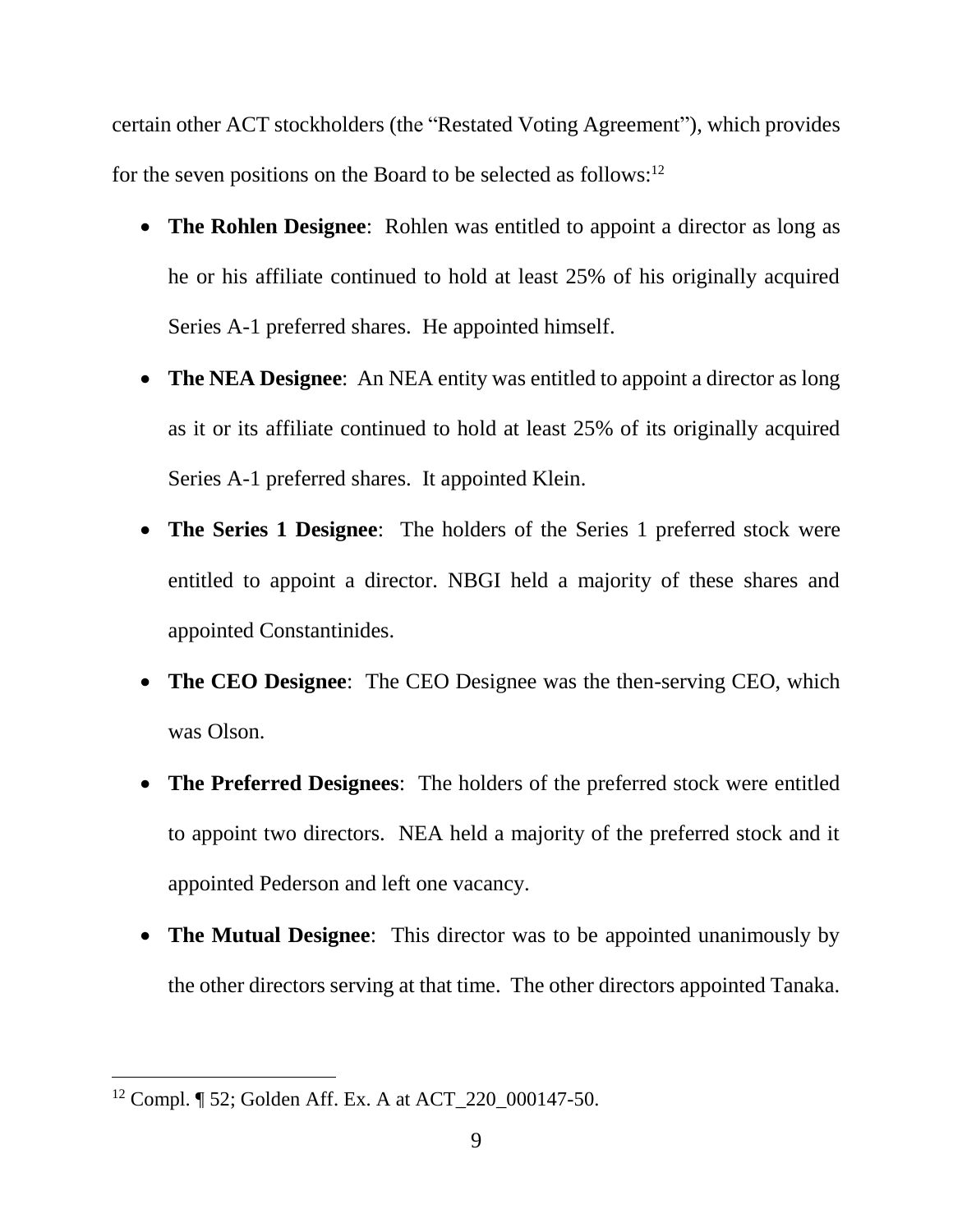certain other ACT stockholders (the "Restated Voting Agreement"), which provides for the seven positions on the Board to be selected as follows:<sup>12</sup>

- **The Rohlen Designee**: Rohlen was entitled to appoint a director as long as he or his affiliate continued to hold at least 25% of his originally acquired Series A-1 preferred shares. He appointed himself.
- **The NEA Designee**: An NEA entity was entitled to appoint a director as long as it or its affiliate continued to hold at least 25% of its originally acquired Series A-1 preferred shares. It appointed Klein.
- **The Series 1 Designee**: The holders of the Series 1 preferred stock were entitled to appoint a director. NBGI held a majority of these shares and appointed Constantinides.
- **The CEO Designee**: The CEO Designee was the then-serving CEO, which was Olson.
- **The Preferred Designees**: The holders of the preferred stock were entitled to appoint two directors. NEA held a majority of the preferred stock and it appointed Pederson and left one vacancy.
- **The Mutual Designee**: This director was to be appointed unanimously by the other directors serving at that time. The other directors appointed Tanaka.

<sup>12</sup> Compl. ¶ 52; Golden Aff. Ex. A at ACT\_220\_000147-50.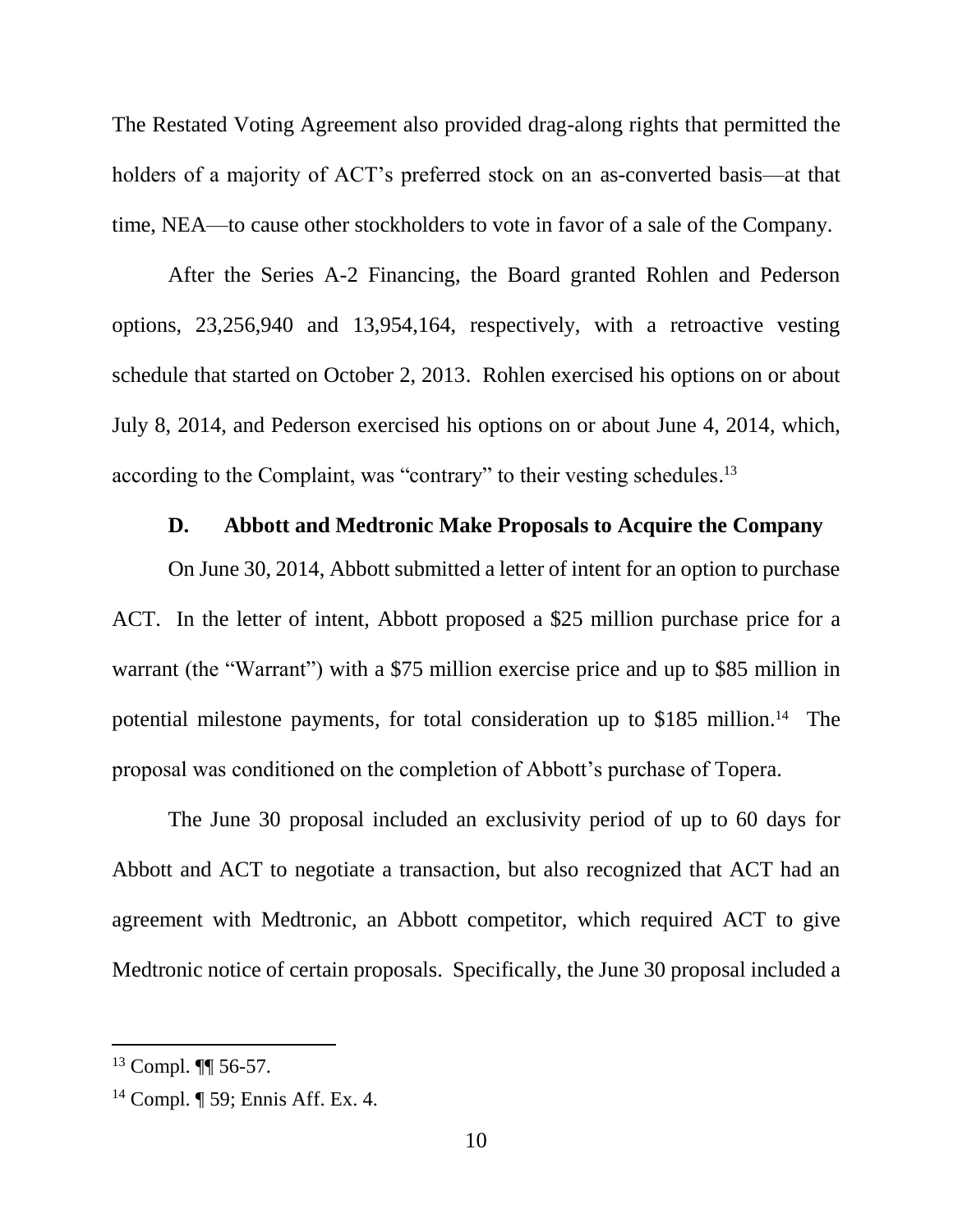The Restated Voting Agreement also provided drag-along rights that permitted the holders of a majority of ACT's preferred stock on an as-converted basis—at that time, NEA—to cause other stockholders to vote in favor of a sale of the Company.

After the Series A-2 Financing, the Board granted Rohlen and Pederson options, 23,256,940 and 13,954,164, respectively, with a retroactive vesting schedule that started on October 2, 2013. Rohlen exercised his options on or about July 8, 2014, and Pederson exercised his options on or about June 4, 2014, which, according to the Complaint, was "contrary" to their vesting schedules. 13

### **D. Abbott and Medtronic Make Proposals to Acquire the Company**

On June 30, 2014, Abbott submitted a letter of intent for an option to purchase ACT. In the letter of intent, Abbott proposed a \$25 million purchase price for a warrant (the "Warrant") with a \$75 million exercise price and up to \$85 million in potential milestone payments, for total consideration up to \$185 million.<sup>14</sup> The proposal was conditioned on the completion of Abbott's purchase of Topera.

The June 30 proposal included an exclusivity period of up to 60 days for Abbott and ACT to negotiate a transaction, but also recognized that ACT had an agreement with Medtronic, an Abbott competitor, which required ACT to give Medtronic notice of certain proposals. Specifically, the June 30 proposal included a

<sup>13</sup> Compl. ¶¶ 56-57.

<sup>14</sup> Compl. ¶ 59; Ennis Aff. Ex. 4.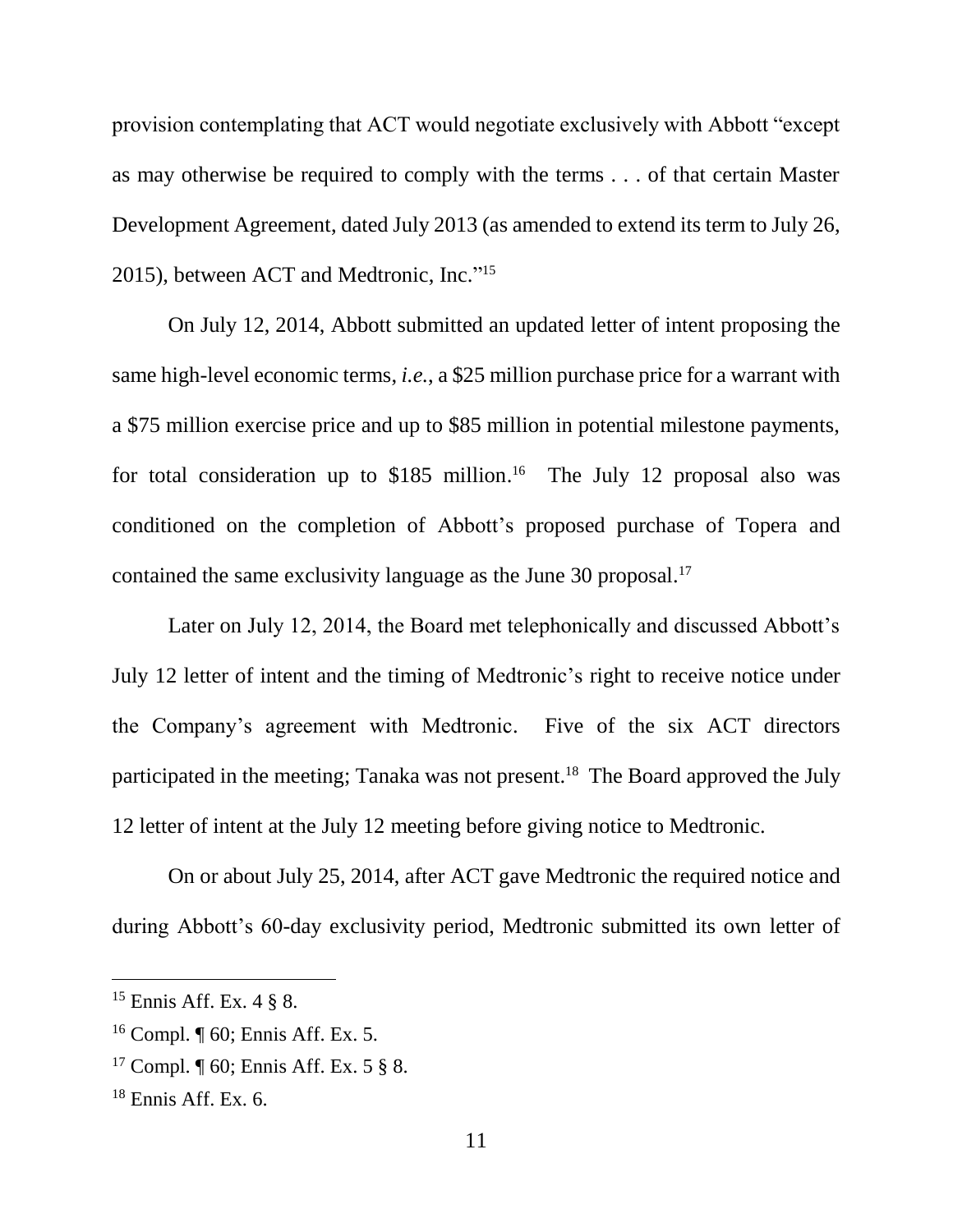provision contemplating that ACT would negotiate exclusively with Abbott "except as may otherwise be required to comply with the terms . . . of that certain Master Development Agreement, dated July 2013 (as amended to extend its term to July 26, 2015), between ACT and Medtronic, Inc." 15

On July 12, 2014, Abbott submitted an updated letter of intent proposing the same high-level economic terms, *i.e.*, a \$25 million purchase price for a warrant with a \$75 million exercise price and up to \$85 million in potential milestone payments, for total consideration up to \$185 million. <sup>16</sup> The July 12 proposal also was conditioned on the completion of Abbott's proposed purchase of Topera and contained the same exclusivity language as the June 30 proposal. 17

Later on July 12, 2014, the Board met telephonically and discussed Abbott's July 12 letter of intent and the timing of Medtronic's right to receive notice under the Company's agreement with Medtronic. Five of the six ACT directors participated in the meeting; Tanaka was not present.<sup>18</sup> The Board approved the July 12 letter of intent at the July 12 meeting before giving notice to Medtronic.

On or about July 25, 2014, after ACT gave Medtronic the required notice and during Abbott's 60-day exclusivity period, Medtronic submitted its own letter of

<sup>&</sup>lt;sup>15</sup> Ennis Aff. Ex.  $4 \frac{8}{9}$  8.

<sup>16</sup> Compl. ¶ 60; Ennis Aff. Ex. 5.

<sup>&</sup>lt;sup>17</sup> Compl.  $\P$  60; Ennis Aff. Ex. 5  $\S$  8.

 $18$  Ennis Aff. Ex. 6.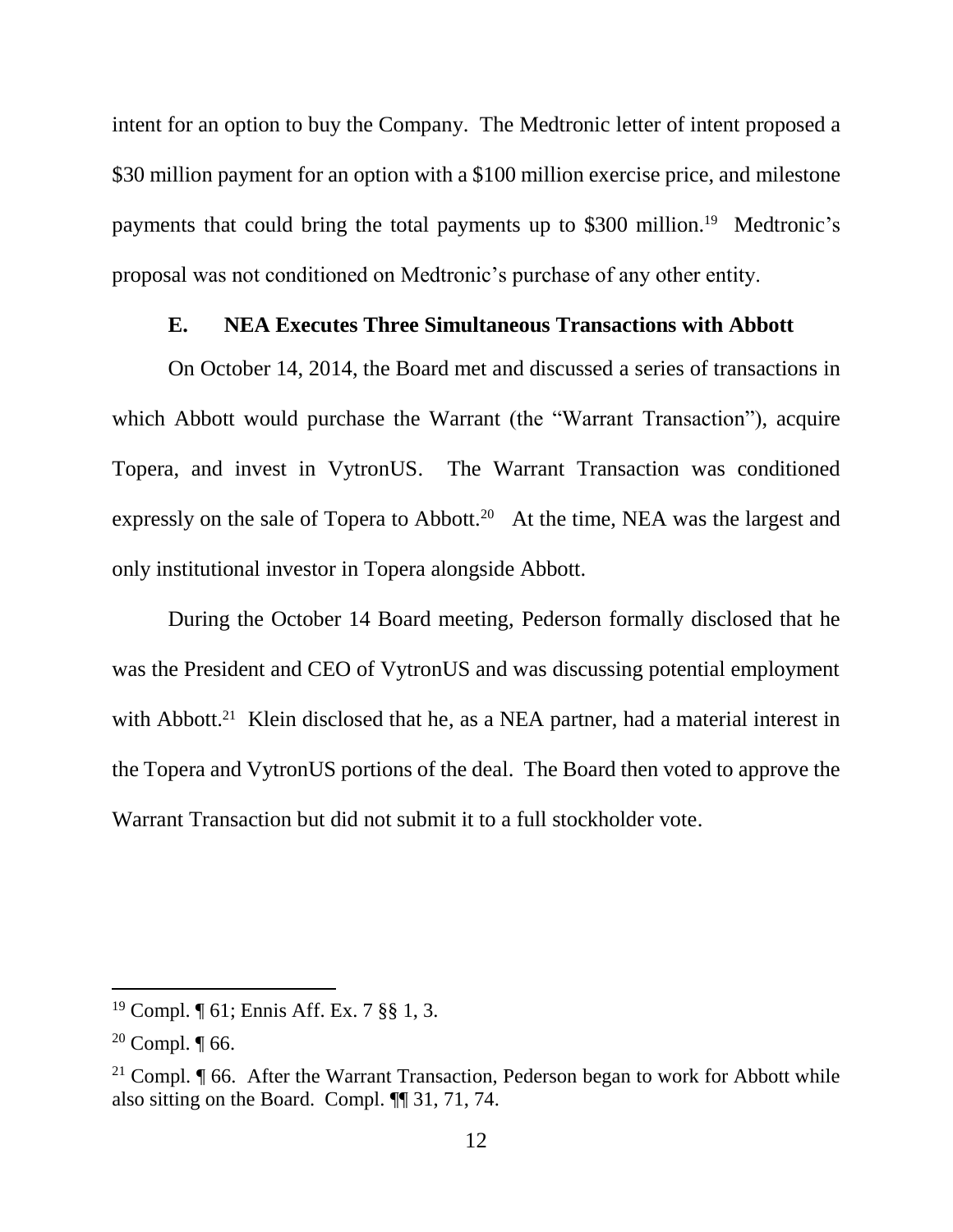intent for an option to buy the Company. The Medtronic letter of intent proposed a \$30 million payment for an option with a \$100 million exercise price, and milestone payments that could bring the total payments up to \$300 million.<sup>19</sup> Medtronic's proposal was not conditioned on Medtronic's purchase of any other entity.

#### **E. NEA Executes Three Simultaneous Transactions with Abbott**

On October 14, 2014, the Board met and discussed a series of transactions in which Abbott would purchase the Warrant (the "Warrant Transaction"), acquire Topera, and invest in VytronUS. The Warrant Transaction was conditioned expressly on the sale of Topera to Abbott.<sup>20</sup> At the time, NEA was the largest and only institutional investor in Topera alongside Abbott.

During the October 14 Board meeting, Pederson formally disclosed that he was the President and CEO of VytronUS and was discussing potential employment with Abbott.<sup>21</sup> Klein disclosed that he, as a NEA partner, had a material interest in the Topera and VytronUS portions of the deal. The Board then voted to approve the Warrant Transaction but did not submit it to a full stockholder vote.

<sup>19</sup> Compl. ¶ 61; Ennis Aff. Ex. 7 §§ 1, 3.

 $20$  Compl.  $\P$  66.

<sup>&</sup>lt;sup>21</sup> Compl.  $\P$  66. After the Warrant Transaction, Pederson began to work for Abbott while also sitting on the Board. Compl. ¶¶ 31, 71, 74.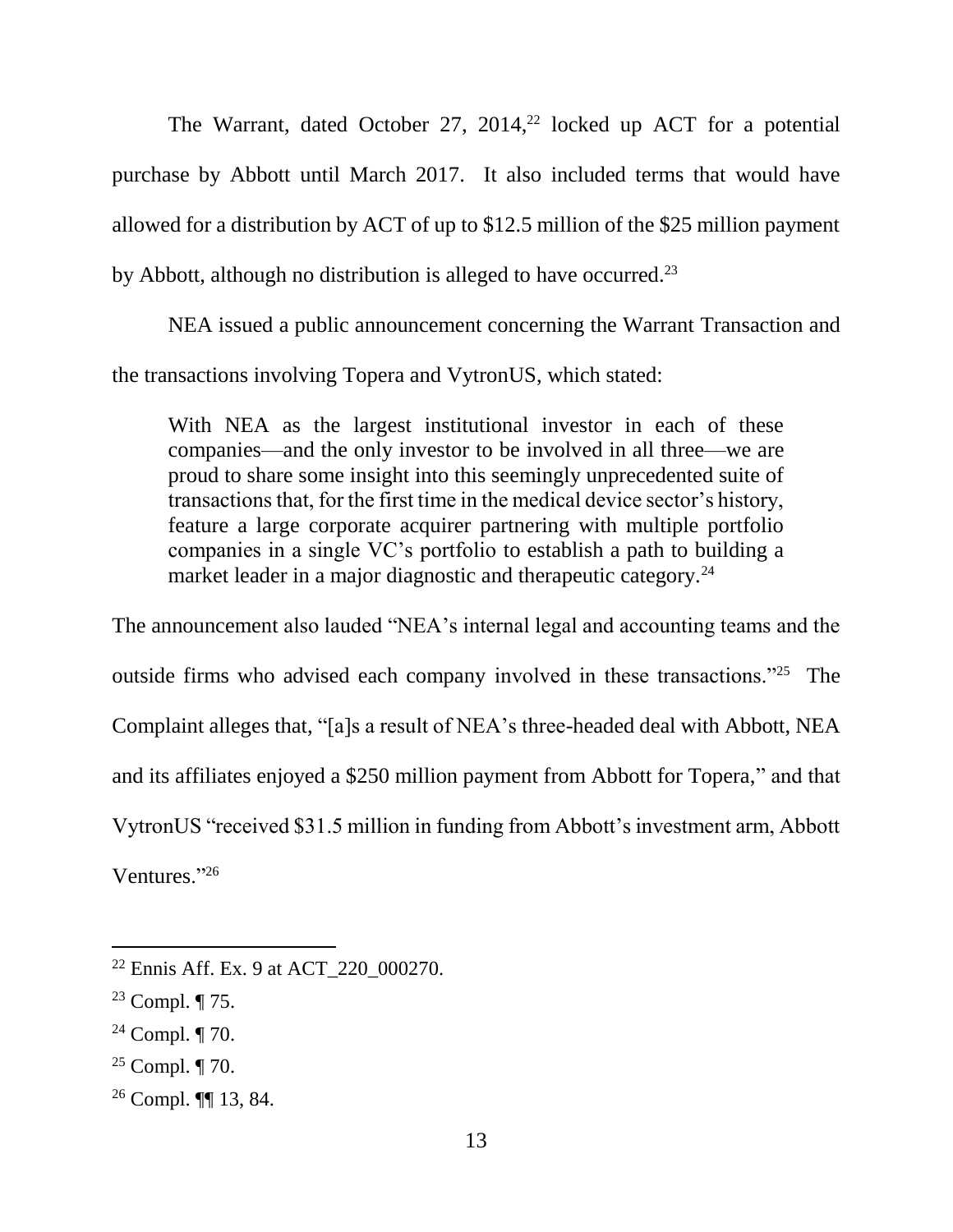The Warrant, dated October 27, 2014,<sup>22</sup> locked up ACT for a potential purchase by Abbott until March 2017. It also included terms that would have allowed for a distribution by ACT of up to \$12.5 million of the \$25 million payment by Abbott, although no distribution is alleged to have occurred.<sup>23</sup>

NEA issued a public announcement concerning the Warrant Transaction and the transactions involving Topera and VytronUS, which stated:

With NEA as the largest institutional investor in each of these companies—and the only investor to be involved in all three—we are proud to share some insight into this seemingly unprecedented suite of transactions that, for the first time in the medical device sector's history, feature a large corporate acquirer partnering with multiple portfolio companies in a single VC's portfolio to establish a path to building a market leader in a major diagnostic and therapeutic category.<sup>24</sup>

The announcement also lauded "NEA's internal legal and accounting teams and the outside firms who advised each company involved in these transactions."<sup>25</sup> The Complaint alleges that, "[a]s a result of NEA's three-headed deal with Abbott, NEA and its affiliates enjoyed a \$250 million payment from Abbott for Topera," and that VytronUS "received \$31.5 million in funding from Abbott's investment arm, Abbott Ventures."<sup>26</sup>

- <sup>24</sup> Compl. ¶ 70.
- <sup>25</sup> Compl.  $\P$  70.
- <sup>26</sup> Compl. ¶¶ 13, 84.

<sup>22</sup> Ennis Aff. Ex. 9 at ACT\_220\_000270.

<sup>&</sup>lt;sup>23</sup> Compl.  $\P$  75.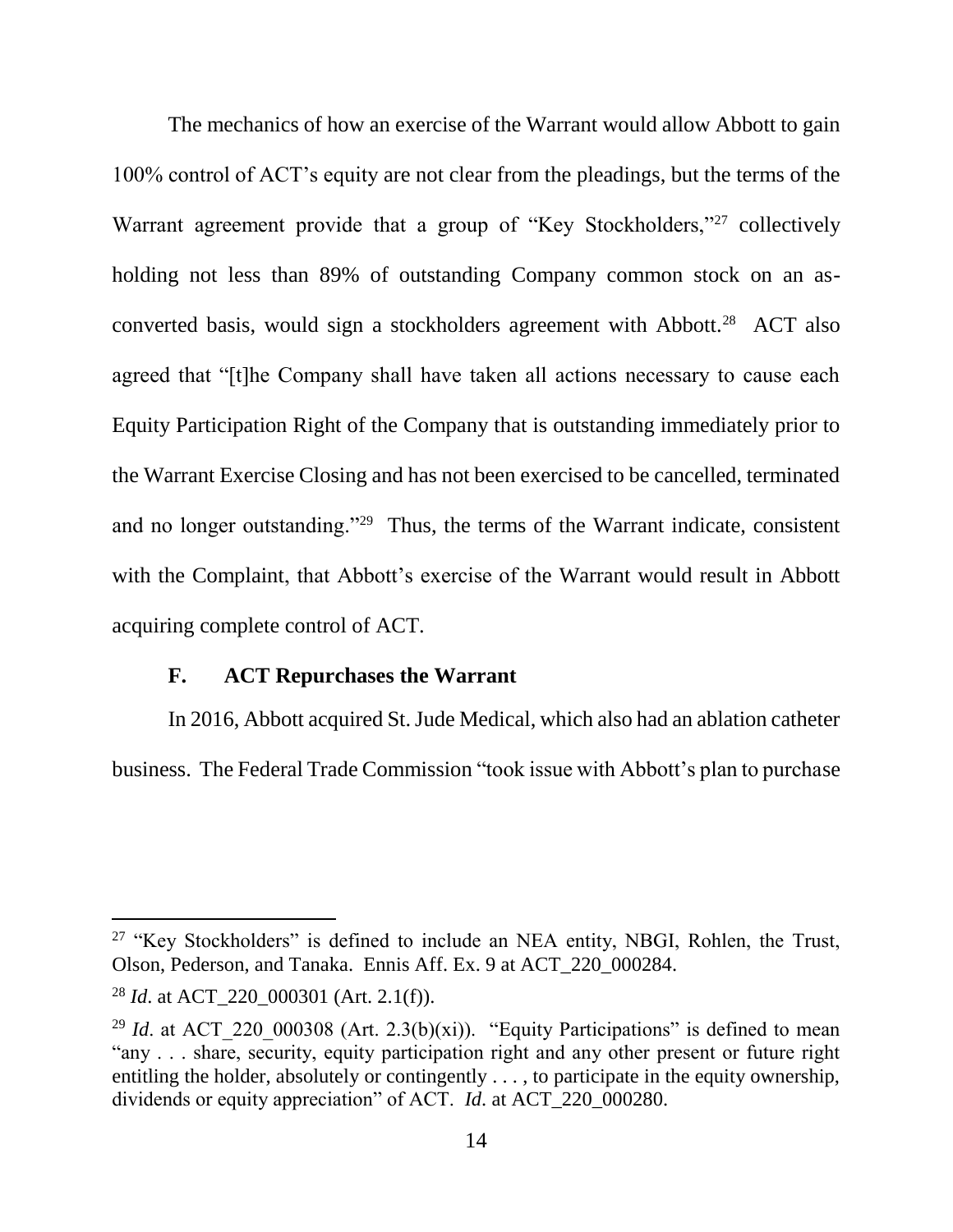The mechanics of how an exercise of the Warrant would allow Abbott to gain 100% control of ACT's equity are not clear from the pleadings, but the terms of the Warrant agreement provide that a group of "Key Stockholders,"<sup>27</sup> collectively holding not less than 89% of outstanding Company common stock on an asconverted basis, would sign a stockholders agreement with Abbott.<sup>28</sup> ACT also agreed that "[t]he Company shall have taken all actions necessary to cause each Equity Participation Right of the Company that is outstanding immediately prior to the Warrant Exercise Closing and has not been exercised to be cancelled, terminated and no longer outstanding."<sup>29</sup> Thus, the terms of the Warrant indicate, consistent with the Complaint, that Abbott's exercise of the Warrant would result in Abbott acquiring complete control of ACT.

#### **F. ACT Repurchases the Warrant**

In 2016, Abbott acquired St. Jude Medical, which also had an ablation catheter business. The Federal Trade Commission "took issue with Abbott's plan to purchase

<sup>&</sup>lt;sup>27</sup> "Key Stockholders" is defined to include an NEA entity, NBGI, Rohlen, the Trust, Olson, Pederson, and Tanaka. Ennis Aff. Ex. 9 at ACT\_220\_000284.

<sup>28</sup> *Id*. at ACT\_220\_000301 (Art. 2.1(f)).

<sup>&</sup>lt;sup>29</sup> *Id.* at ACT 220 000308 (Art. 2.3(b)(xi)). "Equity Participations" is defined to mean "any . . . share, security, equity participation right and any other present or future right entitling the holder, absolutely or contingently . . . , to participate in the equity ownership, dividends or equity appreciation" of ACT. *Id*. at ACT\_220\_000280.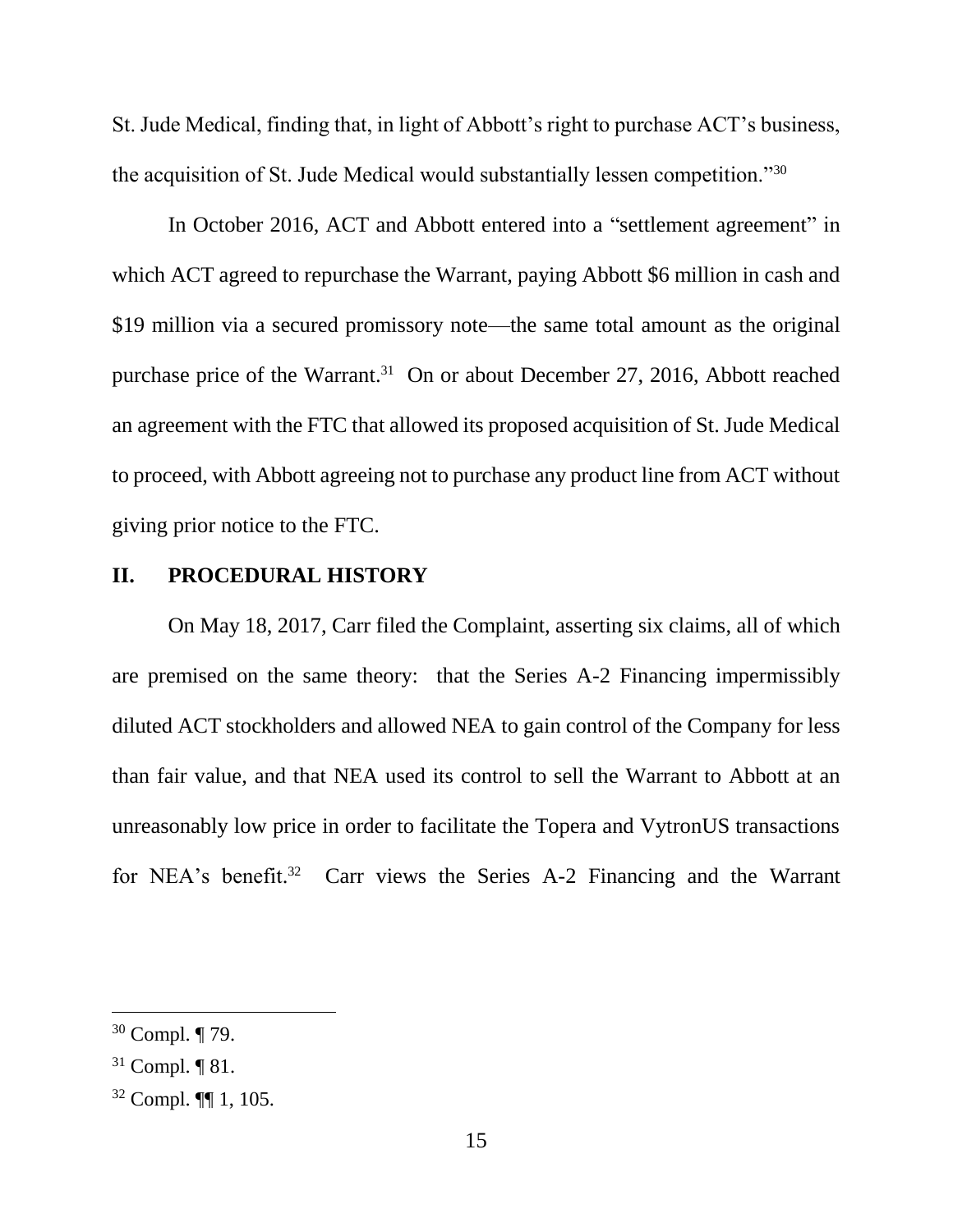St. Jude Medical, finding that, in light of Abbott's right to purchase ACT's business, the acquisition of St. Jude Medical would substantially lessen competition."<sup>30</sup>

In October 2016, ACT and Abbott entered into a "settlement agreement" in which ACT agreed to repurchase the Warrant, paying Abbott \$6 million in cash and \$19 million via a secured promissory note—the same total amount as the original purchase price of the Warrant.<sup>31</sup> On or about December 27, 2016, Abbott reached an agreement with the FTC that allowed its proposed acquisition of St. Jude Medical to proceed, with Abbott agreeing not to purchase any product line from ACT without giving prior notice to the FTC.

#### **II. PROCEDURAL HISTORY**

On May 18, 2017, Carr filed the Complaint, asserting six claims, all of which are premised on the same theory: that the Series A-2 Financing impermissibly diluted ACT stockholders and allowed NEA to gain control of the Company for less than fair value, and that NEA used its control to sell the Warrant to Abbott at an unreasonably low price in order to facilitate the Topera and VytronUS transactions for NEA's benefit.<sup>32</sup> Carr views the Series A-2 Financing and the Warrant

<sup>30</sup> Compl. ¶ 79.

 $31$  Compl.  $\P$  81.

<sup>32</sup> Compl. ¶¶ 1, 105.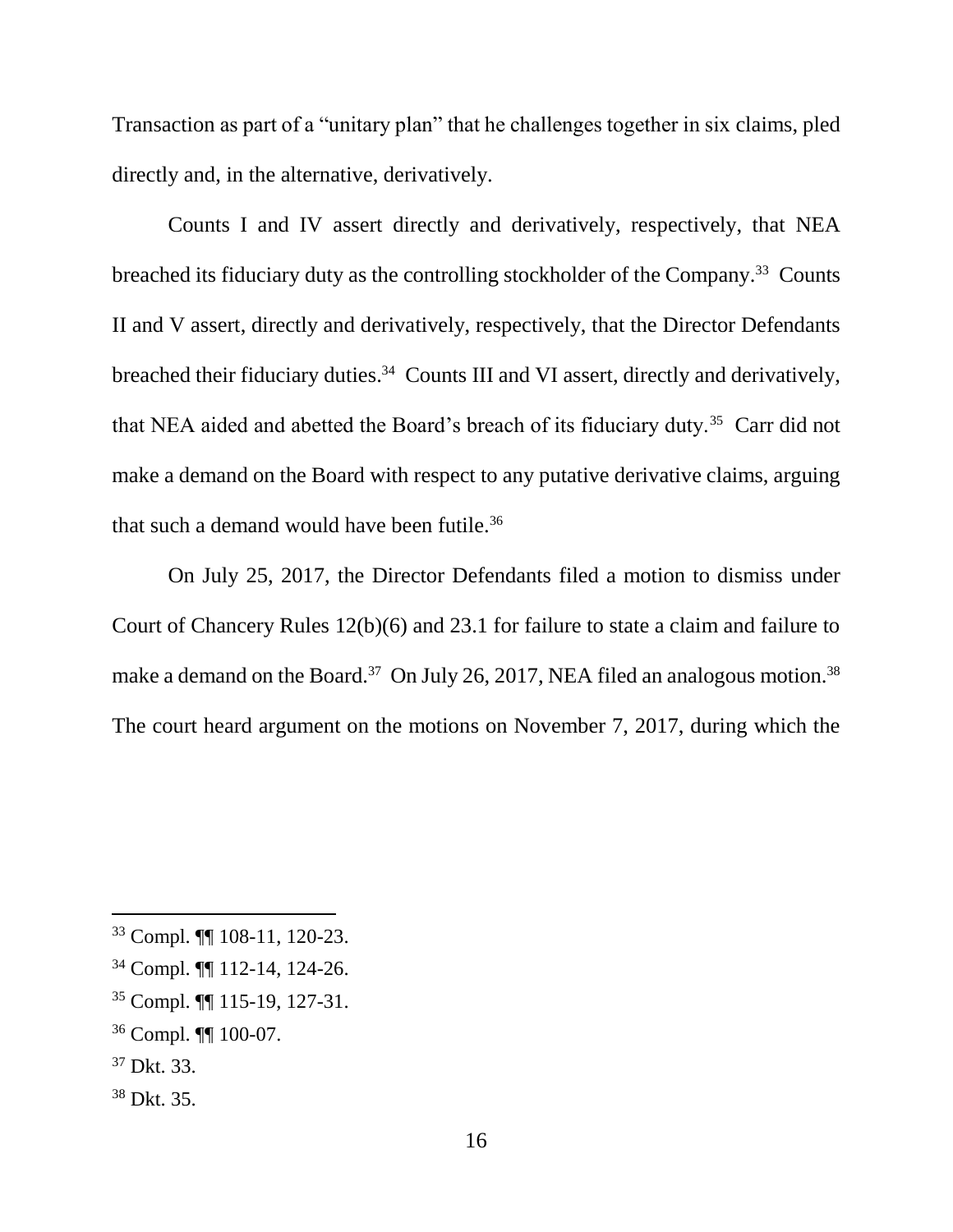Transaction as part of a "unitary plan" that he challenges together in six claims, pled directly and, in the alternative, derivatively.

Counts I and IV assert directly and derivatively, respectively, that NEA breached its fiduciary duty as the controlling stockholder of the Company.<sup>33</sup> Counts II and V assert, directly and derivatively, respectively, that the Director Defendants breached their fiduciary duties.<sup>34</sup> Counts III and VI assert, directly and derivatively, that NEA aided and abetted the Board's breach of its fiduciary duty.<sup>35</sup> Carr did not make a demand on the Board with respect to any putative derivative claims, arguing that such a demand would have been futile.<sup>36</sup>

On July 25, 2017, the Director Defendants filed a motion to dismiss under Court of Chancery Rules 12(b)(6) and 23.1 for failure to state a claim and failure to make a demand on the Board.<sup>37</sup> On July 26, 2017, NEA filed an analogous motion.<sup>38</sup> The court heard argument on the motions on November 7, 2017, during which the

l

### <sup>38</sup> Dkt. 35.

<sup>33</sup> Compl. ¶¶ 108-11, 120-23.

<sup>34</sup> Compl. ¶¶ 112-14, 124-26.

<sup>35</sup> Compl. ¶¶ 115-19, 127-31.

<sup>36</sup> Compl. ¶¶ 100-07.

<sup>37</sup> Dkt. 33.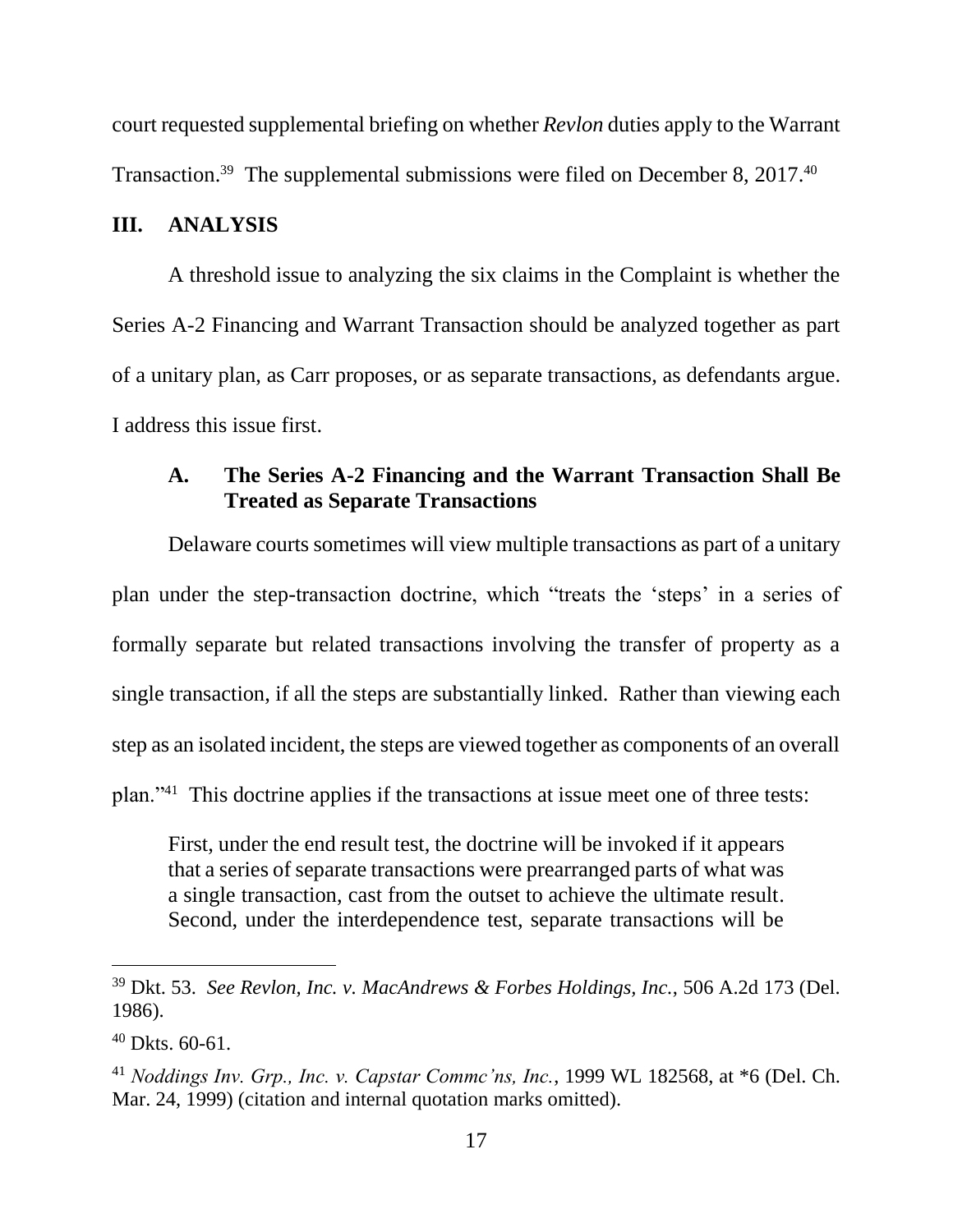court requested supplemental briefing on whether *Revlon* duties apply to the Warrant Transaction.<sup>39</sup> The supplemental submissions were filed on December 8, 2017.<sup>40</sup>

#### **III. ANALYSIS**

A threshold issue to analyzing the six claims in the Complaint is whether the Series A-2 Financing and Warrant Transaction should be analyzed together as part of a unitary plan, as Carr proposes, or as separate transactions, as defendants argue. I address this issue first.

## **A. The Series A-2 Financing and the Warrant Transaction Shall Be Treated as Separate Transactions**

Delaware courts sometimes will view multiple transactions as part of a unitary plan under the step-transaction doctrine, which "treats the 'steps' in a series of formally separate but related transactions involving the transfer of property as a single transaction, if all the steps are substantially linked. Rather than viewing each step as an isolated incident, the steps are viewed together as components of an overall plan."<sup>41</sup> This doctrine applies if the transactions at issue meet one of three tests:

First, under the end result test, the doctrine will be invoked if it appears that a series of separate transactions were prearranged parts of what was a single transaction, cast from the outset to achieve the ultimate result. Second, under the interdependence test, separate transactions will be

<sup>39</sup> Dkt. 53. *See Revlon, Inc. v. MacAndrews & Forbes Holdings, Inc.*, 506 A.2d 173 (Del. 1986).

 $40$  Dkts. 60-61.

<sup>41</sup> *Noddings Inv. Grp., Inc. v. Capstar Commc'ns, Inc.*, 1999 WL 182568, at \*6 (Del. Ch. Mar. 24, 1999) (citation and internal quotation marks omitted).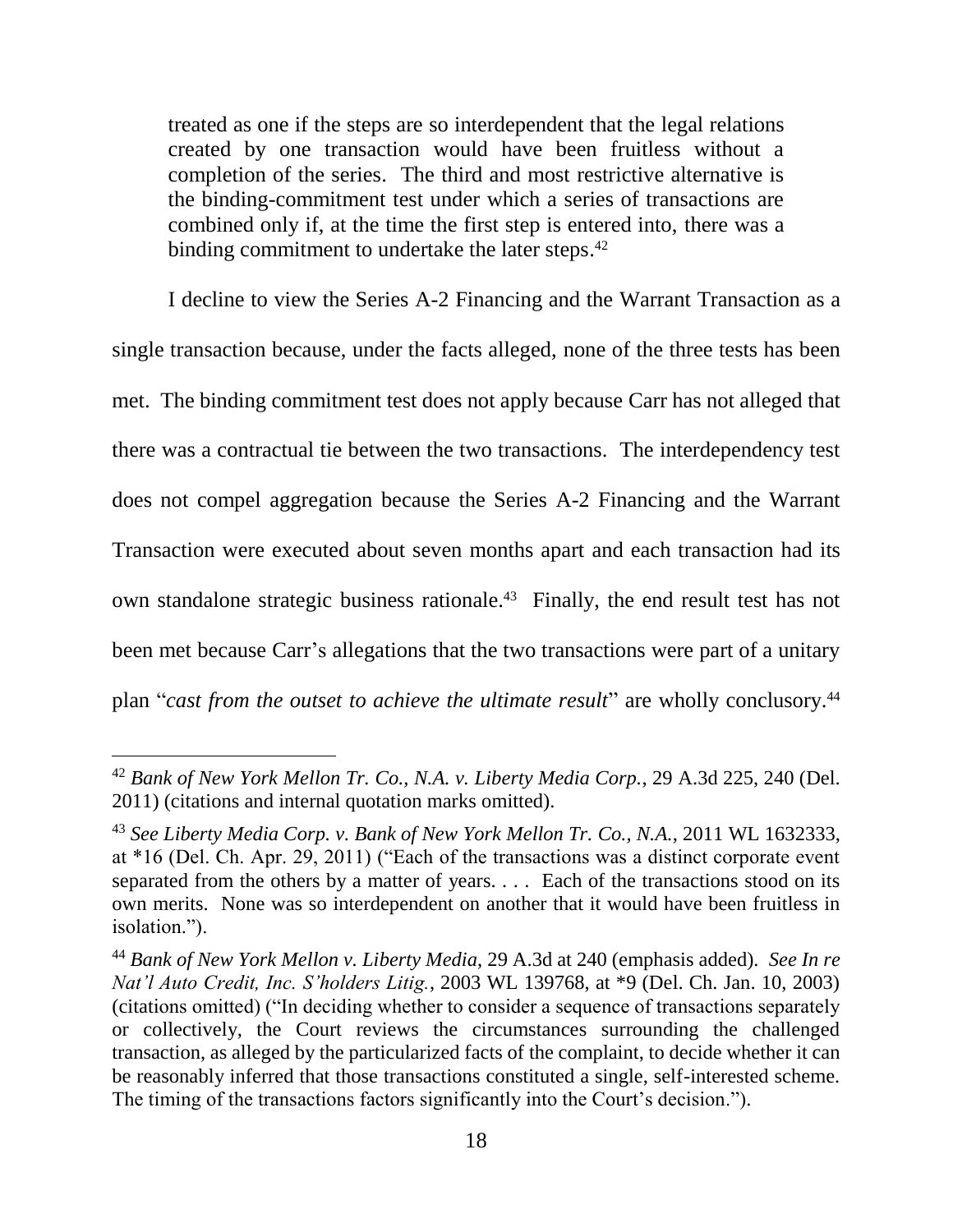treated as one if the steps are so interdependent that the legal relations created by one transaction would have been fruitless without a completion of the series. The third and most restrictive alternative is the binding-commitment test under which a series of transactions are combined only if, at the time the first step is entered into, there was a binding commitment to undertake the later steps.<sup>42</sup>

I decline to view the Series A-2 Financing and the Warrant Transaction as a single transaction because, under the facts alleged, none of the three tests has been met. The binding commitment test does not apply because Carr has not alleged that there was a contractual tie between the two transactions. The interdependency test does not compel aggregation because the Series A-2 Financing and the Warrant Transaction were executed about seven months apart and each transaction had its own standalone strategic business rationale. 43 Finally, the end result test has not been met because Carr's allegations that the two transactions were part of a unitary plan "*cast from the outset to achieve the ultimate result*" are wholly conclusory.<sup>44</sup>

<sup>42</sup> *Bank of New York Mellon Tr. Co., N.A. v. Liberty Media Corp.*, 29 A.3d 225, 240 (Del. 2011) (citations and internal quotation marks omitted).

<sup>43</sup> *See Liberty Media Corp. v. Bank of New York Mellon Tr. Co., N.A.*, 2011 WL 1632333, at \*16 (Del. Ch. Apr. 29, 2011) ("Each of the transactions was a distinct corporate event separated from the others by a matter of years. . . . Each of the transactions stood on its own merits. None was so interdependent on another that it would have been fruitless in isolation.").

<sup>44</sup> *Bank of New York Mellon v. Liberty Media*, 29 A.3d at 240 (emphasis added). *See In re Nat'l Auto Credit, Inc. S'holders Litig.*, 2003 WL 139768, at \*9 (Del. Ch. Jan. 10, 2003) (citations omitted) ("In deciding whether to consider a sequence of transactions separately or collectively, the Court reviews the circumstances surrounding the challenged transaction, as alleged by the particularized facts of the complaint, to decide whether it can be reasonably inferred that those transactions constituted a single, self-interested scheme. The timing of the transactions factors significantly into the Court's decision.").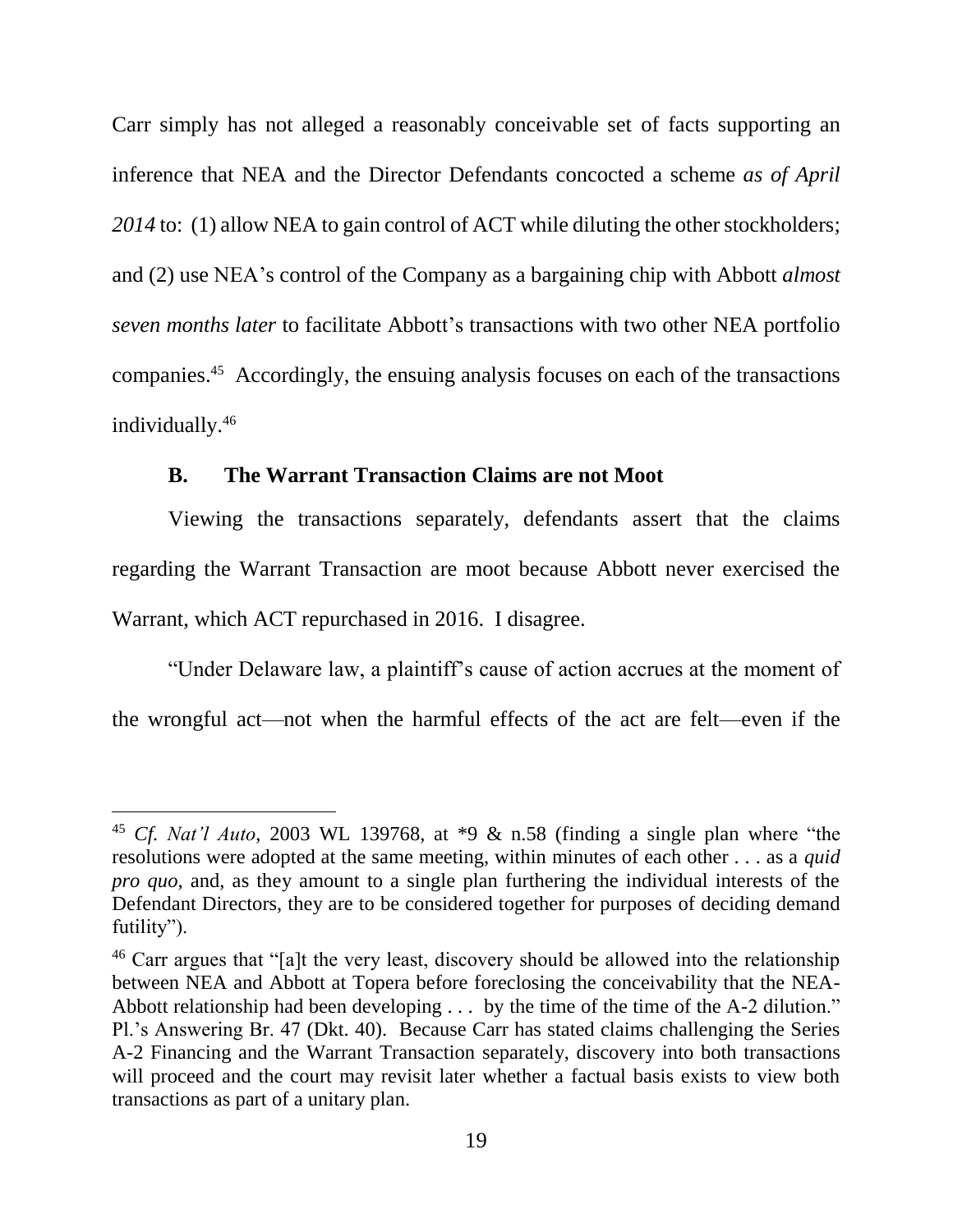Carr simply has not alleged a reasonably conceivable set of facts supporting an inference that NEA and the Director Defendants concocted a scheme *as of April 2014* to: (1) allow NEA to gain control of ACT while diluting the other stockholders; and (2) use NEA's control of the Company as a bargaining chip with Abbott *almost seven months later* to facilitate Abbott's transactions with two other NEA portfolio companies. 45 Accordingly, the ensuing analysis focuses on each of the transactions individually.<sup>46</sup>

### **B. The Warrant Transaction Claims are not Moot**

l

Viewing the transactions separately, defendants assert that the claims regarding the Warrant Transaction are moot because Abbott never exercised the Warrant, which ACT repurchased in 2016. I disagree.

"Under Delaware law, a plaintiff's cause of action accrues at the moment of the wrongful act—not when the harmful effects of the act are felt—even if the

<sup>45</sup> *Cf. Nat'l Auto*, 2003 WL 139768, at \*9 & n.58 (finding a single plan where "the resolutions were adopted at the same meeting, within minutes of each other . . . as a *quid pro quo*, and, as they amount to a single plan furthering the individual interests of the Defendant Directors, they are to be considered together for purposes of deciding demand futility").

 $46$  Carr argues that "[a]t the very least, discovery should be allowed into the relationship between NEA and Abbott at Topera before foreclosing the conceivability that the NEA-Abbott relationship had been developing  $\dots$  by the time of the time of the A-2 dilution." Pl.'s Answering Br. 47 (Dkt. 40). Because Carr has stated claims challenging the Series A-2 Financing and the Warrant Transaction separately, discovery into both transactions will proceed and the court may revisit later whether a factual basis exists to view both transactions as part of a unitary plan.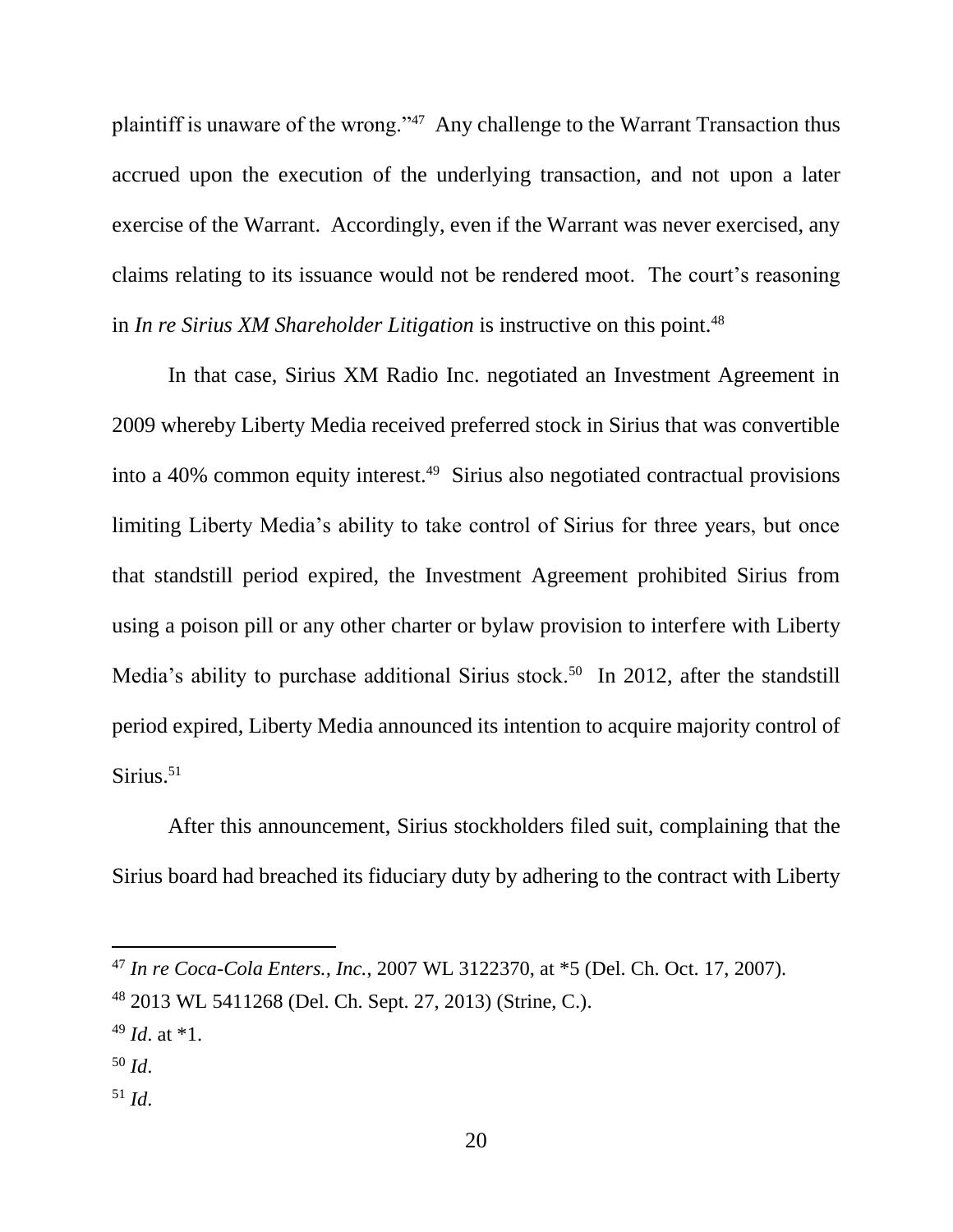plaintiff is unaware of the wrong."<sup>47</sup> Any challenge to the Warrant Transaction thus accrued upon the execution of the underlying transaction, and not upon a later exercise of the Warrant. Accordingly, even if the Warrant was never exercised, any claims relating to its issuance would not be rendered moot. The court's reasoning in *In re Sirius XM Shareholder Litigation* is instructive on this point.<sup>48</sup>

In that case, Sirius XM Radio Inc. negotiated an Investment Agreement in 2009 whereby Liberty Media received preferred stock in Sirius that was convertible into a 40% common equity interest.<sup>49</sup> Sirius also negotiated contractual provisions limiting Liberty Media's ability to take control of Sirius for three years, but once that standstill period expired, the Investment Agreement prohibited Sirius from using a poison pill or any other charter or bylaw provision to interfere with Liberty Media's ability to purchase additional Sirius stock.<sup>50</sup> In 2012, after the standstill period expired, Liberty Media announced its intention to acquire majority control of Sirius.<sup>51</sup>

After this announcement, Sirius stockholders filed suit, complaining that the Sirius board had breached its fiduciary duty by adhering to the contract with Liberty

l

<sup>51</sup> *Id*.

<sup>47</sup> *In re Coca-Cola Enters., Inc.*, 2007 WL 3122370, at \*5 (Del. Ch. Oct. 17, 2007).

<sup>48</sup> 2013 WL 5411268 (Del. Ch. Sept. 27, 2013) (Strine, C.).

<sup>49</sup> *Id*. at \*1.

<sup>50</sup> *Id*.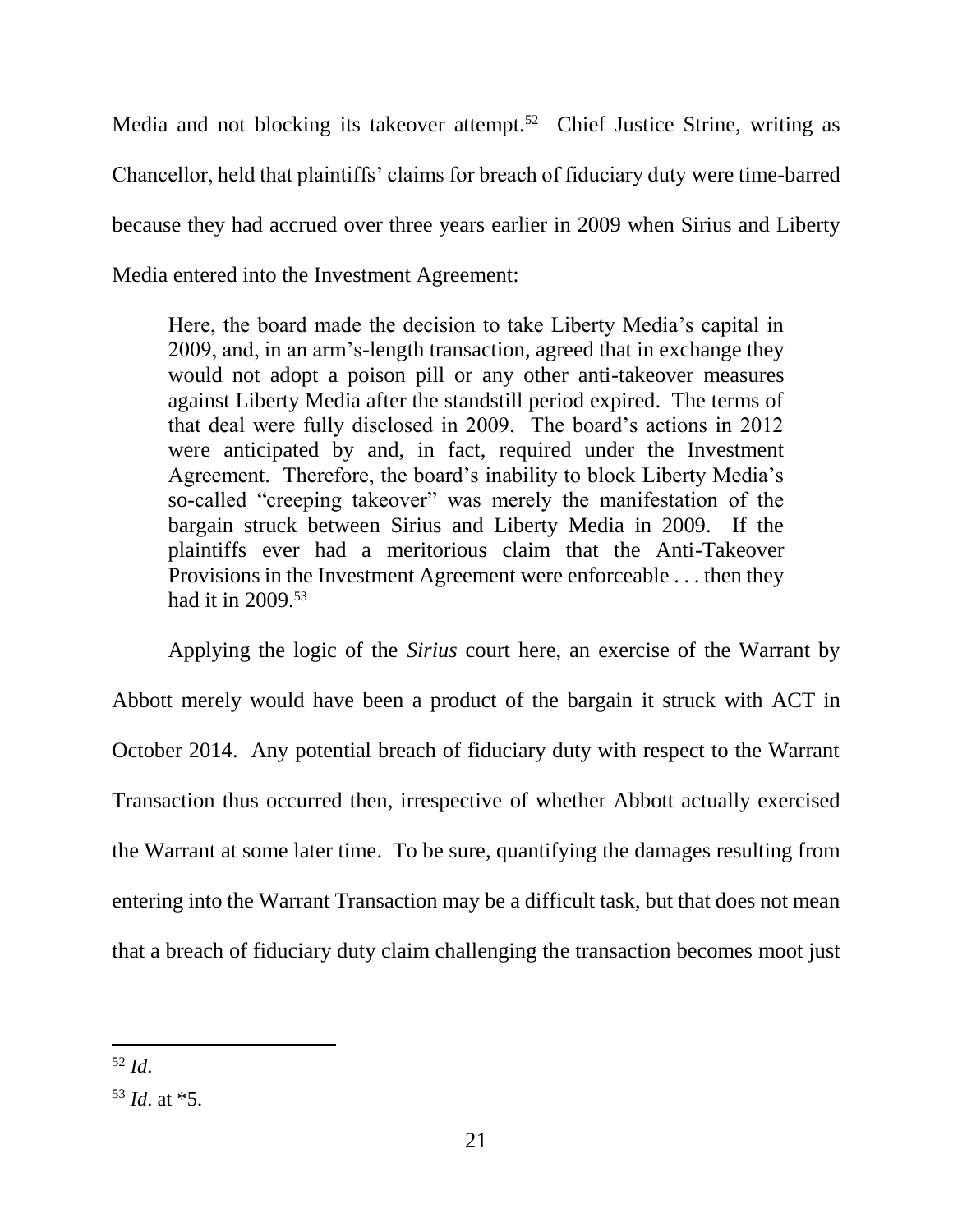Media and not blocking its takeover attempt.<sup>52</sup> Chief Justice Strine, writing as Chancellor, held that plaintiffs' claims for breach of fiduciary duty were time-barred because they had accrued over three years earlier in 2009 when Sirius and Liberty Media entered into the Investment Agreement:

Here, the board made the decision to take Liberty Media's capital in 2009, and, in an arm's-length transaction, agreed that in exchange they would not adopt a poison pill or any other anti-takeover measures against Liberty Media after the standstill period expired. The terms of that deal were fully disclosed in 2009. The board's actions in 2012 were anticipated by and, in fact, required under the Investment Agreement. Therefore, the board's inability to block Liberty Media's so-called "creeping takeover" was merely the manifestation of the bargain struck between Sirius and Liberty Media in 2009. If the plaintiffs ever had a meritorious claim that the Anti-Takeover Provisions in the Investment Agreement were enforceable . . . then they had it in 2009.<sup>53</sup>

Applying the logic of the *Sirius* court here, an exercise of the Warrant by Abbott merely would have been a product of the bargain it struck with ACT in October 2014. Any potential breach of fiduciary duty with respect to the Warrant Transaction thus occurred then, irrespective of whether Abbott actually exercised the Warrant at some later time. To be sure, quantifying the damages resulting from entering into the Warrant Transaction may be a difficult task, but that does not mean that a breach of fiduciary duty claim challenging the transaction becomes moot just

 $\overline{a}$ <sup>52</sup> *Id*.

<sup>53</sup> *Id*. at \*5.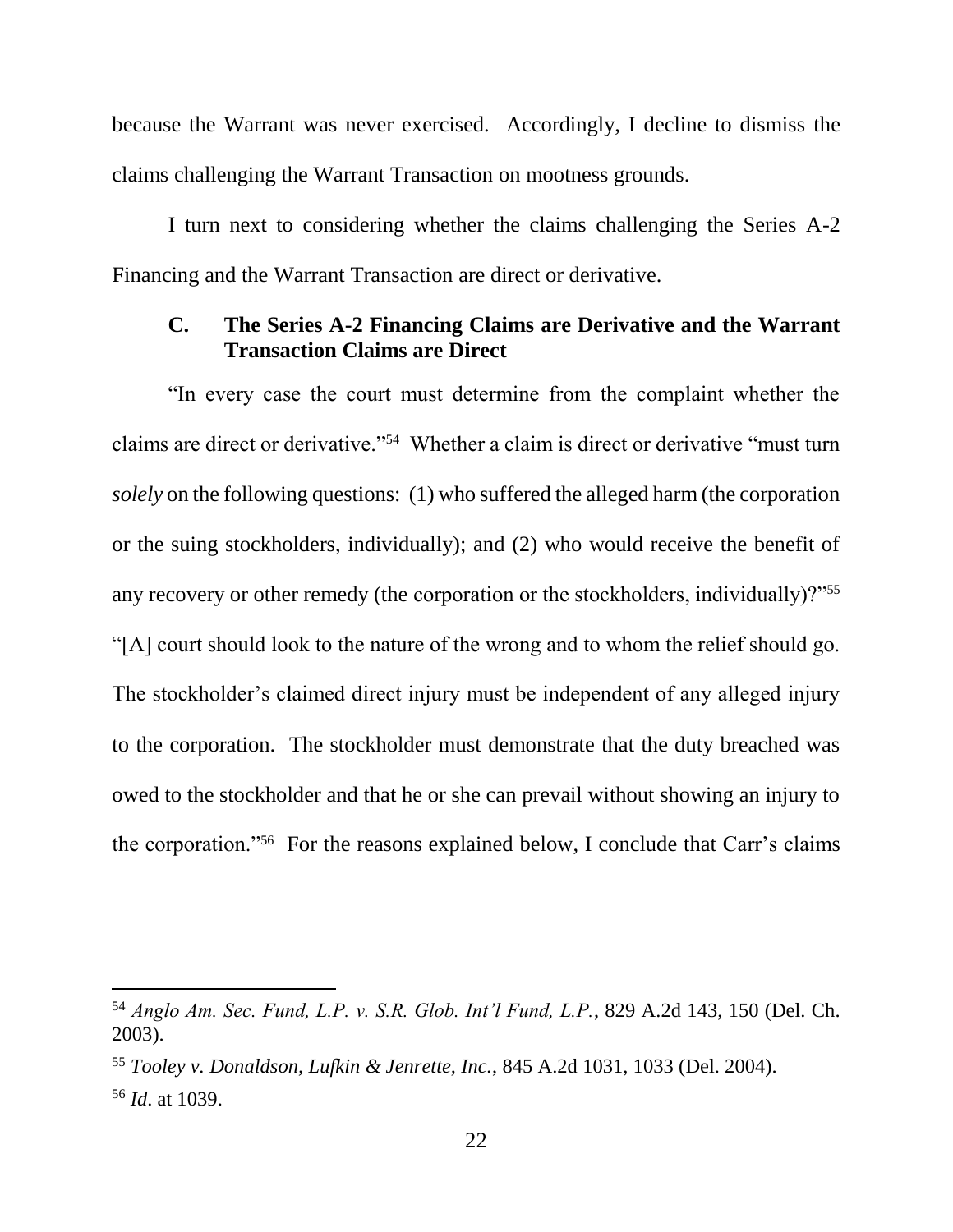because the Warrant was never exercised. Accordingly, I decline to dismiss the claims challenging the Warrant Transaction on mootness grounds.

I turn next to considering whether the claims challenging the Series A-2 Financing and the Warrant Transaction are direct or derivative.

### **C. The Series A-2 Financing Claims are Derivative and the Warrant Transaction Claims are Direct**

"In every case the court must determine from the complaint whether the claims are direct or derivative."<sup>54</sup> Whether a claim is direct or derivative "must turn *solely* on the following questions: (1) who suffered the alleged harm (the corporation or the suing stockholders, individually); and (2) who would receive the benefit of any recovery or other remedy (the corporation or the stockholders, individually)?"<sup>55</sup> "[A] court should look to the nature of the wrong and to whom the relief should go. The stockholder's claimed direct injury must be independent of any alleged injury to the corporation. The stockholder must demonstrate that the duty breached was owed to the stockholder and that he or she can prevail without showing an injury to the corporation."<sup>56</sup> For the reasons explained below, I conclude that Carr's claims

<sup>54</sup> *Anglo Am. Sec. Fund, L.P. v. S.R. Glob. Int'l Fund, L.P.*, 829 A.2d 143, 150 (Del. Ch. 2003).

<sup>55</sup> *Tooley v. Donaldson, Lufkin & Jenrette, Inc.*, 845 A.2d 1031, 1033 (Del. 2004).

<sup>56</sup> *Id*. at 1039.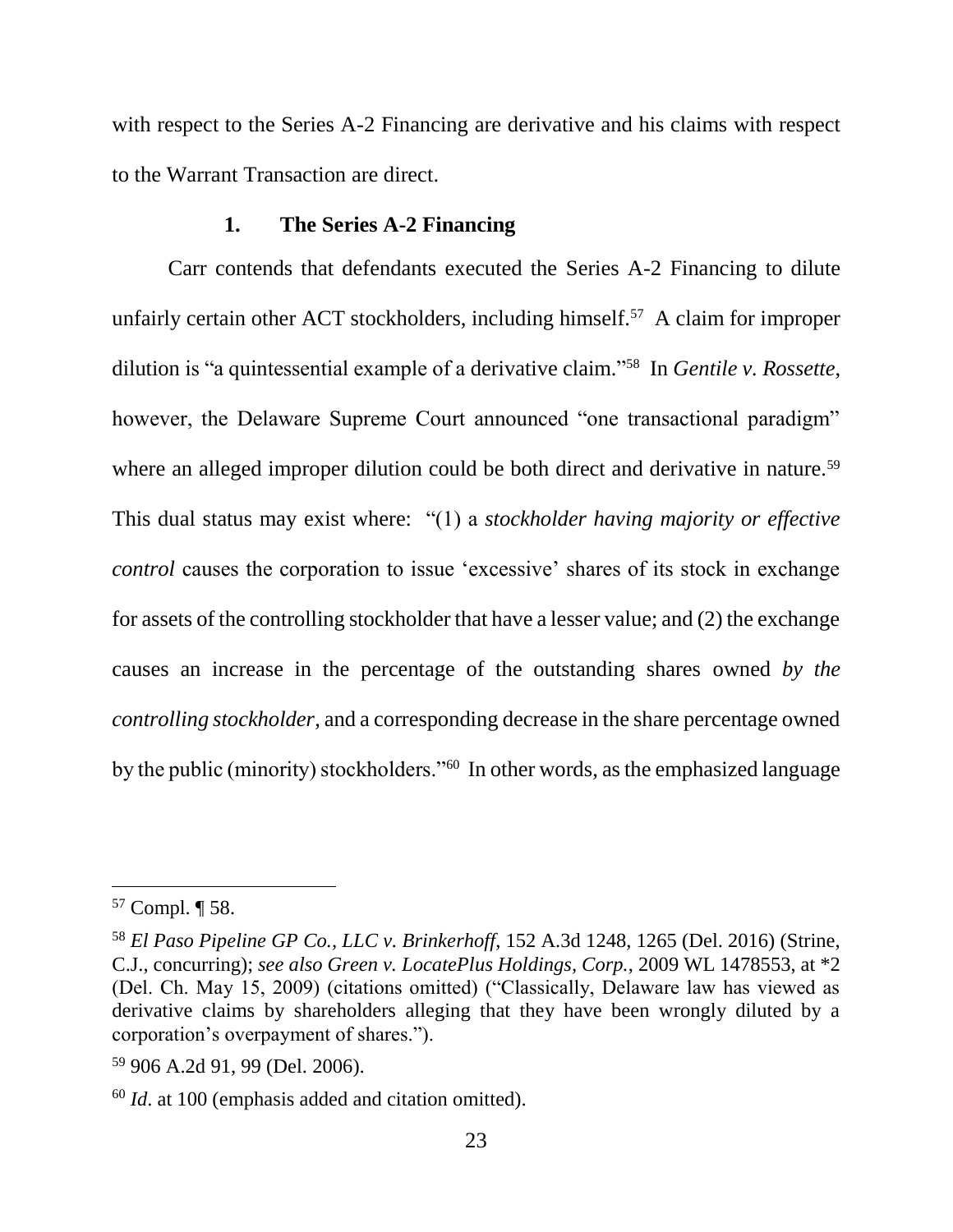with respect to the Series A-2 Financing are derivative and his claims with respect to the Warrant Transaction are direct.

#### **1. The Series A-2 Financing**

Carr contends that defendants executed the Series A-2 Financing to dilute unfairly certain other ACT stockholders, including himself.<sup>57</sup> A claim for improper dilution is "a quintessential example of a derivative claim." 58 In *Gentile v. Rossette*, however, the Delaware Supreme Court announced "one transactional paradigm" where an alleged improper dilution could be both direct and derivative in nature.<sup>59</sup> This dual status may exist where: "(1) a *stockholder having majority or effective control* causes the corporation to issue 'excessive' shares of its stock in exchange for assets of the controlling stockholder that have a lesser value; and (2) the exchange causes an increase in the percentage of the outstanding shares owned *by the controlling stockholder*, and a corresponding decrease in the share percentage owned by the public (minority) stockholders."<sup>60</sup> In other words, as the emphasized language

<sup>57</sup> Compl. ¶ 58.

<sup>58</sup> *El Paso Pipeline GP Co., LLC v. Brinkerhoff*, 152 A.3d 1248, 1265 (Del. 2016) (Strine, C.J., concurring); *see also Green v. LocatePlus Holdings, Corp.*, 2009 WL 1478553, at \*2 (Del. Ch. May 15, 2009) (citations omitted) ("Classically, Delaware law has viewed as derivative claims by shareholders alleging that they have been wrongly diluted by a corporation's overpayment of shares.").

<sup>59</sup> 906 A.2d 91, 99 (Del. 2006).

<sup>60</sup> *Id*. at 100 (emphasis added and citation omitted).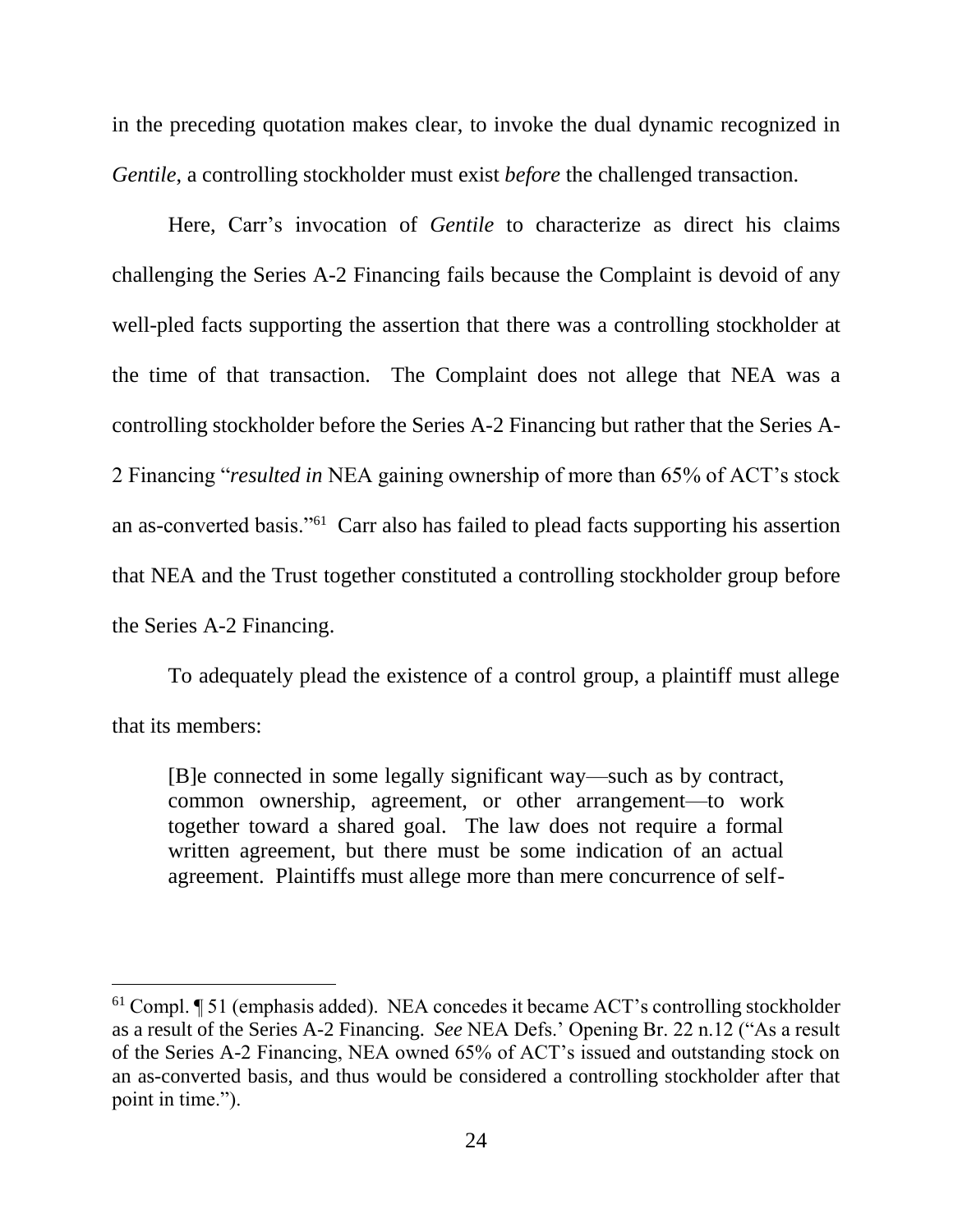in the preceding quotation makes clear, to invoke the dual dynamic recognized in *Gentile*, a controlling stockholder must exist *before* the challenged transaction.

Here, Carr's invocation of *Gentile* to characterize as direct his claims challenging the Series A-2 Financing fails because the Complaint is devoid of any well-pled facts supporting the assertion that there was a controlling stockholder at the time of that transaction. The Complaint does not allege that NEA was a controlling stockholder before the Series A-2 Financing but rather that the Series A-2 Financing "*resulted in* NEA gaining ownership of more than 65% of ACT's stock an as-converted basis."<sup>61</sup> Carr also has failed to plead facts supporting his assertion that NEA and the Trust together constituted a controlling stockholder group before the Series A-2 Financing.

To adequately plead the existence of a control group, a plaintiff must allege that its members:

[B]e connected in some legally significant way—such as by contract, common ownership, agreement, or other arrangement—to work together toward a shared goal. The law does not require a formal written agreement, but there must be some indication of an actual agreement. Plaintiffs must allege more than mere concurrence of self-

<sup>61</sup> Compl. ¶ 51 (emphasis added). NEA concedes it became ACT's controlling stockholder as a result of the Series A-2 Financing. *See* NEA Defs.' Opening Br. 22 n.12 ("As a result of the Series A-2 Financing, NEA owned 65% of ACT's issued and outstanding stock on an as-converted basis, and thus would be considered a controlling stockholder after that point in time.").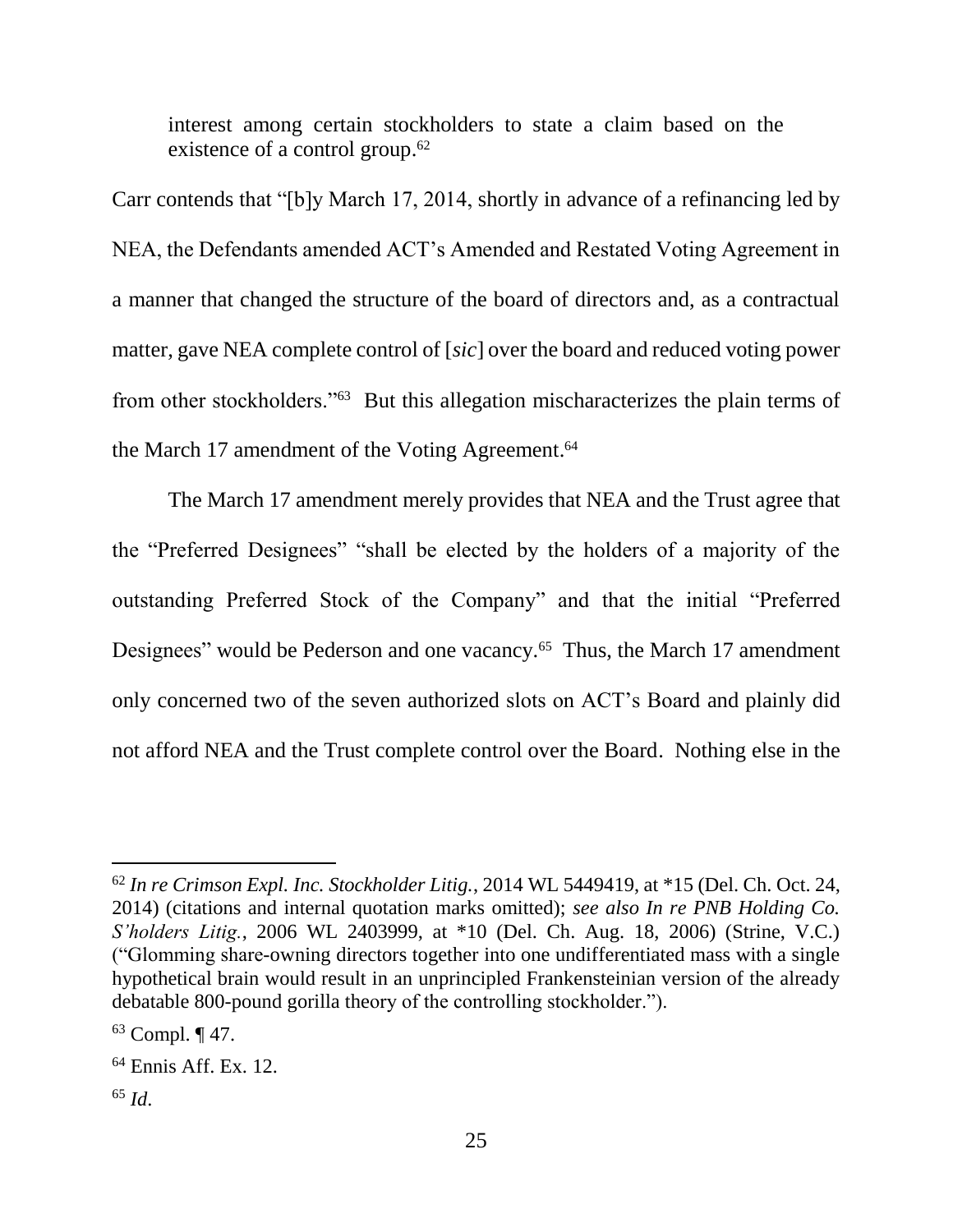interest among certain stockholders to state a claim based on the existence of a control group.<sup>62</sup>

Carr contends that "[b]y March 17, 2014, shortly in advance of a refinancing led by NEA, the Defendants amended ACT's Amended and Restated Voting Agreement in a manner that changed the structure of the board of directors and, as a contractual matter, gave NEA complete control of [*sic*] over the board and reduced voting power from other stockholders."<sup>63</sup> But this allegation mischaracterizes the plain terms of the March 17 amendment of the Voting Agreement. 64

The March 17 amendment merely provides that NEA and the Trust agree that the "Preferred Designees" "shall be elected by the holders of a majority of the outstanding Preferred Stock of the Company" and that the initial "Preferred Designees" would be Pederson and one vacancy.<sup>65</sup> Thus, the March 17 amendment only concerned two of the seven authorized slots on ACT's Board and plainly did not afford NEA and the Trust complete control over the Board. Nothing else in the

<sup>62</sup> *In re Crimson Expl. Inc. Stockholder Litig.*, 2014 WL 5449419, at \*15 (Del. Ch. Oct. 24, 2014) (citations and internal quotation marks omitted); *see also In re PNB Holding Co. S'holders Litig.*, 2006 WL 2403999, at \*10 (Del. Ch. Aug. 18, 2006) (Strine, V.C.) ("Glomming share-owning directors together into one undifferentiated mass with a single hypothetical brain would result in an unprincipled Frankensteinian version of the already debatable 800-pound gorilla theory of the controlling stockholder.").

 $63$  Compl.  $\P$  47.

<sup>64</sup> Ennis Aff. Ex. 12.

<sup>65</sup> *Id*.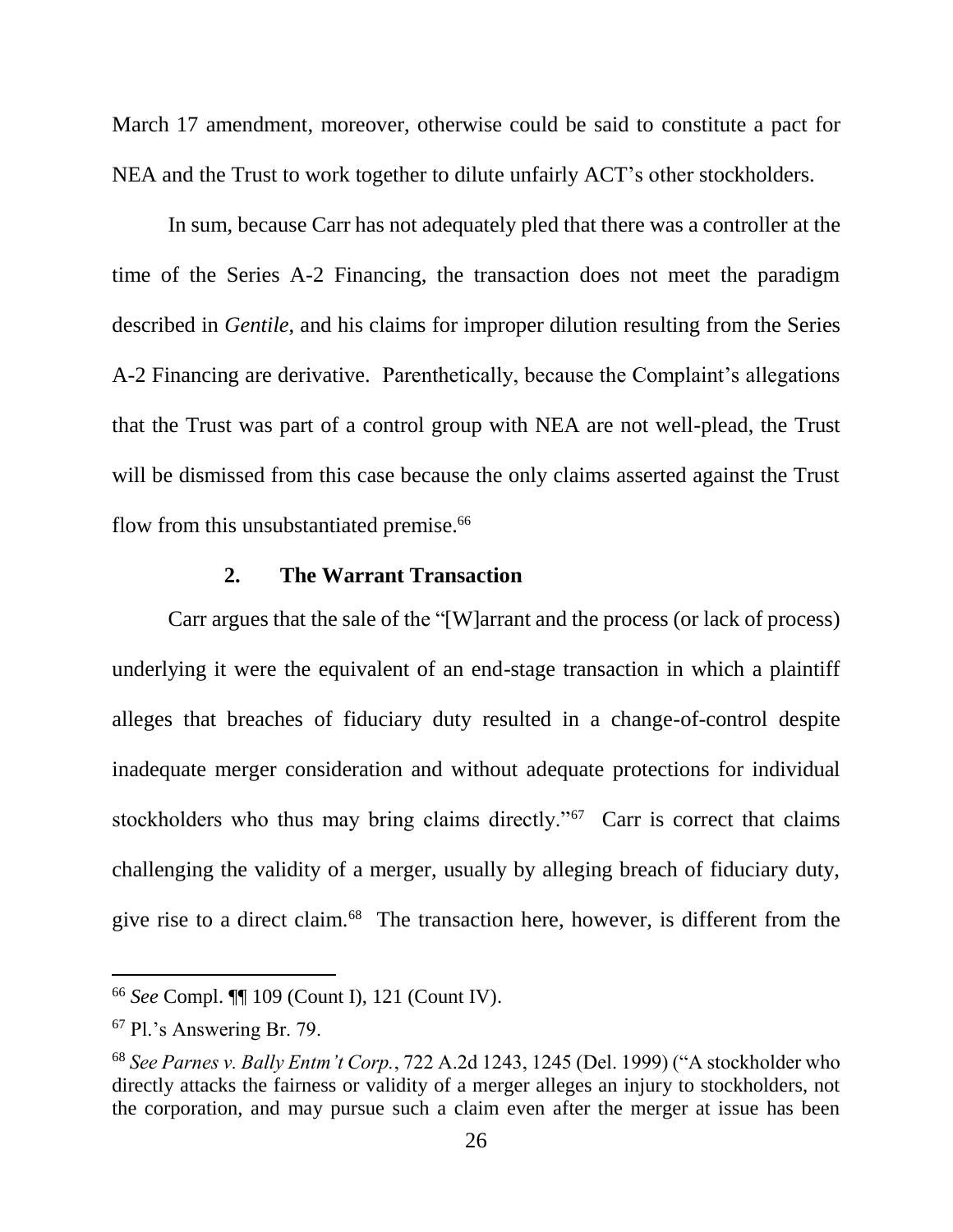March 17 amendment, moreover, otherwise could be said to constitute a pact for NEA and the Trust to work together to dilute unfairly ACT's other stockholders.

In sum, because Carr has not adequately pled that there was a controller at the time of the Series A-2 Financing, the transaction does not meet the paradigm described in *Gentile*, and his claims for improper dilution resulting from the Series A-2 Financing are derivative. Parenthetically, because the Complaint's allegations that the Trust was part of a control group with NEA are not well-plead, the Trust will be dismissed from this case because the only claims asserted against the Trust flow from this unsubstantiated premise.<sup>66</sup>

### **2. The Warrant Transaction**

Carr argues that the sale of the "[W]arrant and the process (or lack of process) underlying it were the equivalent of an end-stage transaction in which a plaintiff alleges that breaches of fiduciary duty resulted in a change-of-control despite inadequate merger consideration and without adequate protections for individual stockholders who thus may bring claims directly."<sup>67</sup> Carr is correct that claims challenging the validity of a merger, usually by alleging breach of fiduciary duty, give rise to a direct claim.<sup>68</sup> The transaction here, however, is different from the

<sup>66</sup> *See* Compl. ¶¶ 109 (Count I), 121 (Count IV).

<sup>67</sup> Pl.'s Answering Br. 79.

<sup>68</sup> *See Parnes v. Bally Entm't Corp.*, 722 A.2d 1243, 1245 (Del. 1999) ("A stockholder who directly attacks the fairness or validity of a merger alleges an injury to stockholders, not the corporation, and may pursue such a claim even after the merger at issue has been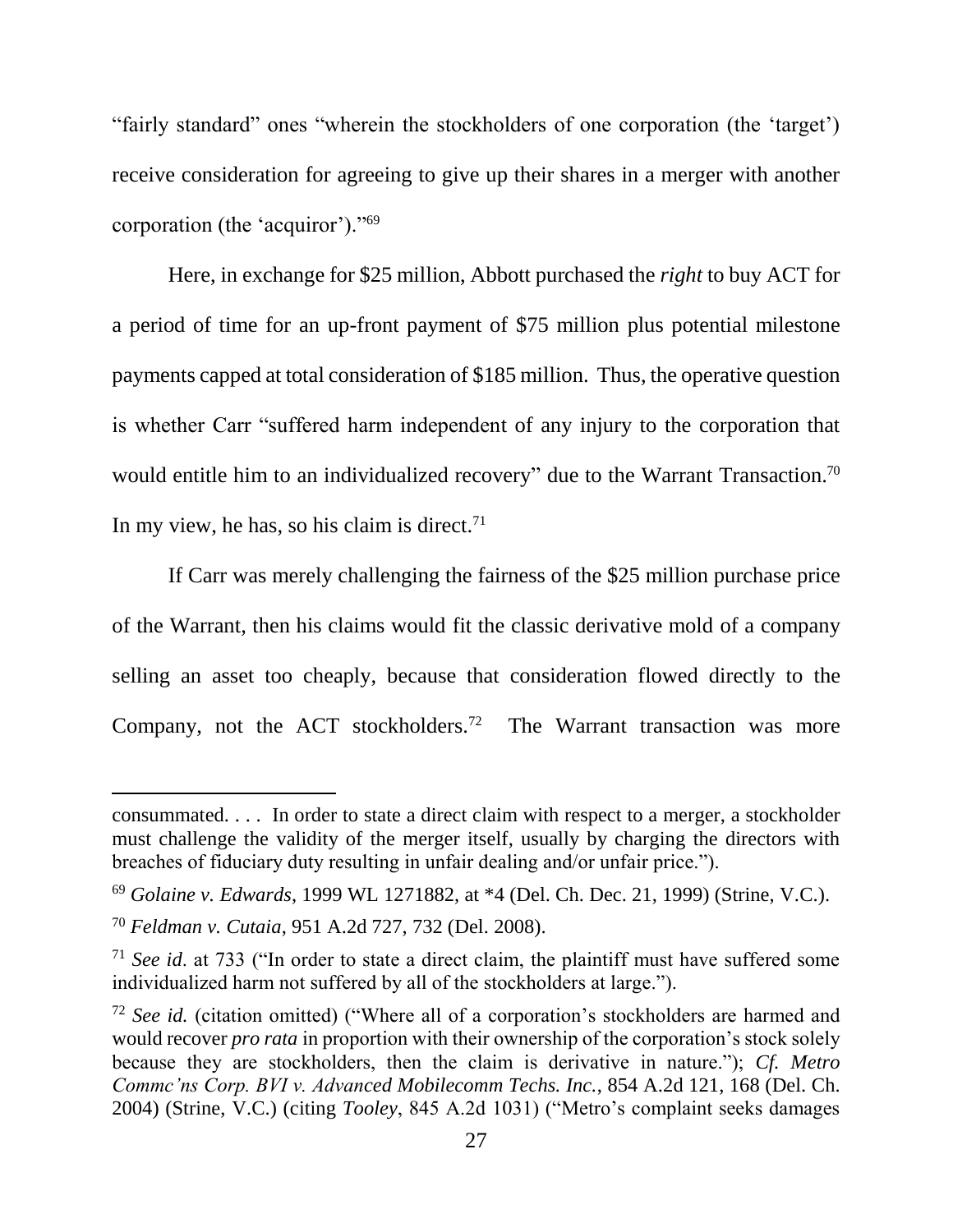"fairly standard" ones "wherein the stockholders of one corporation (the 'target') receive consideration for agreeing to give up their shares in a merger with another corporation (the 'acquiror')."<sup>69</sup>

Here, in exchange for \$25 million, Abbott purchased the *right* to buy ACT for a period of time for an up-front payment of \$75 million plus potential milestone payments capped at total consideration of \$185 million. Thus, the operative question is whether Carr "suffered harm independent of any injury to the corporation that would entitle him to an individualized recovery" due to the Warrant Transaction.<sup>70</sup> In my view, he has, so his claim is direct. $71$ 

If Carr was merely challenging the fairness of the \$25 million purchase price of the Warrant, then his claims would fit the classic derivative mold of a company selling an asset too cheaply, because that consideration flowed directly to the Company, not the ACT stockholders.<sup>72</sup> The Warrant transaction was more

consummated. . . . In order to state a direct claim with respect to a merger, a stockholder must challenge the validity of the merger itself, usually by charging the directors with breaches of fiduciary duty resulting in unfair dealing and/or unfair price.").

<sup>69</sup> *Golaine v. Edwards*, 1999 WL 1271882, at \*4 (Del. Ch. Dec. 21, 1999) (Strine, V.C.).

<sup>70</sup> *Feldman v. Cutaia*, 951 A.2d 727, 732 (Del. 2008).

<sup>71</sup> *See id*. at 733 ("In order to state a direct claim, the plaintiff must have suffered some individualized harm not suffered by all of the stockholders at large.").

<sup>72</sup> *See id.* (citation omitted) ("Where all of a corporation's stockholders are harmed and would recover *pro rata* in proportion with their ownership of the corporation's stock solely because they are stockholders, then the claim is derivative in nature."); *Cf. Metro Commc'ns Corp. BVI v. Advanced Mobilecomm Techs. Inc.*, 854 A.2d 121, 168 (Del. Ch. 2004) (Strine, V.C.) (citing *Tooley*, 845 A.2d 1031) ("Metro's complaint seeks damages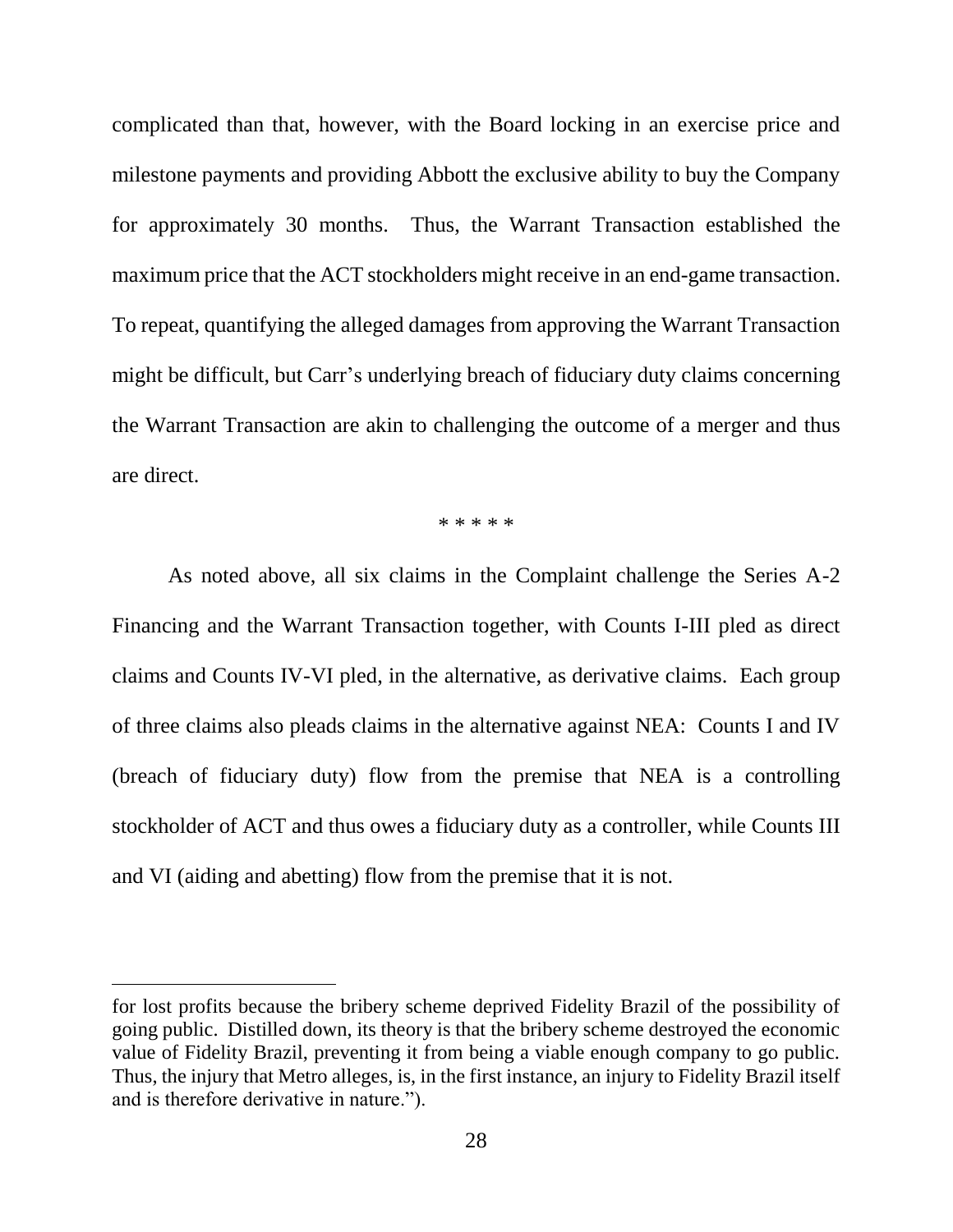complicated than that, however, with the Board locking in an exercise price and milestone payments and providing Abbott the exclusive ability to buy the Company for approximately 30 months. Thus, the Warrant Transaction established the maximum price that the ACT stockholders might receive in an end-game transaction. To repeat, quantifying the alleged damages from approving the Warrant Transaction might be difficult, but Carr's underlying breach of fiduciary duty claims concerning the Warrant Transaction are akin to challenging the outcome of a merger and thus are direct.

\* \* \* \* \*

As noted above, all six claims in the Complaint challenge the Series A-2 Financing and the Warrant Transaction together, with Counts I-III pled as direct claims and Counts IV-VI pled, in the alternative, as derivative claims. Each group of three claims also pleads claims in the alternative against NEA: Counts I and IV (breach of fiduciary duty) flow from the premise that NEA is a controlling stockholder of ACT and thus owes a fiduciary duty as a controller, while Counts III and VI (aiding and abetting) flow from the premise that it is not.

for lost profits because the bribery scheme deprived Fidelity Brazil of the possibility of going public. Distilled down, its theory is that the bribery scheme destroyed the economic value of Fidelity Brazil, preventing it from being a viable enough company to go public. Thus, the injury that Metro alleges, is, in the first instance, an injury to Fidelity Brazil itself and is therefore derivative in nature.").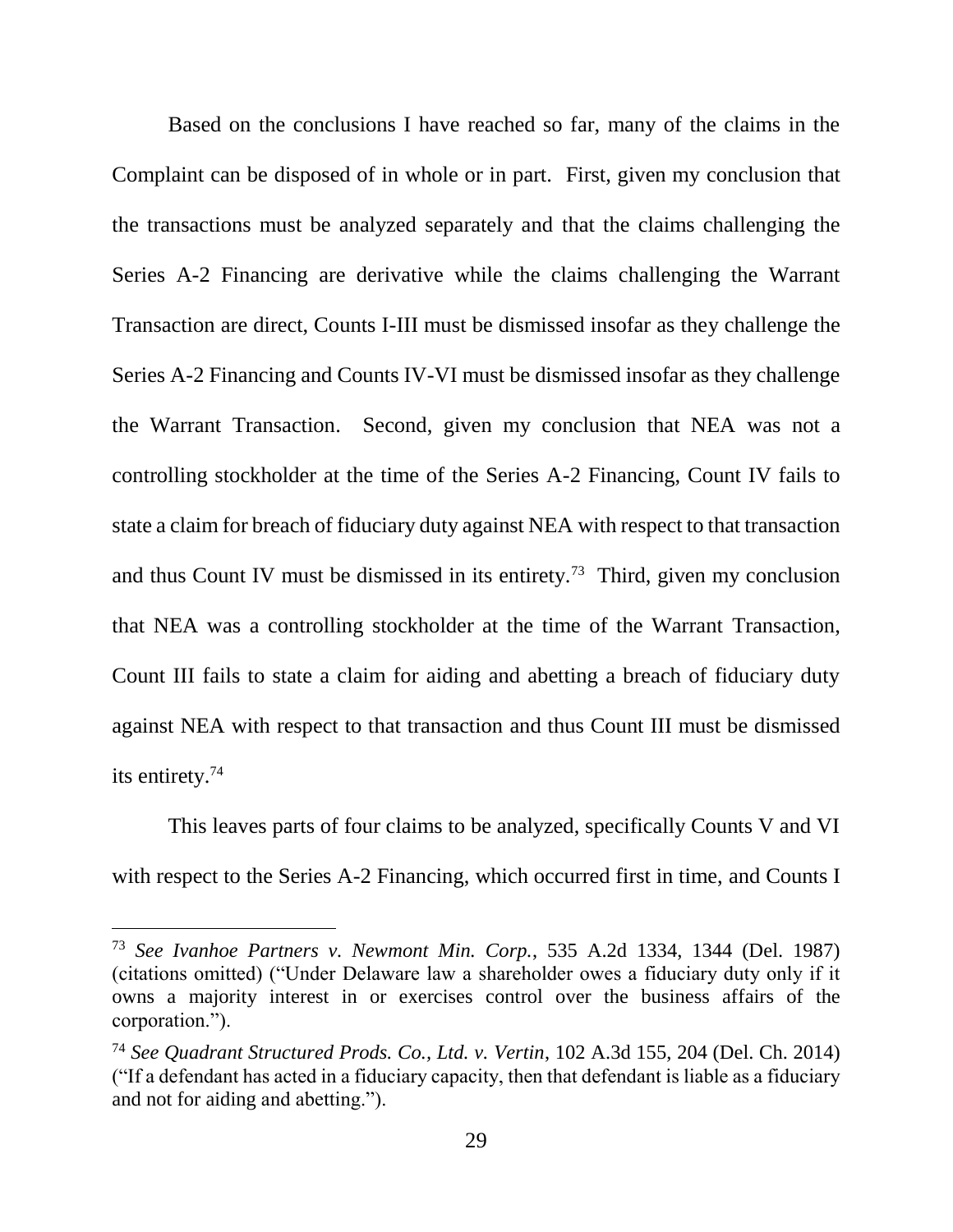Based on the conclusions I have reached so far, many of the claims in the Complaint can be disposed of in whole or in part. First, given my conclusion that the transactions must be analyzed separately and that the claims challenging the Series A-2 Financing are derivative while the claims challenging the Warrant Transaction are direct, Counts I-III must be dismissed insofar as they challenge the Series A-2 Financing and Counts IV-VI must be dismissed insofar as they challenge the Warrant Transaction. Second, given my conclusion that NEA was not a controlling stockholder at the time of the Series A-2 Financing, Count IV fails to state a claim for breach of fiduciary duty against NEA with respect to that transaction and thus Count IV must be dismissed in its entirety.<sup>73</sup> Third, given my conclusion that NEA was a controlling stockholder at the time of the Warrant Transaction, Count III fails to state a claim for aiding and abetting a breach of fiduciary duty against NEA with respect to that transaction and thus Count III must be dismissed its entirety.<sup>74</sup>

This leaves parts of four claims to be analyzed, specifically Counts V and VI with respect to the Series A-2 Financing, which occurred first in time, and Counts I

<sup>73</sup> *See Ivanhoe Partners v. Newmont Min. Corp.*, 535 A.2d 1334, 1344 (Del. 1987) (citations omitted) ("Under Delaware law a shareholder owes a fiduciary duty only if it owns a majority interest in or exercises control over the business affairs of the corporation.").

<sup>74</sup> *See Quadrant Structured Prods. Co., Ltd. v. Vertin*, 102 A.3d 155, 204 (Del. Ch. 2014) ("If a defendant has acted in a fiduciary capacity, then that defendant is liable as a fiduciary and not for aiding and abetting.").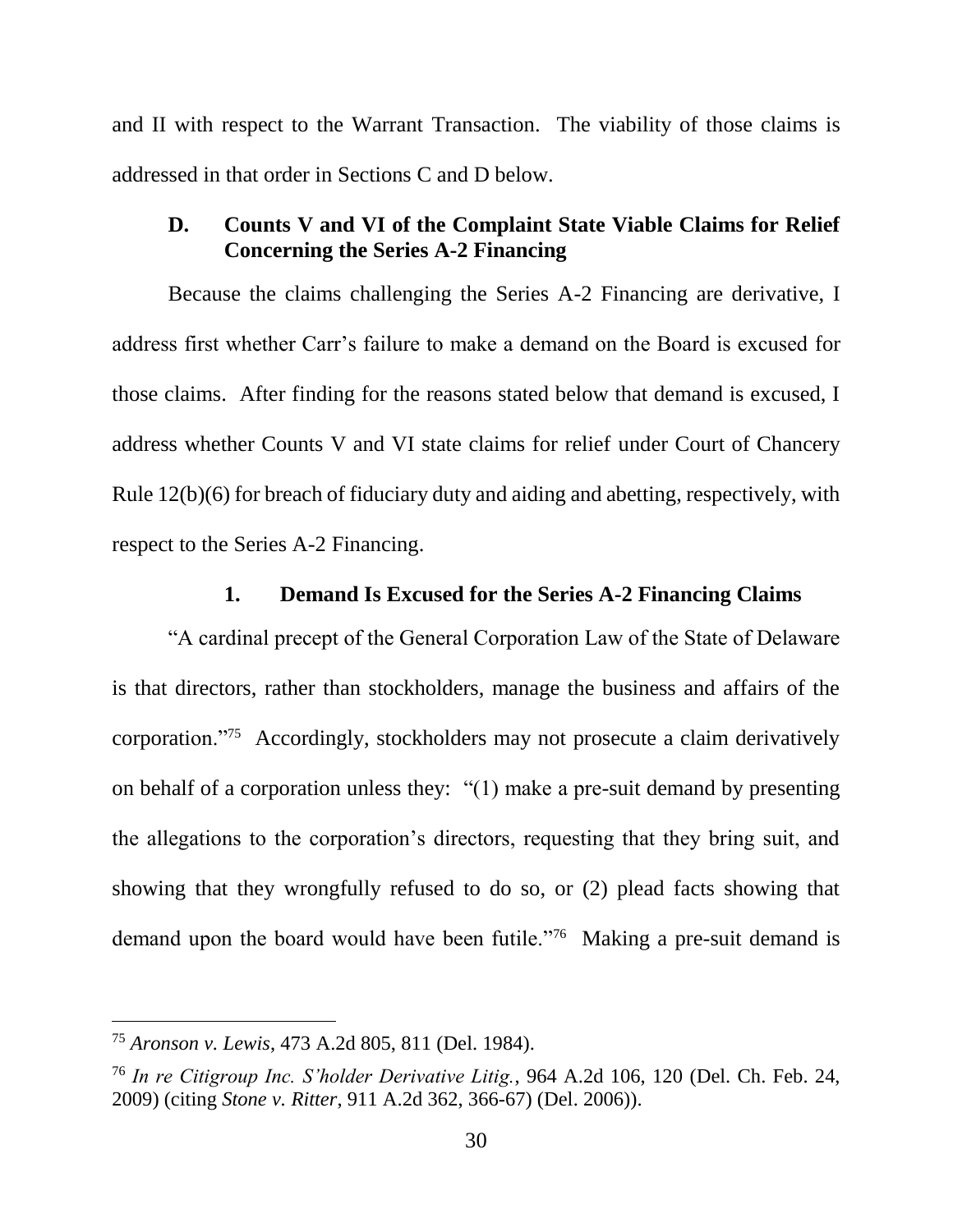and II with respect to the Warrant Transaction. The viability of those claims is addressed in that order in Sections C and D below.

### **D. Counts V and VI of the Complaint State Viable Claims for Relief Concerning the Series A-2 Financing**

Because the claims challenging the Series A-2 Financing are derivative, I address first whether Carr's failure to make a demand on the Board is excused for those claims. After finding for the reasons stated below that demand is excused, I address whether Counts V and VI state claims for relief under Court of Chancery Rule 12(b)(6) for breach of fiduciary duty and aiding and abetting, respectively, with respect to the Series A-2 Financing.

#### **1. Demand Is Excused for the Series A-2 Financing Claims**

"A cardinal precept of the General Corporation Law of the State of Delaware is that directors, rather than stockholders, manage the business and affairs of the corporation."<sup>75</sup> Accordingly, stockholders may not prosecute a claim derivatively on behalf of a corporation unless they: "(1) make a pre-suit demand by presenting the allegations to the corporation's directors, requesting that they bring suit, and showing that they wrongfully refused to do so, or (2) plead facts showing that demand upon the board would have been futile."<sup>76</sup> Making a pre-suit demand is

<sup>75</sup> *Aronson v. Lewis*, 473 A.2d 805, 811 (Del. 1984).

<sup>76</sup> *In re Citigroup Inc. S'holder Derivative Litig.*, 964 A.2d 106, 120 (Del. Ch. Feb. 24, 2009) (citing *Stone v. Ritter*, 911 A.2d 362, 366-67) (Del. 2006)).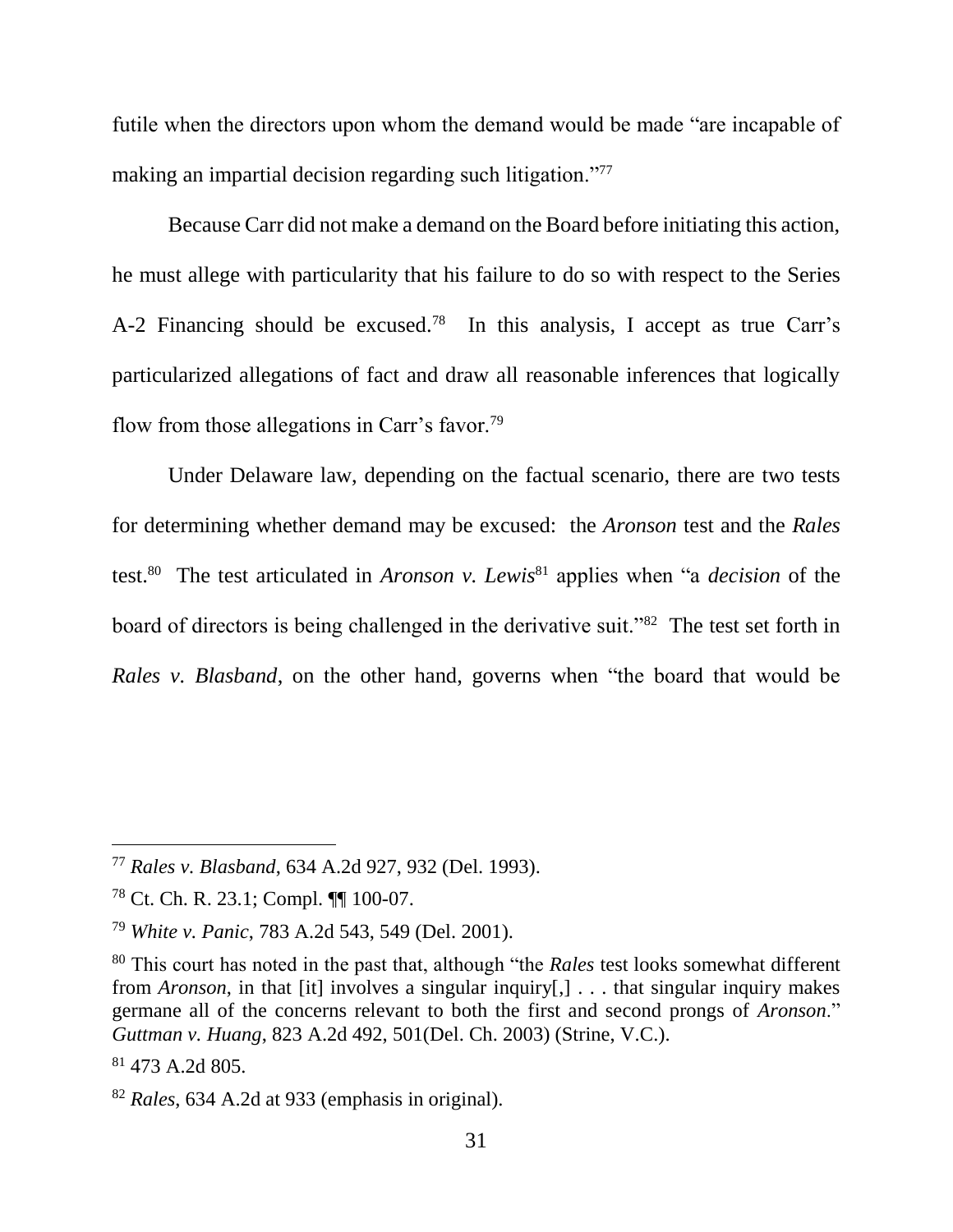futile when the directors upon whom the demand would be made "are incapable of making an impartial decision regarding such litigation."<sup>77</sup>

Because Carr did not make a demand on the Board before initiating this action, he must allege with particularity that his failure to do so with respect to the Series A-2 Financing should be excused.<sup>78</sup> In this analysis, I accept as true Carr's particularized allegations of fact and draw all reasonable inferences that logically flow from those allegations in Carr's favor.<sup>79</sup>

Under Delaware law, depending on the factual scenario, there are two tests for determining whether demand may be excused: the *Aronson* test and the *Rales*  test.<sup>80</sup> The test articulated in *Aronson v. Lewis*<sup>81</sup> applies when "a *decision* of the board of directors is being challenged in the derivative suit."<sup>82</sup> The test set forth in *Rales v. Blasband*, on the other hand, governs when "the board that would be

<sup>77</sup> *Rales v. Blasband*, 634 A.2d 927, 932 (Del. 1993).

<sup>78</sup> Ct. Ch. R. 23.1; Compl. ¶¶ 100-07.

<sup>79</sup> *White v. Panic*, 783 A.2d 543, 549 (Del. 2001).

<sup>80</sup> This court has noted in the past that, although "the *Rales* test looks somewhat different from *Aronson*, in that [it] involves a singular inquiry[,] . . . that singular inquiry makes germane all of the concerns relevant to both the first and second prongs of *Aronson*." *Guttman v. Huang*, 823 A.2d 492, 501(Del. Ch. 2003) (Strine, V.C.).

<sup>81</sup> 473 A.2d 805.

<sup>82</sup> *Rales*, 634 A.2d at 933 (emphasis in original).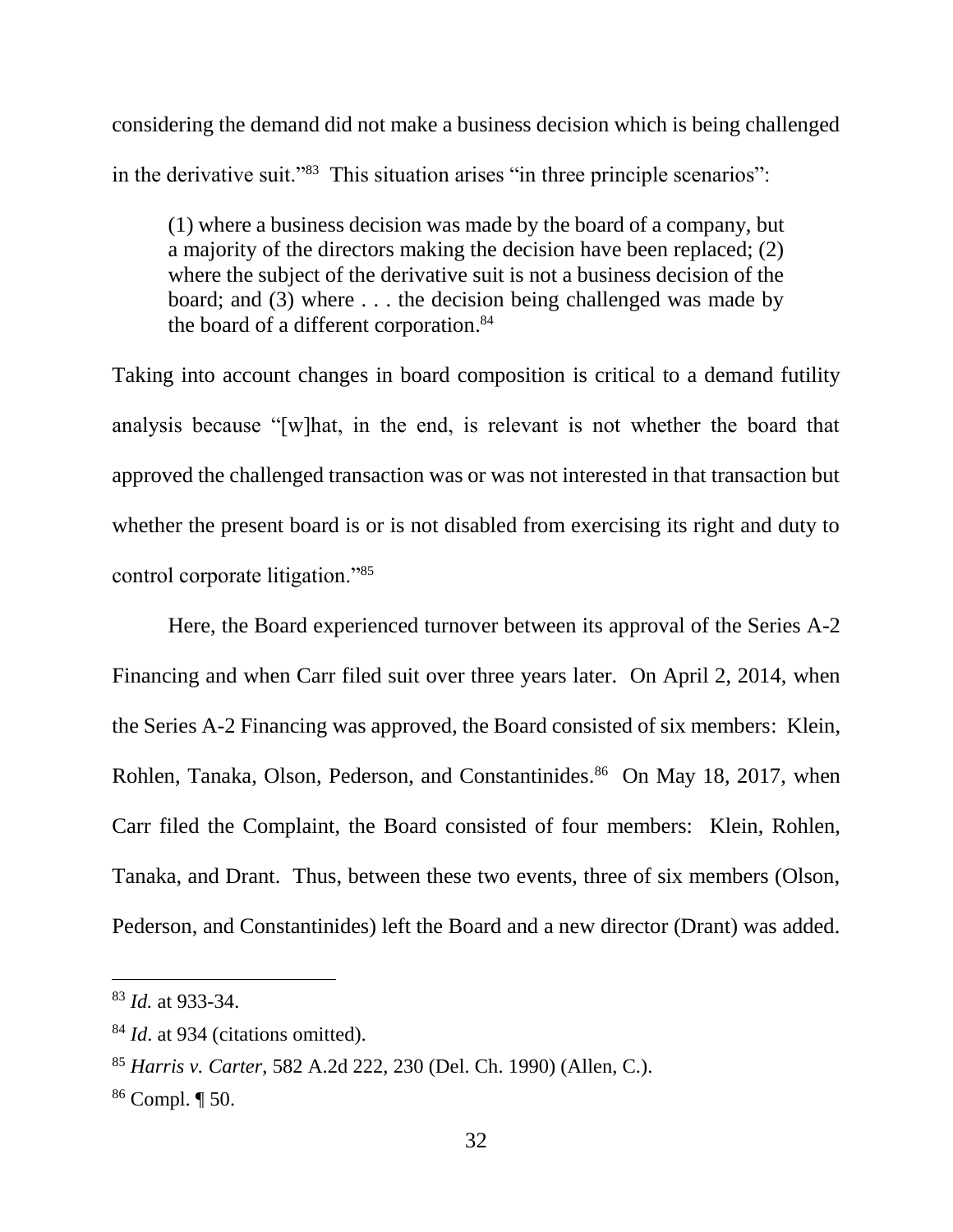considering the demand did not make a business decision which is being challenged in the derivative suit."<sup>83</sup> This situation arises "in three principle scenarios":

(1) where a business decision was made by the board of a company, but a majority of the directors making the decision have been replaced; (2) where the subject of the derivative suit is not a business decision of the board; and (3) where . . . the decision being challenged was made by the board of a different corporation. 84

Taking into account changes in board composition is critical to a demand futility analysis because "[w]hat, in the end, is relevant is not whether the board that approved the challenged transaction was or was not interested in that transaction but whether the present board is or is not disabled from exercising its right and duty to control corporate litigation."<sup>85</sup>

Here, the Board experienced turnover between its approval of the Series A-2 Financing and when Carr filed suit over three years later. On April 2, 2014, when the Series A-2 Financing was approved, the Board consisted of six members: Klein, Rohlen, Tanaka, Olson, Pederson, and Constantinides.<sup>86</sup> On May 18, 2017, when Carr filed the Complaint, the Board consisted of four members: Klein, Rohlen, Tanaka, and Drant. Thus, between these two events, three of six members (Olson, Pederson, and Constantinides) left the Board and a new director (Drant) was added.

<sup>83</sup> *Id.* at 933-34.

<sup>&</sup>lt;sup>84</sup> *Id.* at 934 (citations omitted).

<sup>85</sup> *Harris v. Carter*, 582 A.2d 222, 230 (Del. Ch. 1990) (Allen, C.).

<sup>86</sup> Compl. ¶ 50.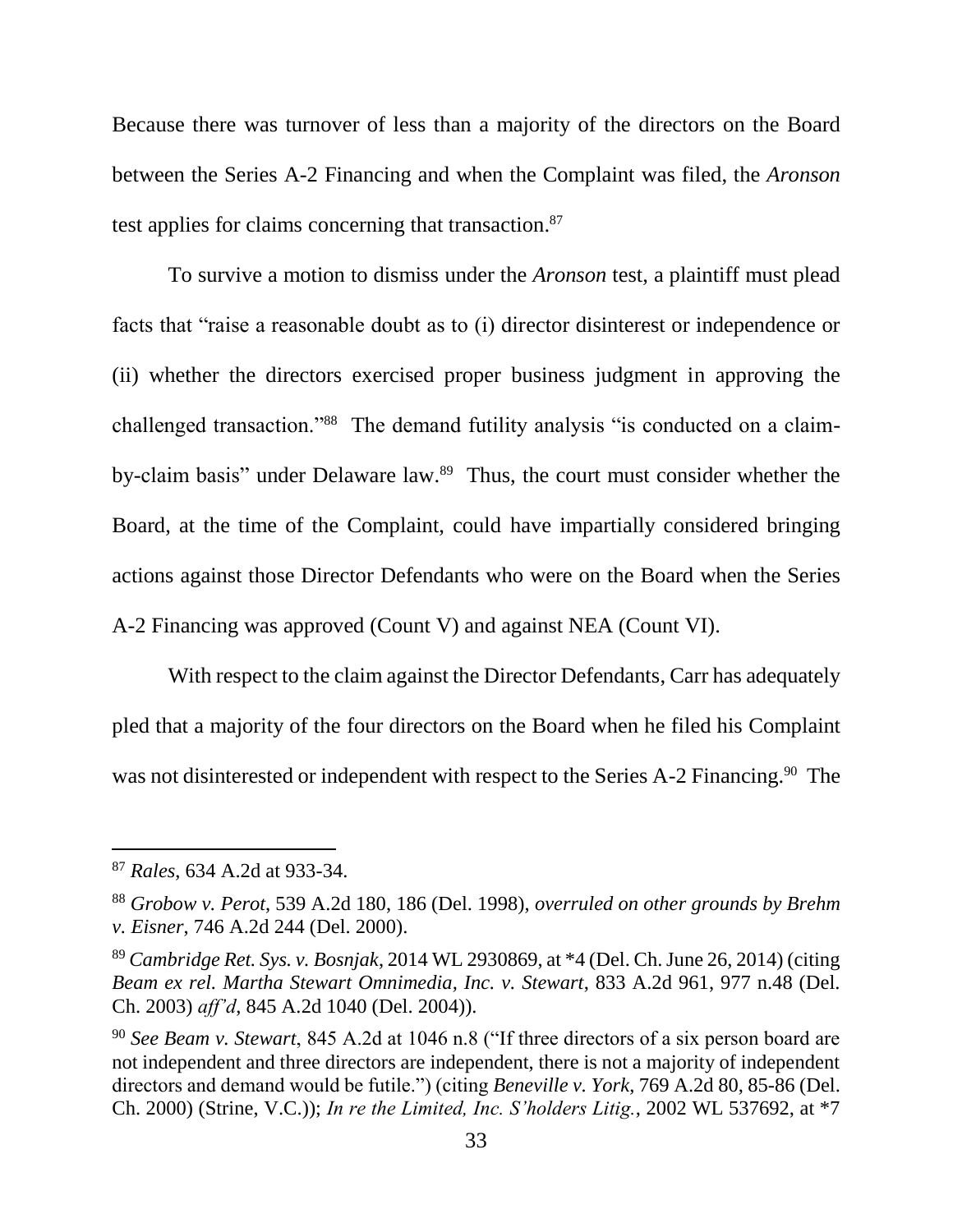Because there was turnover of less than a majority of the directors on the Board between the Series A-2 Financing and when the Complaint was filed, the *Aronson*  test applies for claims concerning that transaction.<sup>87</sup>

To survive a motion to dismiss under the *Aronson* test, a plaintiff must plead facts that "raise a reasonable doubt as to (i) director disinterest or independence or (ii) whether the directors exercised proper business judgment in approving the challenged transaction."<sup>88</sup> The demand futility analysis "is conducted on a claimby-claim basis" under Delaware law. <sup>89</sup> Thus, the court must consider whether the Board, at the time of the Complaint, could have impartially considered bringing actions against those Director Defendants who were on the Board when the Series A-2 Financing was approved (Count V) and against NEA (Count VI).

With respect to the claim against the Director Defendants, Carr has adequately pled that a majority of the four directors on the Board when he filed his Complaint was not disinterested or independent with respect to the Series A-2 Financing.<sup>90</sup> The

<sup>87</sup> *Rales*, 634 A.2d at 933-34.

<sup>88</sup> *Grobow v. Perot*, 539 A.2d 180, 186 (Del. 1998), *overruled on other grounds by Brehm v. Eisner*, 746 A.2d 244 (Del. 2000).

<sup>89</sup> *Cambridge Ret. Sys. v. Bosnjak*, 2014 WL 2930869, at \*4 (Del. Ch. June 26, 2014) (citing *Beam ex rel. Martha Stewart Omnimedia, Inc. v. Stewart*, 833 A.2d 961, 977 n.48 (Del. Ch. 2003) *aff'd*, 845 A.2d 1040 (Del. 2004)).

<sup>90</sup> *See Beam v. Stewart*, 845 A.2d at 1046 n.8 ("If three directors of a six person board are not independent and three directors are independent, there is not a majority of independent directors and demand would be futile.") (citing *Beneville v. York*, 769 A.2d 80, 85-86 (Del. Ch. 2000) (Strine, V.C.)); *In re the Limited, Inc. S'holders Litig.*, 2002 WL 537692, at \*7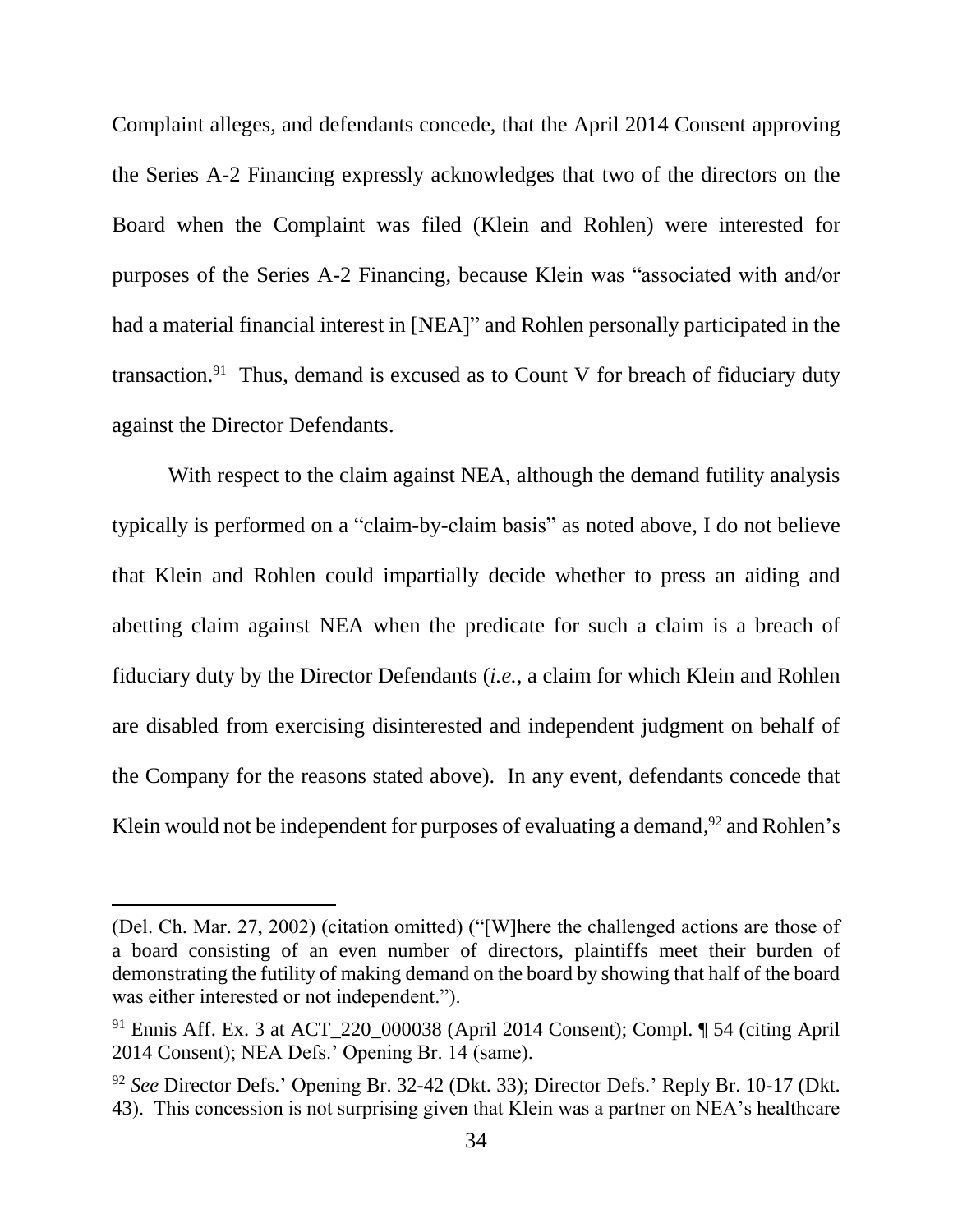Complaint alleges, and defendants concede, that the April 2014 Consent approving the Series A-2 Financing expressly acknowledges that two of the directors on the Board when the Complaint was filed (Klein and Rohlen) were interested for purposes of the Series A-2 Financing, because Klein was "associated with and/or had a material financial interest in [NEA]" and Rohlen personally participated in the transaction.<sup>91</sup> Thus, demand is excused as to Count V for breach of fiduciary duty against the Director Defendants.

With respect to the claim against NEA, although the demand futility analysis typically is performed on a "claim-by-claim basis" as noted above, I do not believe that Klein and Rohlen could impartially decide whether to press an aiding and abetting claim against NEA when the predicate for such a claim is a breach of fiduciary duty by the Director Defendants (*i.e.*, a claim for which Klein and Rohlen are disabled from exercising disinterested and independent judgment on behalf of the Company for the reasons stated above). In any event, defendants concede that Klein would not be independent for purposes of evaluating a demand,<sup>92</sup> and Rohlen's

<sup>(</sup>Del. Ch. Mar. 27, 2002) (citation omitted) ("[W]here the challenged actions are those of a board consisting of an even number of directors, plaintiffs meet their burden of demonstrating the futility of making demand on the board by showing that half of the board was either interested or not independent.").

<sup>91</sup> Ennis Aff. Ex. 3 at ACT\_220\_000038 (April 2014 Consent); Compl. ¶ 54 (citing April 2014 Consent); NEA Defs.' Opening Br. 14 (same).

<sup>92</sup> *See* Director Defs.' Opening Br. 32-42 (Dkt. 33); Director Defs.' Reply Br. 10-17 (Dkt. 43). This concession is not surprising given that Klein was a partner on NEA's healthcare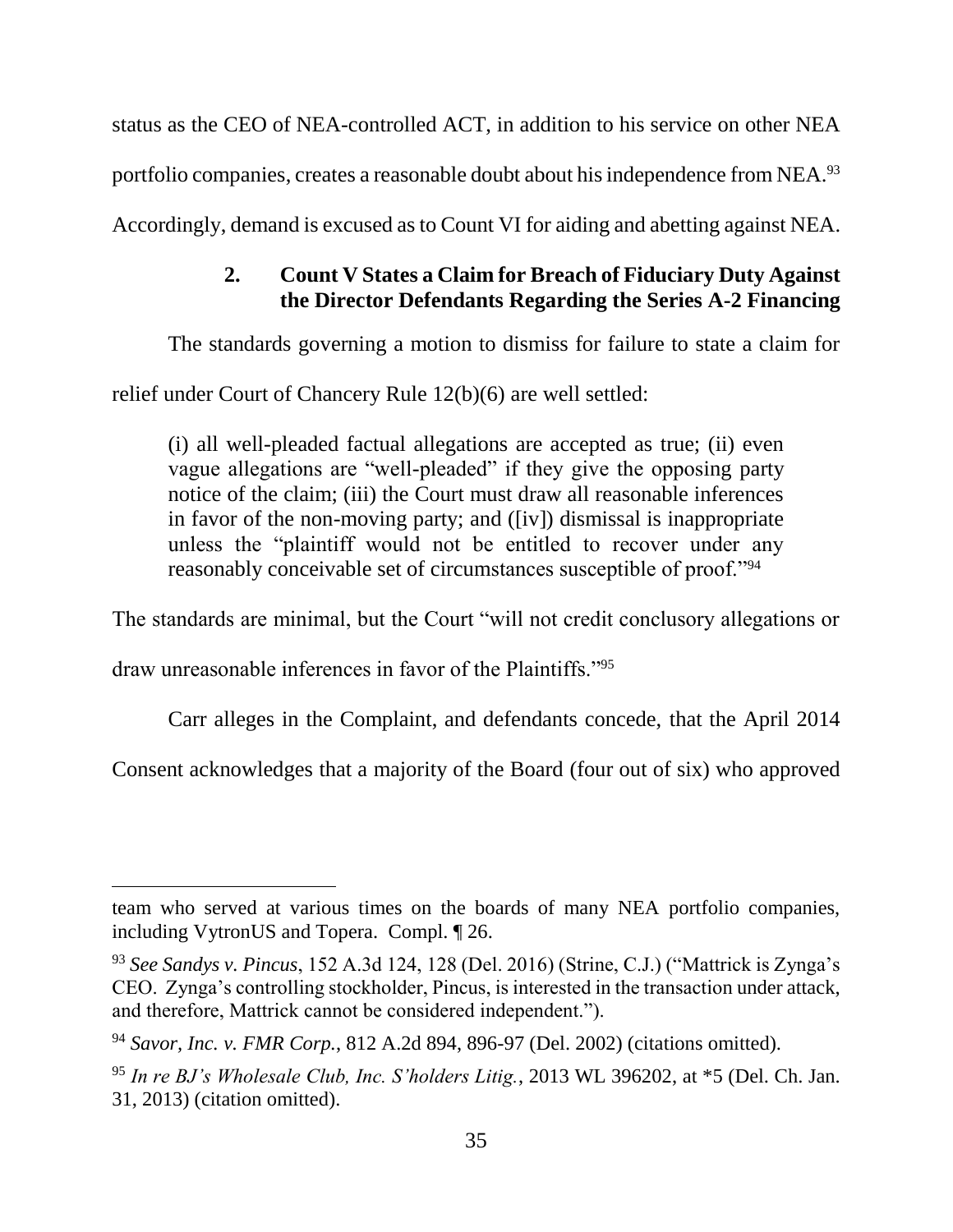status as the CEO of NEA-controlled ACT, in addition to his service on other NEA portfolio companies, creates a reasonable doubt about his independence from NEA.<sup>93</sup>

Accordingly, demand is excused as to Count VI for aiding and abetting against NEA.

# **2. Count V States a Claim for Breach of Fiduciary Duty Against the Director Defendants Regarding the Series A-2 Financing**

The standards governing a motion to dismiss for failure to state a claim for

relief under Court of Chancery Rule 12(b)(6) are well settled:

(i) all well-pleaded factual allegations are accepted as true; (ii) even vague allegations are "well-pleaded" if they give the opposing party notice of the claim; (iii) the Court must draw all reasonable inferences in favor of the non-moving party; and ([iv]) dismissal is inappropriate unless the "plaintiff would not be entitled to recover under any reasonably conceivable set of circumstances susceptible of proof."<sup>94</sup>

The standards are minimal, but the Court "will not credit conclusory allegations or

draw unreasonable inferences in favor of the Plaintiffs."<sup>95</sup>

 $\overline{a}$ 

Carr alleges in the Complaint, and defendants concede, that the April 2014

Consent acknowledges that a majority of the Board (four out of six) who approved

team who served at various times on the boards of many NEA portfolio companies, including VytronUS and Topera. Compl. ¶ 26.

<sup>93</sup> *See Sandys v. Pincus*, 152 A.3d 124, 128 (Del. 2016) (Strine, C.J.) ("Mattrick is Zynga's CEO. Zynga's controlling stockholder, Pincus, is interested in the transaction under attack, and therefore, Mattrick cannot be considered independent.").

<sup>94</sup> *Savor, Inc. v. FMR Corp.*, 812 A.2d 894, 896-97 (Del. 2002) (citations omitted).

<sup>95</sup> *In re BJ's Wholesale Club, Inc. S'holders Litig.*, 2013 WL 396202, at \*5 (Del. Ch. Jan. 31, 2013) (citation omitted).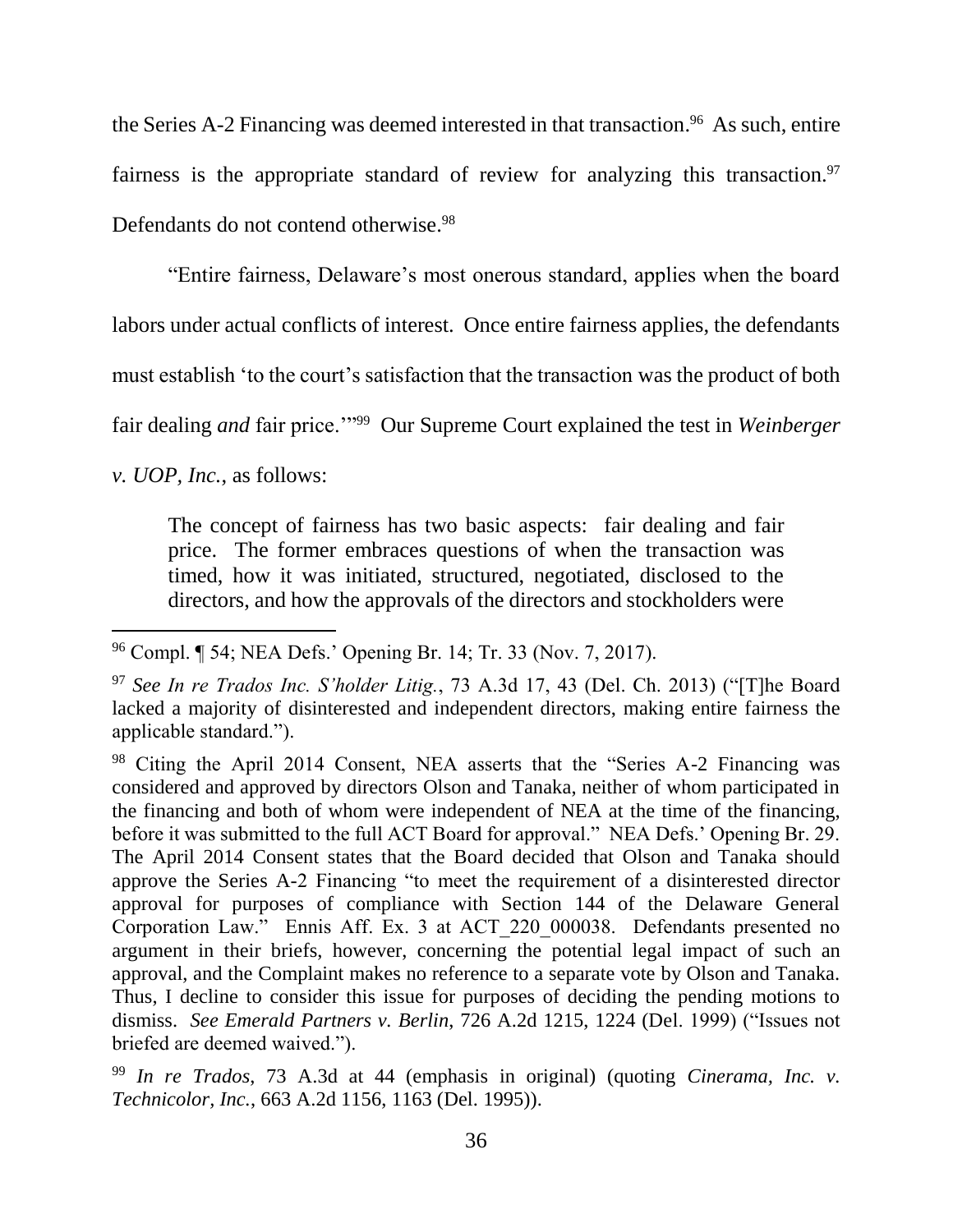the Series A-2 Financing was deemed interested in that transaction. 96 As such, entire fairness is the appropriate standard of review for analyzing this transaction.<sup>97</sup> Defendants do not contend otherwise.<sup>98</sup>

"Entire fairness, Delaware's most onerous standard, applies when the board labors under actual conflicts of interest. Once entire fairness applies, the defendants must establish 'to the court's satisfaction that the transaction was the product of both fair dealing *and* fair price."<sup>99</sup> Our Supreme Court explained the test in *Weinberger* 

*v. UOP, Inc.*, as follows:

l

The concept of fairness has two basic aspects: fair dealing and fair price. The former embraces questions of when the transaction was timed, how it was initiated, structured, negotiated, disclosed to the directors, and how the approvals of the directors and stockholders were

<sup>96</sup> Compl. ¶ 54; NEA Defs.' Opening Br. 14; Tr. 33 (Nov. 7, 2017).

<sup>97</sup> *See In re Trados Inc. S'holder Litig.*, 73 A.3d 17, 43 (Del. Ch. 2013) ("[T]he Board lacked a majority of disinterested and independent directors, making entire fairness the applicable standard.").

<sup>98</sup> Citing the April 2014 Consent, NEA asserts that the "Series A-2 Financing was considered and approved by directors Olson and Tanaka, neither of whom participated in the financing and both of whom were independent of NEA at the time of the financing, before it was submitted to the full ACT Board for approval." NEA Defs.' Opening Br. 29. The April 2014 Consent states that the Board decided that Olson and Tanaka should approve the Series A-2 Financing "to meet the requirement of a disinterested director approval for purposes of compliance with Section 144 of the Delaware General Corporation Law." Ennis Aff. Ex. 3 at ACT\_220\_000038. Defendants presented no argument in their briefs, however, concerning the potential legal impact of such an approval, and the Complaint makes no reference to a separate vote by Olson and Tanaka. Thus, I decline to consider this issue for purposes of deciding the pending motions to dismiss. *See Emerald Partners v. Berlin*, 726 A.2d 1215, 1224 (Del. 1999) ("Issues not briefed are deemed waived.").

<sup>99</sup> *In re Trados*, 73 A.3d at 44 (emphasis in original) (quoting *Cinerama, Inc. v. Technicolor, Inc.*, 663 A.2d 1156, 1163 (Del. 1995)).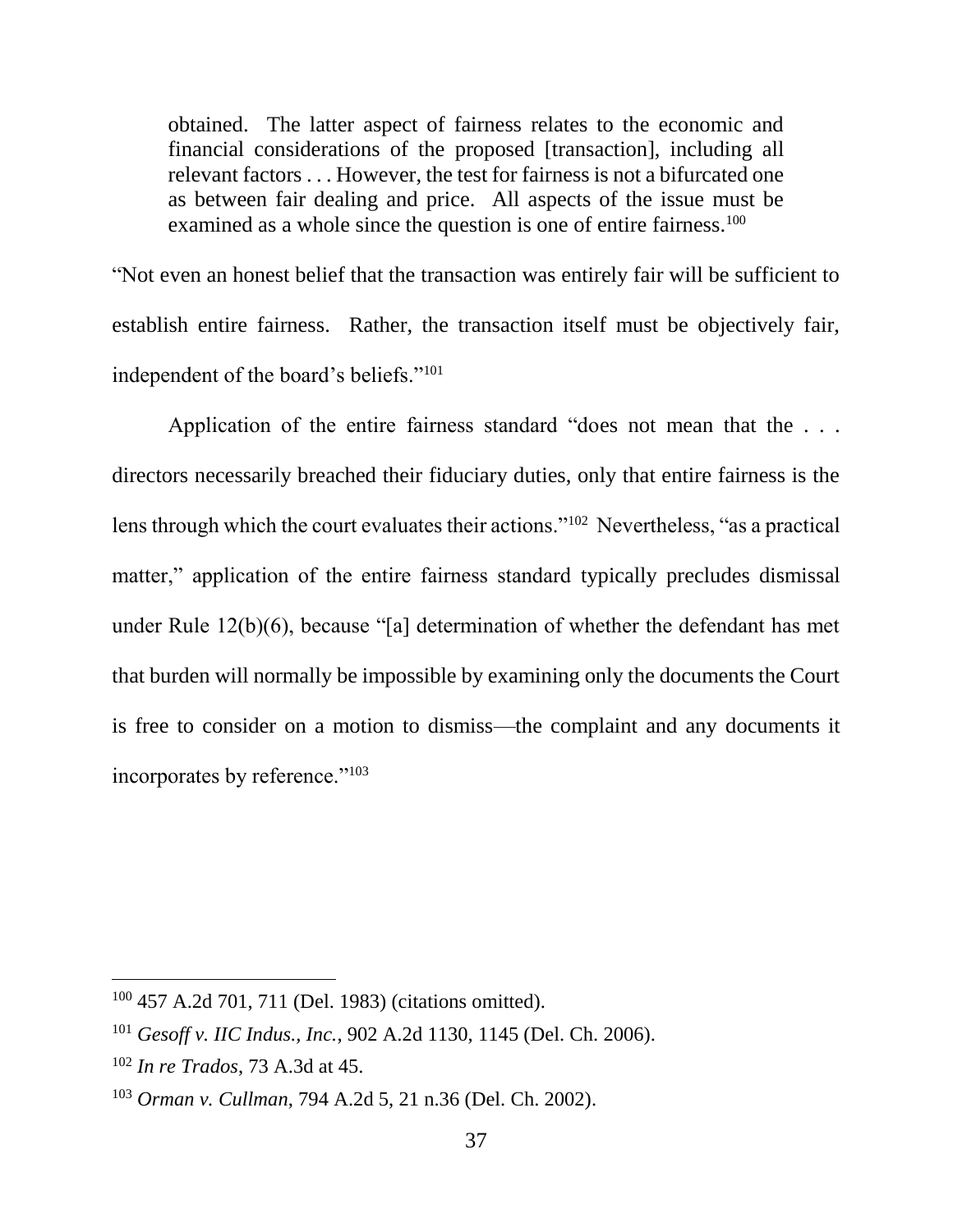obtained. The latter aspect of fairness relates to the economic and financial considerations of the proposed [transaction], including all relevant factors . . . However, the test for fairness is not a bifurcated one as between fair dealing and price. All aspects of the issue must be examined as a whole since the question is one of entire fairness.<sup>100</sup>

"Not even an honest belief that the transaction was entirely fair will be sufficient to establish entire fairness. Rather, the transaction itself must be objectively fair, independent of the board's beliefs."<sup>101</sup>

Application of the entire fairness standard "does not mean that the . . . directors necessarily breached their fiduciary duties, only that entire fairness is the lens through which the court evaluates their actions."<sup>102</sup> Nevertheless, "as a practical matter," application of the entire fairness standard typically precludes dismissal under Rule 12(b)(6), because "[a] determination of whether the defendant has met that burden will normally be impossible by examining only the documents the Court is free to consider on a motion to dismiss—the complaint and any documents it incorporates by reference."<sup>103</sup>

<sup>100</sup> 457 A.2d 701, 711 (Del. 1983) (citations omitted).

<sup>101</sup> *Gesoff v. IIC Indus., Inc.*, 902 A.2d 1130, 1145 (Del. Ch. 2006).

<sup>102</sup> *In re Trados*, 73 A.3d at 45.

<sup>103</sup> *Orman v. Cullman*, 794 A.2d 5, 21 n.36 (Del. Ch. 2002).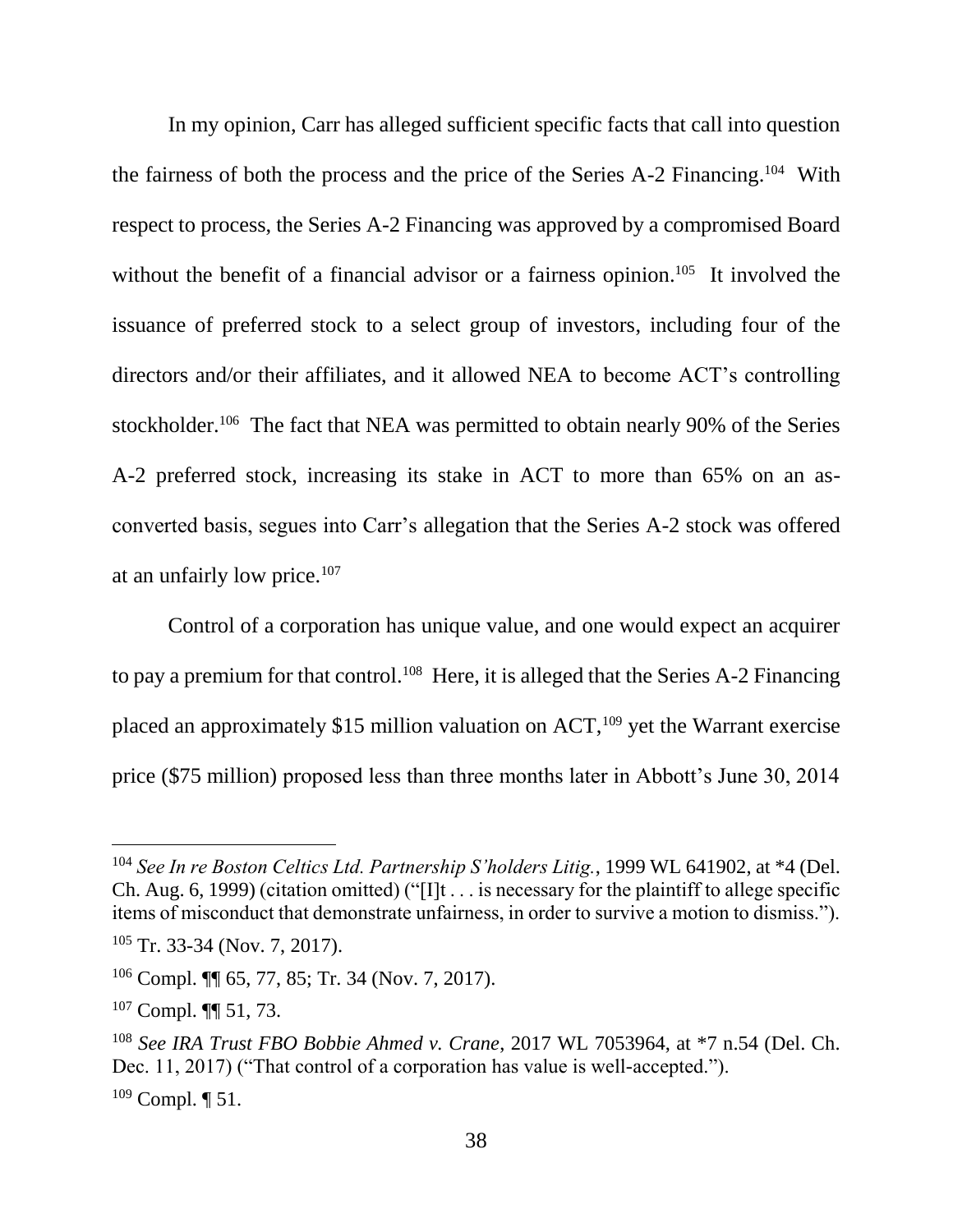In my opinion, Carr has alleged sufficient specific facts that call into question the fairness of both the process and the price of the Series A-2 Financing.<sup>104</sup> With respect to process, the Series A-2 Financing was approved by a compromised Board without the benefit of a financial advisor or a fairness opinion.<sup>105</sup> It involved the issuance of preferred stock to a select group of investors, including four of the directors and/or their affiliates, and it allowed NEA to become ACT's controlling stockholder.<sup>106</sup> The fact that NEA was permitted to obtain nearly 90% of the Series A-2 preferred stock, increasing its stake in ACT to more than 65% on an asconverted basis, segues into Carr's allegation that the Series A-2 stock was offered at an unfairly low price.<sup>107</sup>

Control of a corporation has unique value, and one would expect an acquirer to pay a premium for that control.<sup>108</sup> Here, it is alleged that the Series A-2 Financing placed an approximately  $$15$  million valuation on ACT,<sup>109</sup> yet the Warrant exercise price (\$75 million) proposed less than three months later in Abbott's June 30, 2014

<sup>104</sup> *See In re Boston Celtics Ltd. Partnership S'holders Litig.*, 1999 WL 641902, at \*4 (Del. Ch. Aug. 6, 1999) (citation omitted) (" $[1]t \dots$  is necessary for the plaintiff to allege specific items of misconduct that demonstrate unfairness, in order to survive a motion to dismiss.").

 $105$  Tr. 33-34 (Nov. 7, 2017).

<sup>106</sup> Compl. ¶¶ 65, 77, 85; Tr. 34 (Nov. 7, 2017).

<sup>107</sup> Compl. ¶¶ 51, 73.

<sup>108</sup> *See IRA Trust FBO Bobbie Ahmed v. Crane*, 2017 WL 7053964, at \*7 n.54 (Del. Ch. Dec. 11, 2017) ("That control of a corporation has value is well-accepted.").  $109$  Compl.  $\P$  51.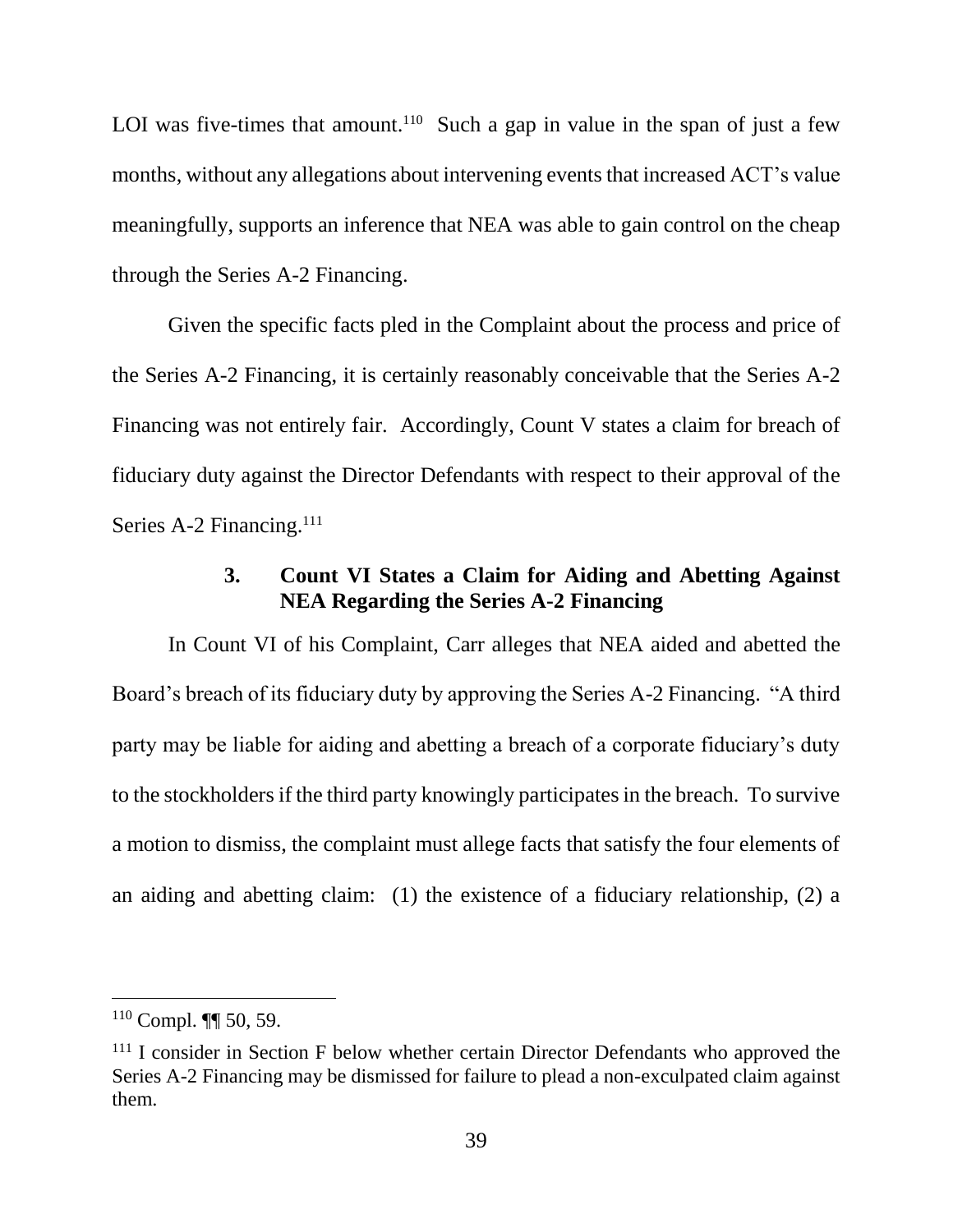LOI was five-times that amount.<sup>110</sup> Such a gap in value in the span of just a few months, without any allegations about intervening events that increased ACT's value meaningfully, supports an inference that NEA was able to gain control on the cheap through the Series A-2 Financing.

Given the specific facts pled in the Complaint about the process and price of the Series A-2 Financing, it is certainly reasonably conceivable that the Series A-2 Financing was not entirely fair. Accordingly, Count V states a claim for breach of fiduciary duty against the Director Defendants with respect to their approval of the Series A-2 Financing.<sup>111</sup>

### **3. Count VI States a Claim for Aiding and Abetting Against NEA Regarding the Series A-2 Financing**

In Count VI of his Complaint, Carr alleges that NEA aided and abetted the Board's breach of its fiduciary duty by approving the Series A-2 Financing. "A third party may be liable for aiding and abetting a breach of a corporate fiduciary's duty to the stockholders if the third party knowingly participates in the breach. To survive a motion to dismiss, the complaint must allege facts that satisfy the four elements of an aiding and abetting claim: (1) the existence of a fiduciary relationship, (2) a

<sup>110</sup> Compl. ¶¶ 50, 59.

<sup>&</sup>lt;sup>111</sup> I consider in Section F below whether certain Director Defendants who approved the Series A-2 Financing may be dismissed for failure to plead a non-exculpated claim against them.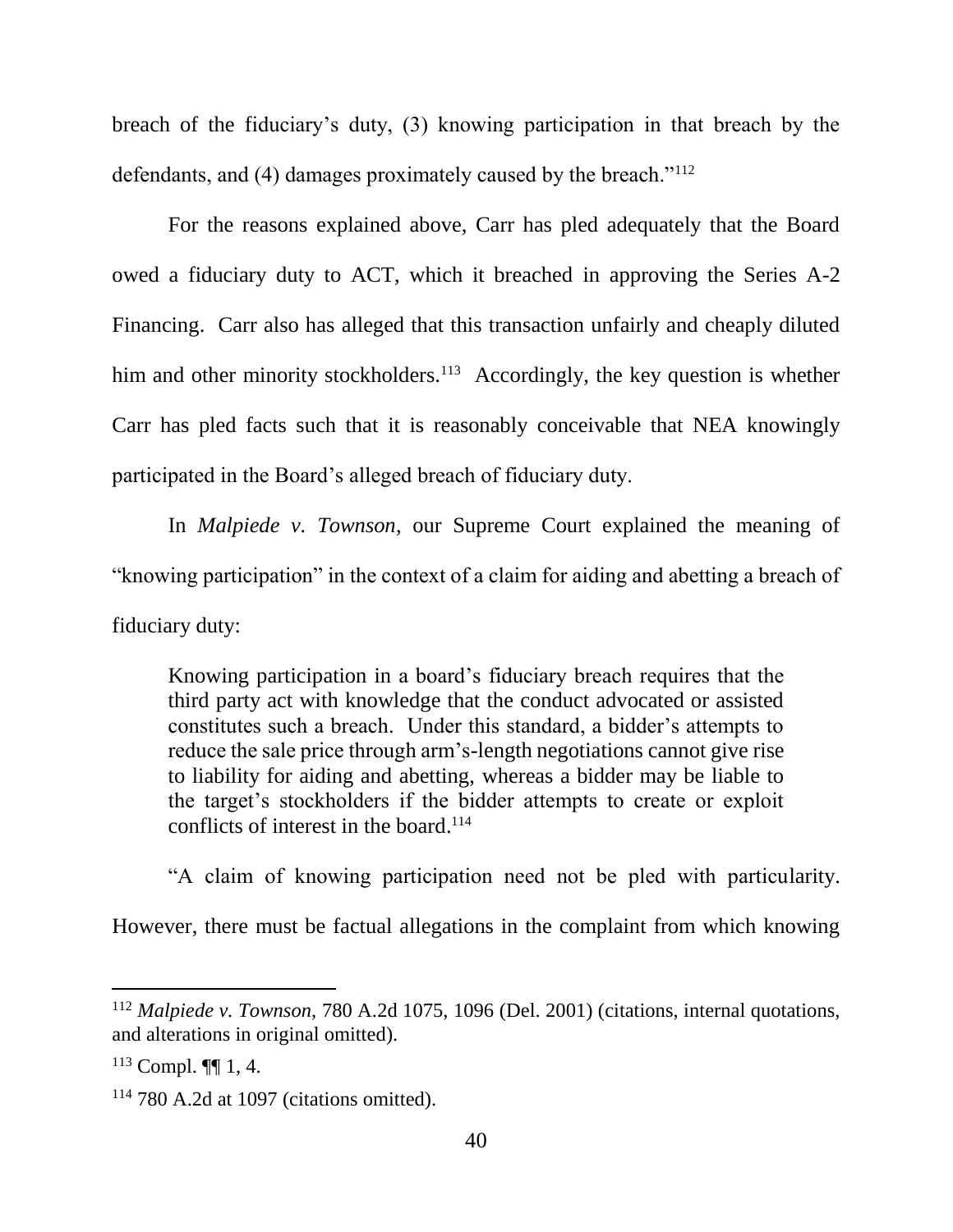breach of the fiduciary's duty, (3) knowing participation in that breach by the defendants, and (4) damages proximately caused by the breach."<sup>112</sup>

For the reasons explained above, Carr has pled adequately that the Board owed a fiduciary duty to ACT, which it breached in approving the Series A-2 Financing. Carr also has alleged that this transaction unfairly and cheaply diluted him and other minority stockholders.<sup>113</sup> Accordingly, the key question is whether Carr has pled facts such that it is reasonably conceivable that NEA knowingly participated in the Board's alleged breach of fiduciary duty.

In *Malpiede v. Townson*, our Supreme Court explained the meaning of "knowing participation" in the context of a claim for aiding and abetting a breach of fiduciary duty:

Knowing participation in a board's fiduciary breach requires that the third party act with knowledge that the conduct advocated or assisted constitutes such a breach. Under this standard, a bidder's attempts to reduce the sale price through arm's-length negotiations cannot give rise to liability for aiding and abetting, whereas a bidder may be liable to the target's stockholders if the bidder attempts to create or exploit conflicts of interest in the board. 114

"A claim of knowing participation need not be pled with particularity.

However, there must be factual allegations in the complaint from which knowing

<sup>112</sup> *Malpiede v. Townson*, 780 A.2d 1075, 1096 (Del. 2001) (citations, internal quotations, and alterations in original omitted).

 $113$  Compl.  $\P\P$  1, 4.

 $114$  780 A.2d at 1097 (citations omitted).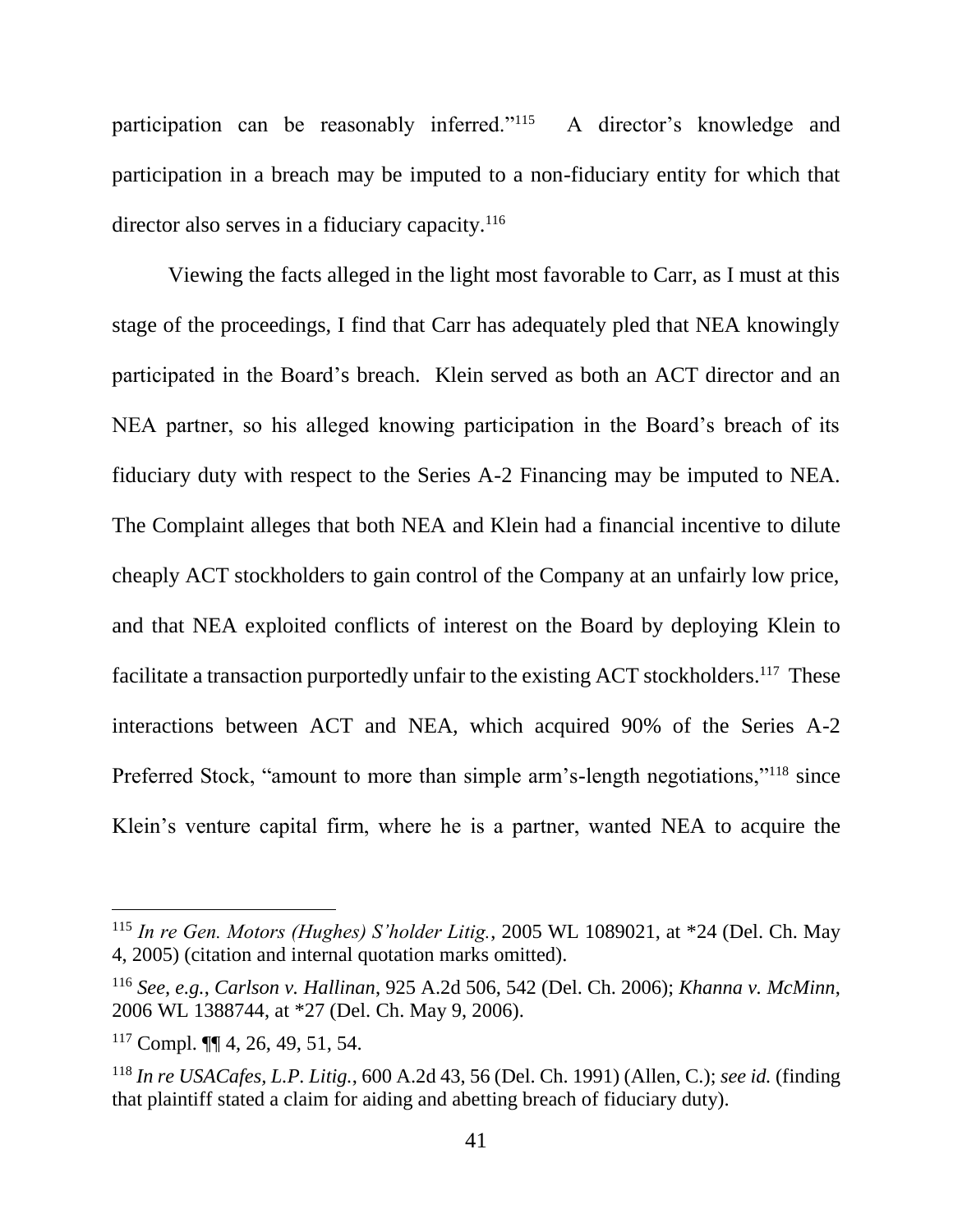participation can be reasonably inferred."<sup>115</sup> A director's knowledge and participation in a breach may be imputed to a non-fiduciary entity for which that director also serves in a fiduciary capacity.<sup>116</sup>

Viewing the facts alleged in the light most favorable to Carr, as I must at this stage of the proceedings, I find that Carr has adequately pled that NEA knowingly participated in the Board's breach. Klein served as both an ACT director and an NEA partner, so his alleged knowing participation in the Board's breach of its fiduciary duty with respect to the Series A-2 Financing may be imputed to NEA. The Complaint alleges that both NEA and Klein had a financial incentive to dilute cheaply ACT stockholders to gain control of the Company at an unfairly low price, and that NEA exploited conflicts of interest on the Board by deploying Klein to facilitate a transaction purportedly unfair to the existing ACT stockholders.<sup>117</sup> These interactions between ACT and NEA, which acquired 90% of the Series A-2 Preferred Stock, "amount to more than simple arm's-length negotiations,"<sup>118</sup> since Klein's venture capital firm, where he is a partner, wanted NEA to acquire the

<sup>115</sup> *In re Gen. Motors (Hughes) S'holder Litig.*, 2005 WL 1089021, at \*24 (Del. Ch. May 4, 2005) (citation and internal quotation marks omitted).

<sup>116</sup> *See, e.g.*, *Carlson v. Hallinan*, 925 A.2d 506, 542 (Del. Ch. 2006); *Khanna v. McMinn*, 2006 WL 1388744, at \*27 (Del. Ch. May 9, 2006).

<sup>117</sup> Compl. ¶¶ 4, 26, 49, 51, 54.

<sup>118</sup> *In re USACafes, L.P. Litig.*, 600 A.2d 43, 56 (Del. Ch. 1991) (Allen, C.); *see id.* (finding that plaintiff stated a claim for aiding and abetting breach of fiduciary duty).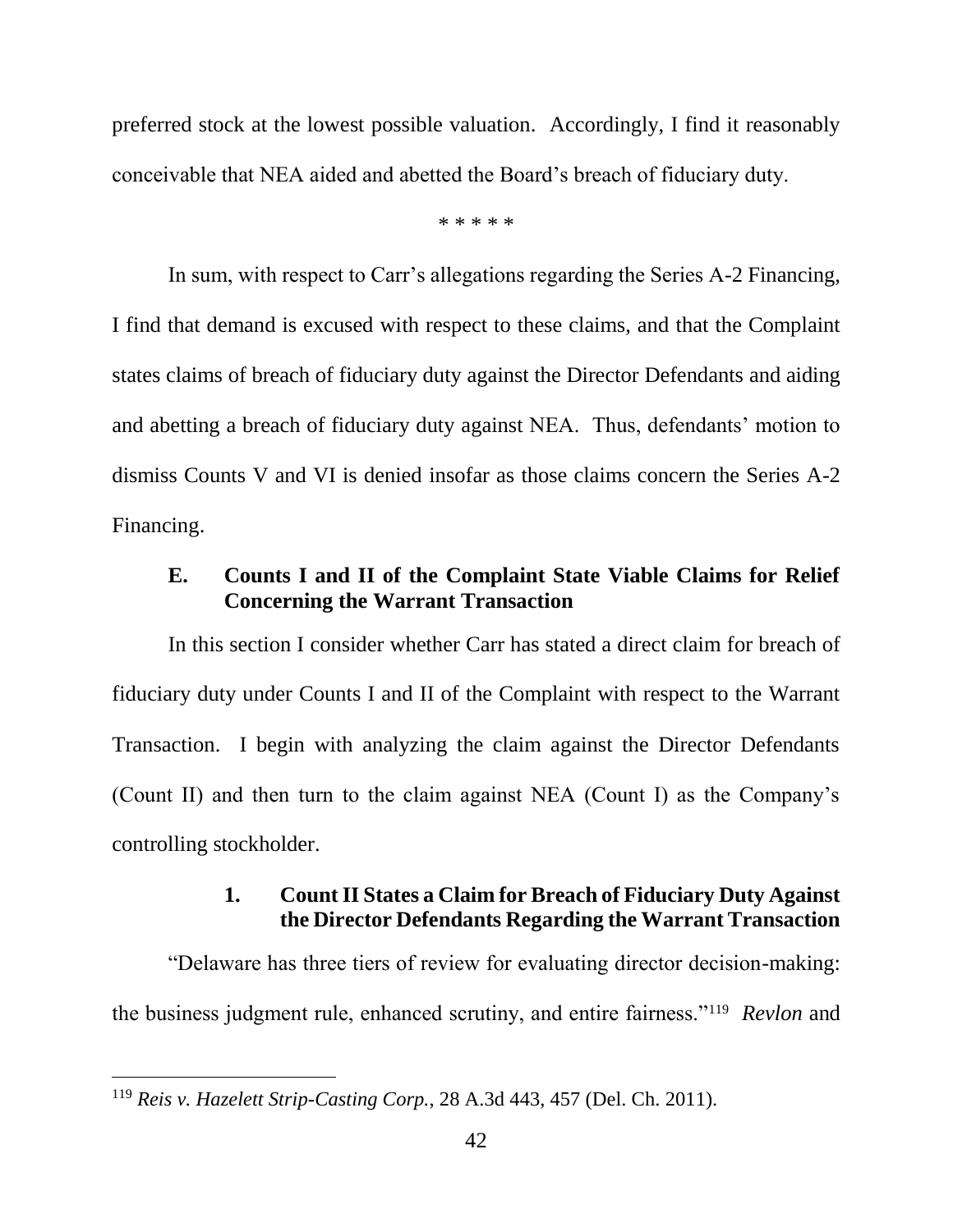preferred stock at the lowest possible valuation. Accordingly, I find it reasonably conceivable that NEA aided and abetted the Board's breach of fiduciary duty.

\* \* \* \* \*

In sum, with respect to Carr's allegations regarding the Series A-2 Financing, I find that demand is excused with respect to these claims, and that the Complaint states claims of breach of fiduciary duty against the Director Defendants and aiding and abetting a breach of fiduciary duty against NEA. Thus, defendants' motion to dismiss Counts V and VI is denied insofar as those claims concern the Series A-2 Financing.

# **E. Counts I and II of the Complaint State Viable Claims for Relief Concerning the Warrant Transaction**

In this section I consider whether Carr has stated a direct claim for breach of fiduciary duty under Counts I and II of the Complaint with respect to the Warrant Transaction. I begin with analyzing the claim against the Director Defendants (Count II) and then turn to the claim against NEA (Count I) as the Company's controlling stockholder.

## **1. Count II States a Claim for Breach of Fiduciary Duty Against the Director Defendants Regarding the Warrant Transaction**

"Delaware has three tiers of review for evaluating director decision-making: the business judgment rule, enhanced scrutiny, and entire fairness."<sup>119</sup> *Revlon* and

<sup>119</sup> *Reis v. Hazelett Strip-Casting Corp.*, 28 A.3d 443, 457 (Del. Ch. 2011).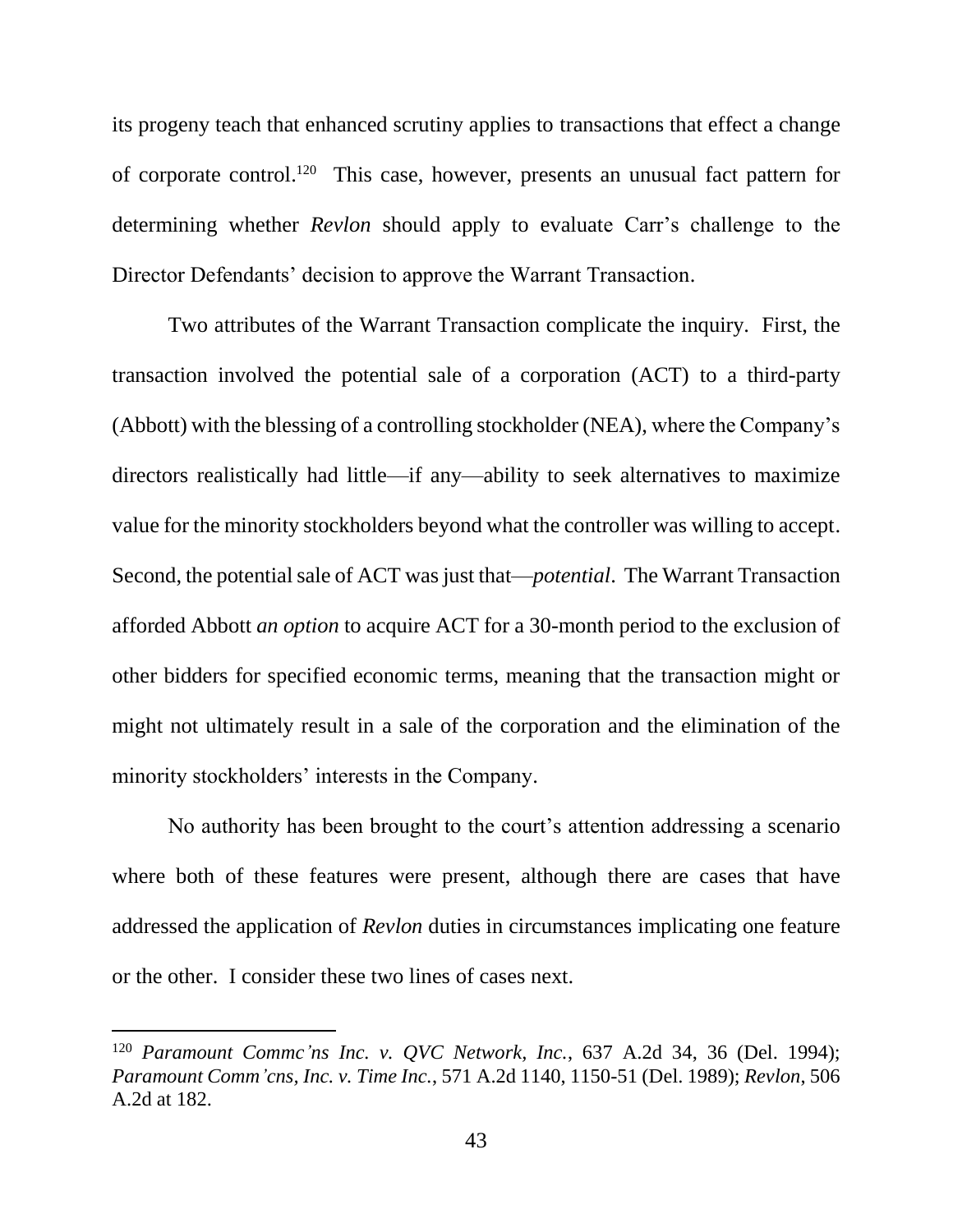its progeny teach that enhanced scrutiny applies to transactions that effect a change of corporate control. 120 This case, however, presents an unusual fact pattern for determining whether *Revlon* should apply to evaluate Carr's challenge to the Director Defendants' decision to approve the Warrant Transaction.

Two attributes of the Warrant Transaction complicate the inquiry. First, the transaction involved the potential sale of a corporation (ACT) to a third-party (Abbott) with the blessing of a controlling stockholder (NEA), where the Company's directors realistically had little—if any—ability to seek alternatives to maximize value for the minority stockholders beyond what the controller was willing to accept. Second, the potential sale of ACT was just that—*potential*. The Warrant Transaction afforded Abbott *an option* to acquire ACT for a 30-month period to the exclusion of other bidders for specified economic terms, meaning that the transaction might or might not ultimately result in a sale of the corporation and the elimination of the minority stockholders' interests in the Company.

No authority has been brought to the court's attention addressing a scenario where both of these features were present, although there are cases that have addressed the application of *Revlon* duties in circumstances implicating one feature or the other. I consider these two lines of cases next.

<sup>120</sup> *Paramount Commc'ns Inc. v. QVC Network, Inc.*, 637 A.2d 34, 36 (Del. 1994); *Paramount Comm'cns, Inc. v. Time Inc.*, 571 A.2d 1140, 1150-51 (Del. 1989); *Revlon*, 506 A.2d at 182.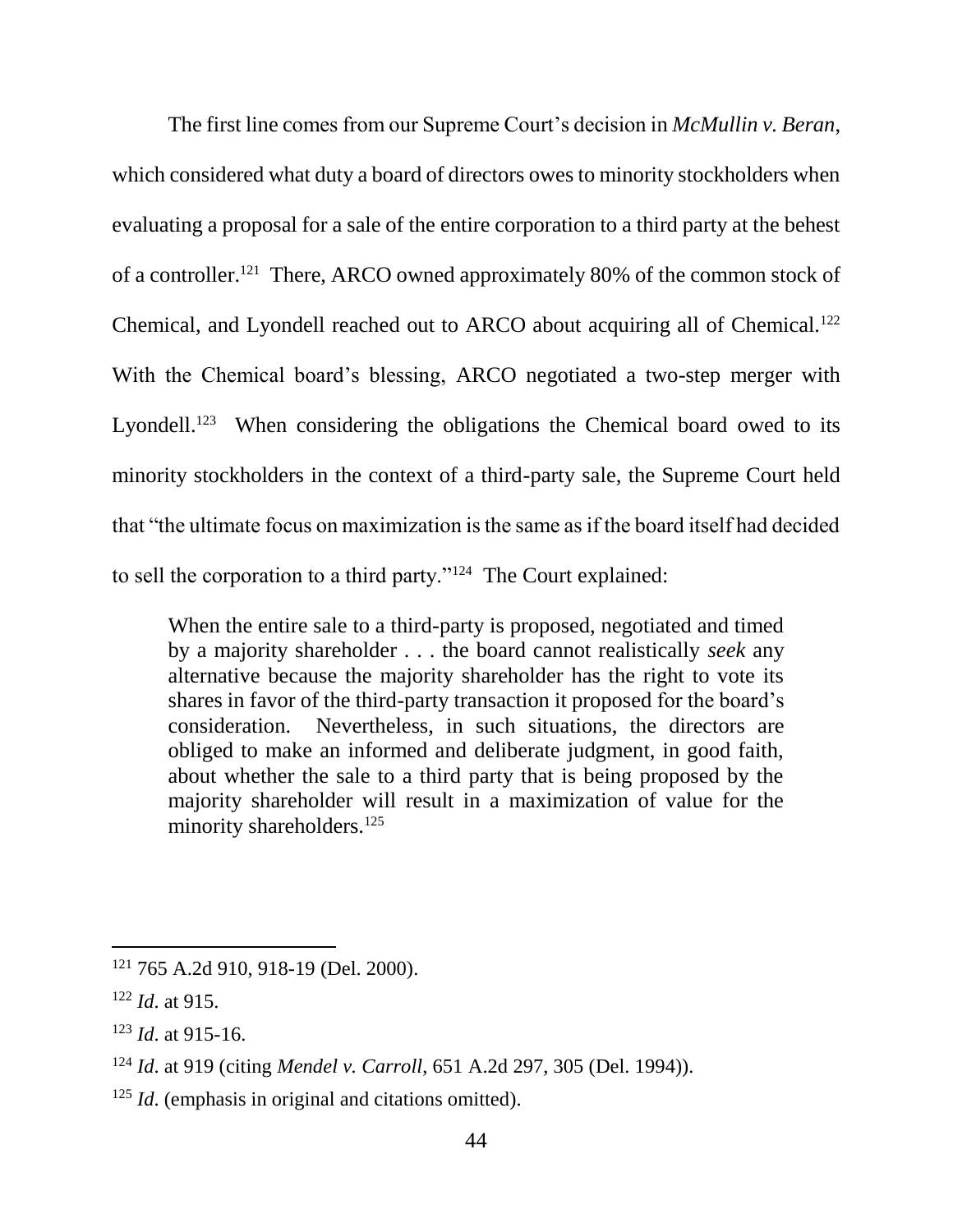The first line comes from our Supreme Court's decision in *McMullin v. Beran*, which considered what duty a board of directors owes to minority stockholders when evaluating a proposal for a sale of the entire corporation to a third party at the behest of a controller.<sup>121</sup> There, ARCO owned approximately 80% of the common stock of Chemical, and Lyondell reached out to ARCO about acquiring all of Chemical.<sup>122</sup> With the Chemical board's blessing, ARCO negotiated a two-step merger with Lyondell.<sup>123</sup> When considering the obligations the Chemical board owed to its minority stockholders in the context of a third-party sale, the Supreme Court held that "the ultimate focus on maximization is the same as if the board itself had decided to sell the corporation to a third party."<sup>124</sup> The Court explained:

When the entire sale to a third-party is proposed, negotiated and timed by a majority shareholder . . . the board cannot realistically *seek* any alternative because the majority shareholder has the right to vote its shares in favor of the third-party transaction it proposed for the board's consideration. Nevertheless, in such situations, the directors are obliged to make an informed and deliberate judgment, in good faith, about whether the sale to a third party that is being proposed by the majority shareholder will result in a maximization of value for the minority shareholders.<sup>125</sup>

<sup>121</sup> 765 A.2d 910, 918-19 (Del. 2000).

<sup>122</sup> *Id*. at 915.

<sup>123</sup> *Id*. at 915-16.

<sup>124</sup> *Id*. at 919 (citing *Mendel v. Carroll*, 651 A.2d 297, 305 (Del. 1994)).

<sup>&</sup>lt;sup>125</sup> *Id*. (emphasis in original and citations omitted).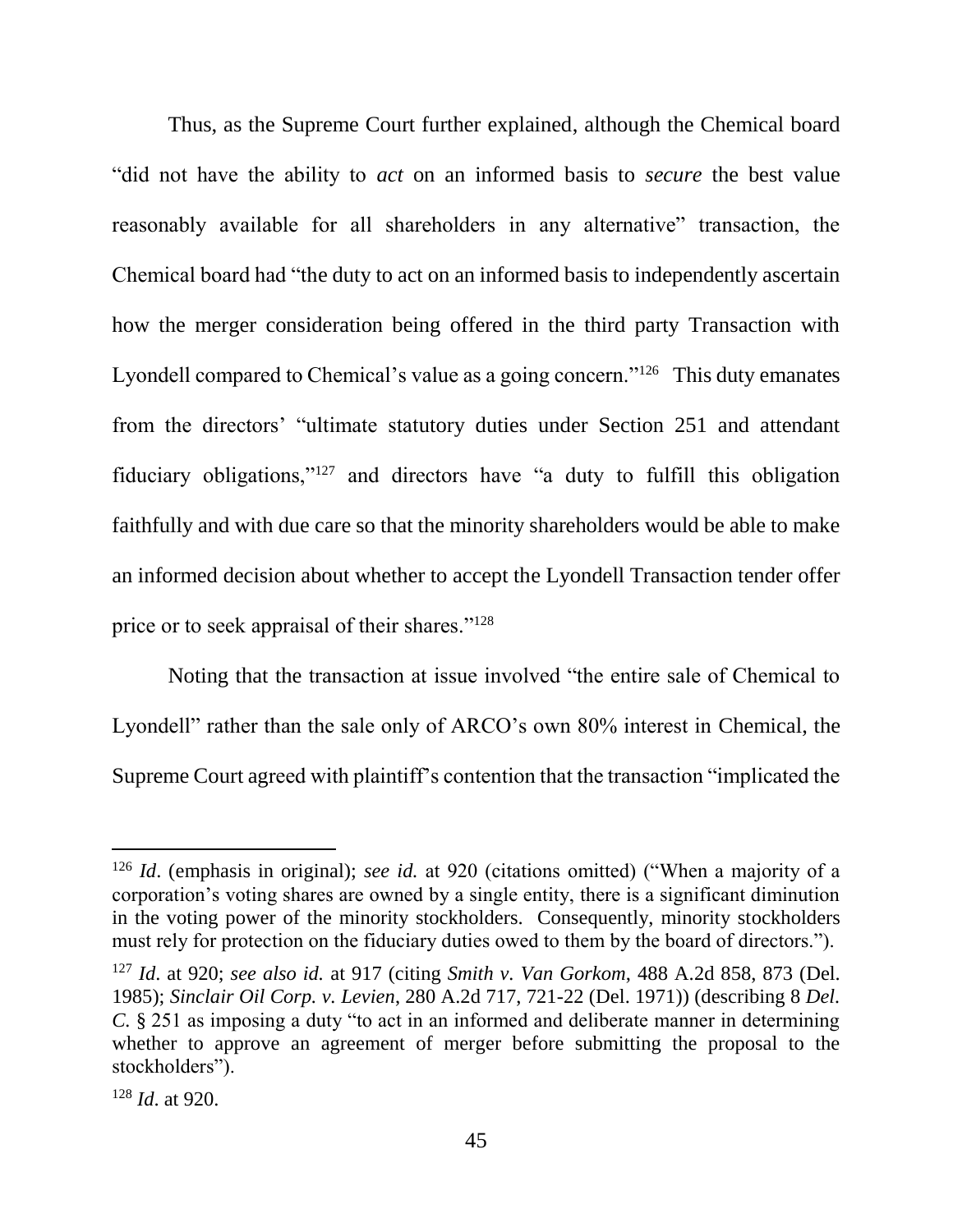Thus, as the Supreme Court further explained, although the Chemical board "did not have the ability to *act* on an informed basis to *secure* the best value reasonably available for all shareholders in any alternative" transaction, the Chemical board had "the duty to act on an informed basis to independently ascertain how the merger consideration being offered in the third party Transaction with Lyondell compared to Chemical's value as a going concern."<sup>126</sup> This duty emanates from the directors' "ultimate statutory duties under Section 251 and attendant fiduciary obligations,"<sup>127</sup> and directors have "a duty to fulfill this obligation faithfully and with due care so that the minority shareholders would be able to make an informed decision about whether to accept the Lyondell Transaction tender offer price or to seek appraisal of their shares."<sup>128</sup>

Noting that the transaction at issue involved "the entire sale of Chemical to Lyondell" rather than the sale only of ARCO's own 80% interest in Chemical, the Supreme Court agreed with plaintiff's contention that the transaction "implicated the

<sup>126</sup> *Id*. (emphasis in original); *see id.* at 920 (citations omitted) ("When a majority of a corporation's voting shares are owned by a single entity, there is a significant diminution in the voting power of the minority stockholders. Consequently, minority stockholders must rely for protection on the fiduciary duties owed to them by the board of directors.").

<sup>127</sup> *Id*. at 920; *see also id.* at 917 (citing *Smith v. Van Gorkom*, 488 A.2d 858, 873 (Del. 1985); *Sinclair Oil Corp. v. Levien*, 280 A.2d 717, 721-22 (Del. 1971)) (describing 8 *Del. C.* § 251 as imposing a duty "to act in an informed and deliberate manner in determining whether to approve an agreement of merger before submitting the proposal to the stockholders").

<sup>128</sup> *Id*. at 920.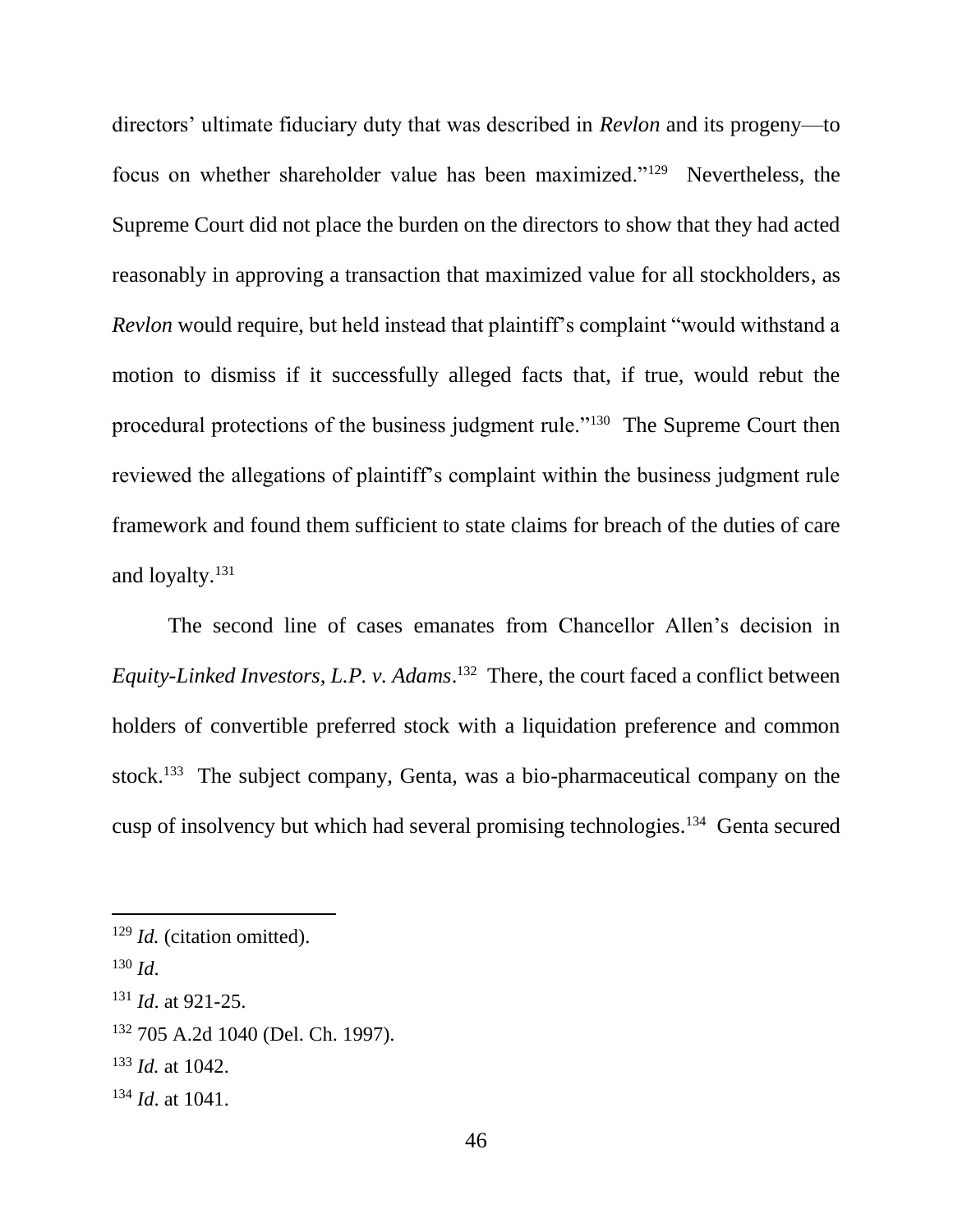directors' ultimate fiduciary duty that was described in *Revlon* and its progeny—to focus on whether shareholder value has been maximized."<sup>129</sup> Nevertheless, the Supreme Court did not place the burden on the directors to show that they had acted reasonably in approving a transaction that maximized value for all stockholders, as *Revlon* would require, but held instead that plaintiff's complaint "would withstand a motion to dismiss if it successfully alleged facts that, if true, would rebut the procedural protections of the business judgment rule."<sup>130</sup> The Supreme Court then reviewed the allegations of plaintiff's complaint within the business judgment rule framework and found them sufficient to state claims for breach of the duties of care and loyalty.<sup>131</sup>

The second line of cases emanates from Chancellor Allen's decision in *Equity-Linked Investors, L.P. v. Adams*. 132 There, the court faced a conflict between holders of convertible preferred stock with a liquidation preference and common stock.<sup>133</sup> The subject company, Genta, was a bio-pharmaceutical company on the cusp of insolvency but which had several promising technologies.<sup>134</sup> Genta secured

- <sup>132</sup> 705 A.2d 1040 (Del. Ch. 1997).
- <sup>133</sup> *Id.* at 1042.

<sup>129</sup> *Id.* (citation omitted).

<sup>130</sup> *Id*.

<sup>131</sup> *Id*. at 921-25.

<sup>134</sup> *Id*. at 1041.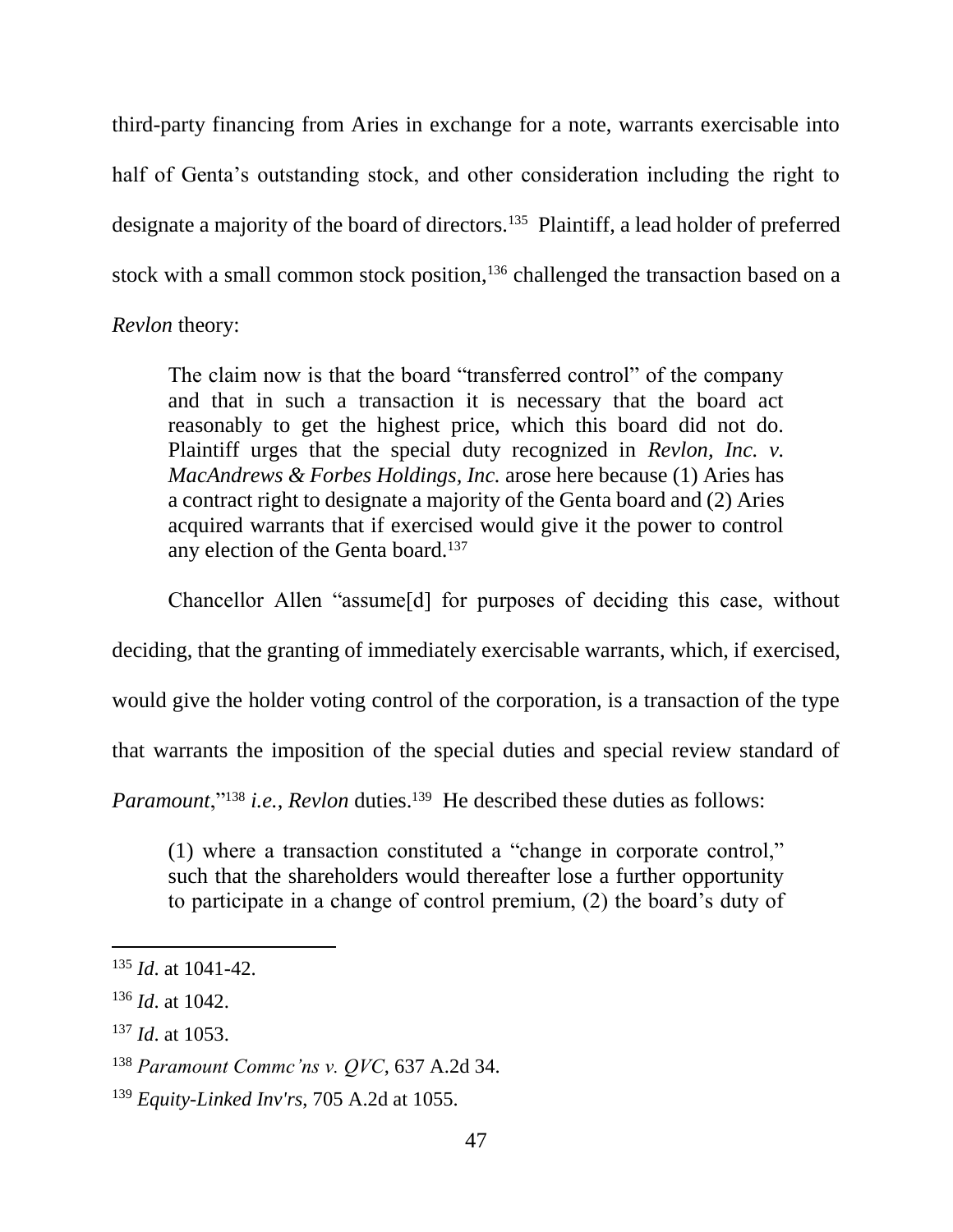third-party financing from Aries in exchange for a note, warrants exercisable into half of Genta's outstanding stock, and other consideration including the right to designate a majority of the board of directors.<sup>135</sup> Plaintiff, a lead holder of preferred stock with a small common stock position,<sup>136</sup> challenged the transaction based on a *Revlon* theory:

The claim now is that the board "transferred control" of the company and that in such a transaction it is necessary that the board act reasonably to get the highest price, which this board did not do. Plaintiff urges that the special duty recognized in *Revlon, Inc. v. MacAndrews & Forbes Holdings, Inc.* arose here because (1) Aries has a contract right to designate a majority of the Genta board and (2) Aries acquired warrants that if exercised would give it the power to control any election of the Genta board.<sup>137</sup>

Chancellor Allen "assume[d] for purposes of deciding this case, without

deciding, that the granting of immediately exercisable warrants, which, if exercised,

would give the holder voting control of the corporation, is a transaction of the type

that warrants the imposition of the special duties and special review standard of

Paramount,"<sup>138</sup> *i.e.*, *Revlon* duties.<sup>139</sup> He described these duties as follows:

(1) where a transaction constituted a "change in corporate control," such that the shareholders would thereafter lose a further opportunity to participate in a change of control premium, (2) the board's duty of

<sup>135</sup> *Id*. at 1041-42.

<sup>136</sup> *Id*. at 1042.

<sup>137</sup> *Id*. at 1053.

<sup>138</sup> *Paramount Commc'ns v. QVC*, 637 A.2d 34.

<sup>139</sup> *Equity-Linked Inv'rs*, 705 A.2d at 1055.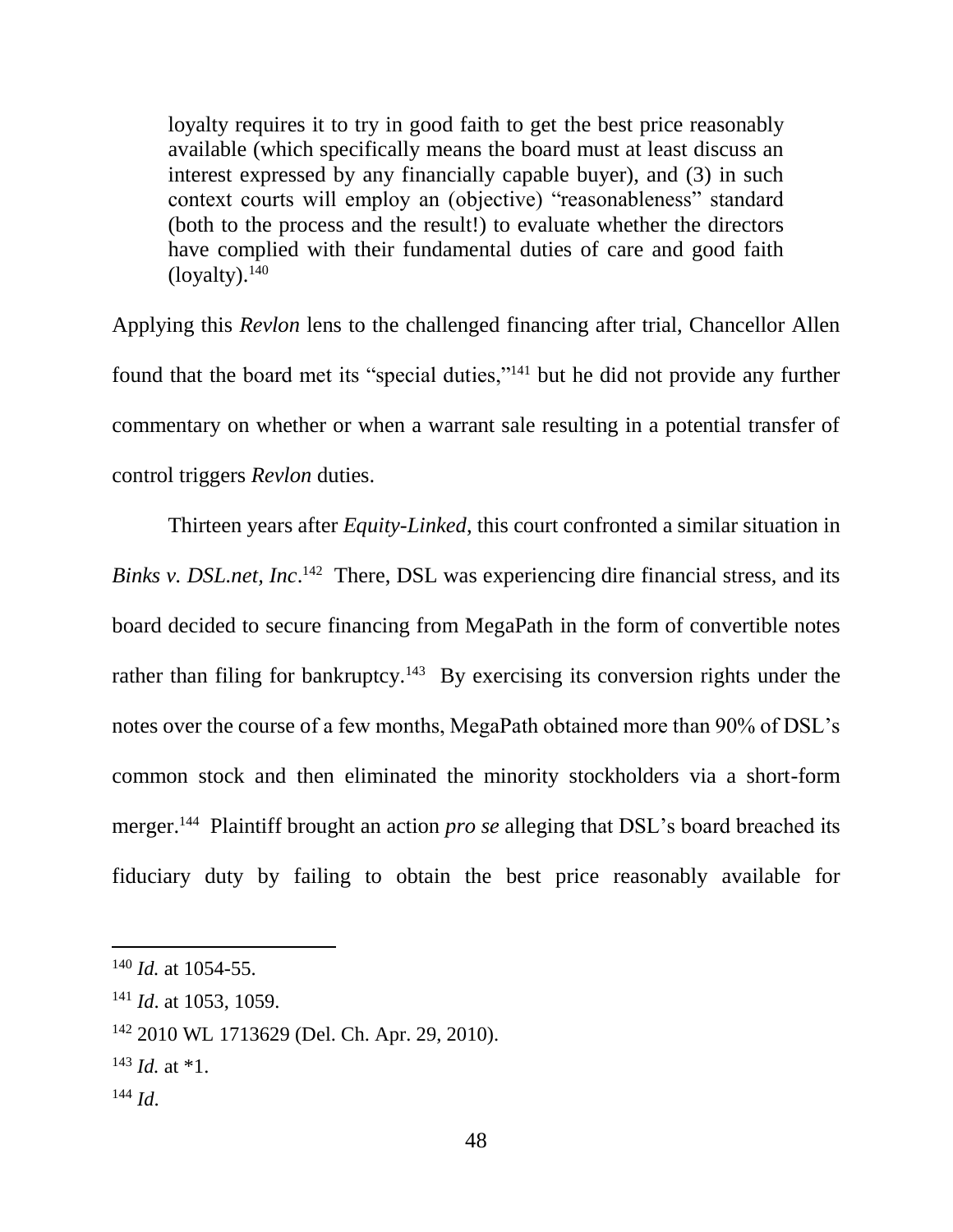loyalty requires it to try in good faith to get the best price reasonably available (which specifically means the board must at least discuss an interest expressed by any financially capable buyer), and (3) in such context courts will employ an (objective) "reasonableness" standard (both to the process and the result!) to evaluate whether the directors have complied with their fundamental duties of care and good faith  $(logality).<sup>140</sup>$ 

Applying this *Revlon* lens to the challenged financing after trial, Chancellor Allen found that the board met its "special duties,"<sup>141</sup> but he did not provide any further commentary on whether or when a warrant sale resulting in a potential transfer of control triggers *Revlon* duties.

Thirteen years after *Equity-Linked*, this court confronted a similar situation in *Binks v. DSL.net, Inc.*<sup>142</sup> There, DSL was experiencing dire financial stress, and its board decided to secure financing from MegaPath in the form of convertible notes rather than filing for bankruptcy.<sup>143</sup> By exercising its conversion rights under the notes over the course of a few months, MegaPath obtained more than 90% of DSL's common stock and then eliminated the minority stockholders via a short-form merger.<sup>144</sup> Plaintiff brought an action *pro se* alleging that DSL's board breached its fiduciary duty by failing to obtain the best price reasonably available for

- $143$  *Id.* at  $*1$ .
- <sup>144</sup> *Id*.

<sup>140</sup> *Id.* at 1054-55.

<sup>141</sup> *Id*. at 1053, 1059.

<sup>142</sup> 2010 WL 1713629 (Del. Ch. Apr. 29, 2010).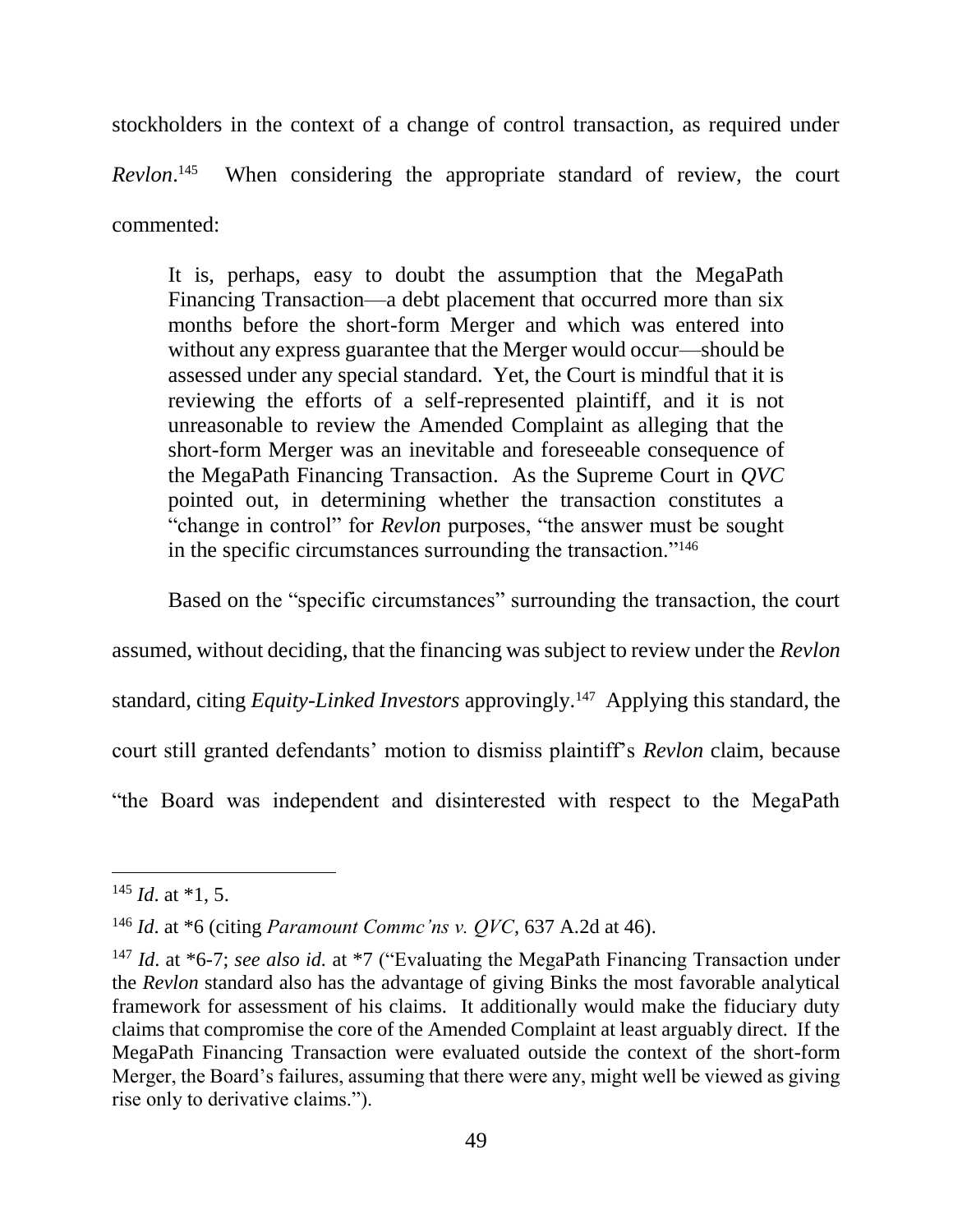stockholders in the context of a change of control transaction, as required under *Revlon*. 145 When considering the appropriate standard of review, the court commented:

It is, perhaps, easy to doubt the assumption that the MegaPath Financing Transaction—a debt placement that occurred more than six months before the short-form Merger and which was entered into without any express guarantee that the Merger would occur—should be assessed under any special standard. Yet, the Court is mindful that it is reviewing the efforts of a self-represented plaintiff, and it is not unreasonable to review the Amended Complaint as alleging that the short-form Merger was an inevitable and foreseeable consequence of the MegaPath Financing Transaction. As the Supreme Court in *QVC*  pointed out, in determining whether the transaction constitutes a "change in control" for *Revlon* purposes, "the answer must be sought in the specific circumstances surrounding the transaction."<sup>146</sup>

Based on the "specific circumstances" surrounding the transaction, the court

assumed, without deciding, that the financing was subject to review under the *Revlon* 

standard, citing *Equity-Linked Investors* approvingly.<sup>147</sup> Applying this standard, the

court still granted defendants' motion to dismiss plaintiff's *Revlon* claim, because

"the Board was independent and disinterested with respect to the MegaPath

 $^{145}$  *Id.* at \*1, 5.

<sup>146</sup> *Id*. at \*6 (citing *Paramount Commc'ns v. QVC*, 637 A.2d at 46).

<sup>147</sup> *Id*. at \*6-7; *see also id.* at \*7 ("Evaluating the MegaPath Financing Transaction under the *Revlon* standard also has the advantage of giving Binks the most favorable analytical framework for assessment of his claims. It additionally would make the fiduciary duty claims that compromise the core of the Amended Complaint at least arguably direct. If the MegaPath Financing Transaction were evaluated outside the context of the short-form Merger, the Board's failures, assuming that there were any, might well be viewed as giving rise only to derivative claims.").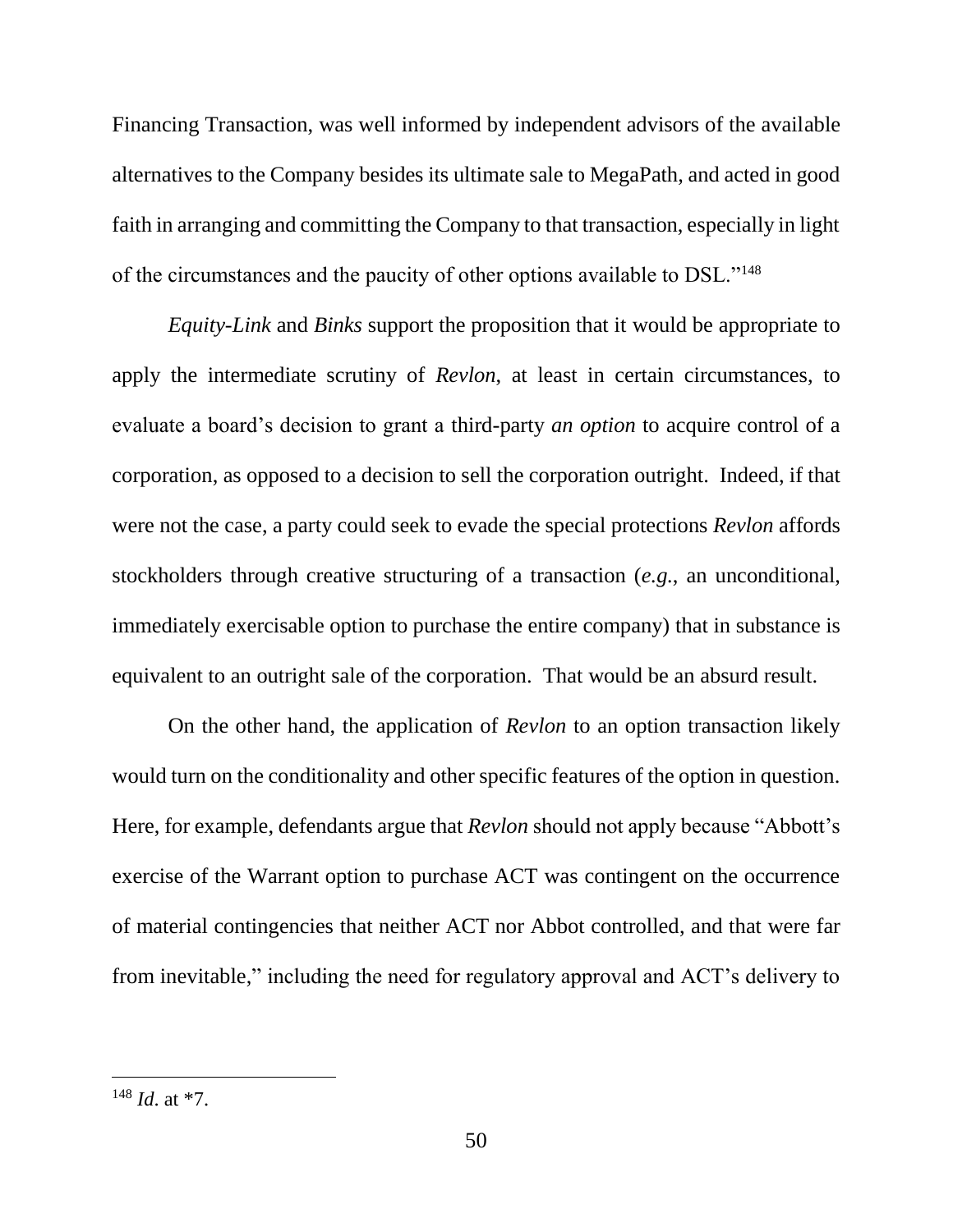Financing Transaction, was well informed by independent advisors of the available alternatives to the Company besides its ultimate sale to MegaPath, and acted in good faith in arranging and committing the Company to that transaction, especially in light of the circumstances and the paucity of other options available to DSL."<sup>148</sup>

*Equity-Link* and *Binks* support the proposition that it would be appropriate to apply the intermediate scrutiny of *Revlon*, at least in certain circumstances, to evaluate a board's decision to grant a third-party *an option* to acquire control of a corporation, as opposed to a decision to sell the corporation outright. Indeed, if that were not the case, a party could seek to evade the special protections *Revlon* affords stockholders through creative structuring of a transaction (*e.g.*, an unconditional, immediately exercisable option to purchase the entire company) that in substance is equivalent to an outright sale of the corporation. That would be an absurd result.

On the other hand, the application of *Revlon* to an option transaction likely would turn on the conditionality and other specific features of the option in question. Here, for example, defendants argue that *Revlon* should not apply because "Abbott's exercise of the Warrant option to purchase ACT was contingent on the occurrence of material contingencies that neither ACT nor Abbot controlled, and that were far from inevitable," including the need for regulatory approval and ACT's delivery to

<sup>148</sup> *Id*. at \*7.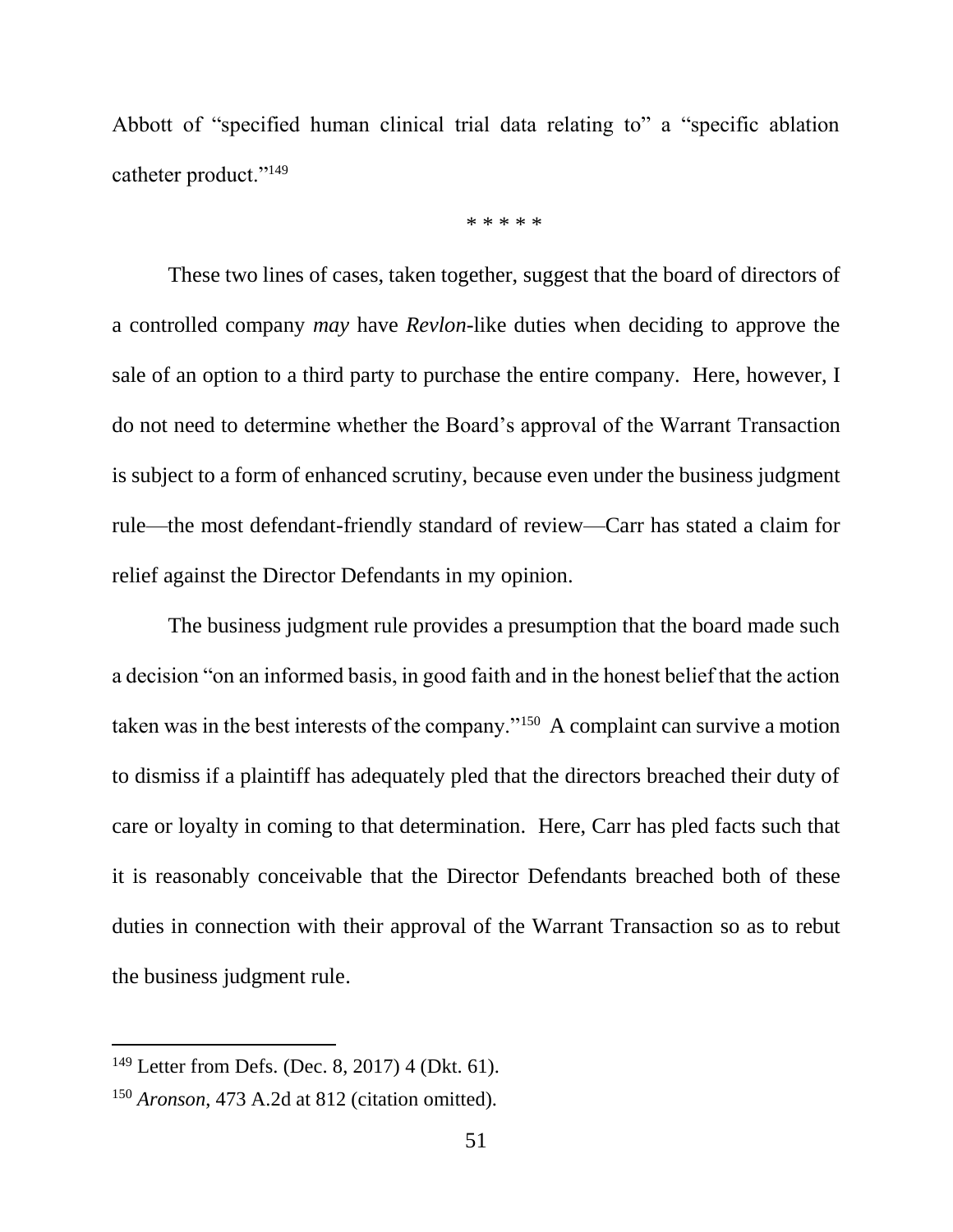Abbott of "specified human clinical trial data relating to" a "specific ablation catheter product."<sup>149</sup>

\* \* \* \* \*

These two lines of cases, taken together, suggest that the board of directors of a controlled company *may* have *Revlon*-like duties when deciding to approve the sale of an option to a third party to purchase the entire company.Here, however, I do not need to determine whether the Board's approval of the Warrant Transaction is subject to a form of enhanced scrutiny, because even under the business judgment rule—the most defendant-friendly standard of review—Carr has stated a claim for relief against the Director Defendants in my opinion.

The business judgment rule provides a presumption that the board made such a decision "on an informed basis, in good faith and in the honest belief that the action taken was in the best interests of the company."<sup>150</sup> A complaint can survive a motion to dismiss if a plaintiff has adequately pled that the directors breached their duty of care or loyalty in coming to that determination. Here, Carr has pled facts such that it is reasonably conceivable that the Director Defendants breached both of these duties in connection with their approval of the Warrant Transaction so as to rebut the business judgment rule.

<sup>149</sup> Letter from Defs. (Dec. 8, 2017) 4 (Dkt. 61).

<sup>150</sup> *Aronson*, 473 A.2d at 812 (citation omitted).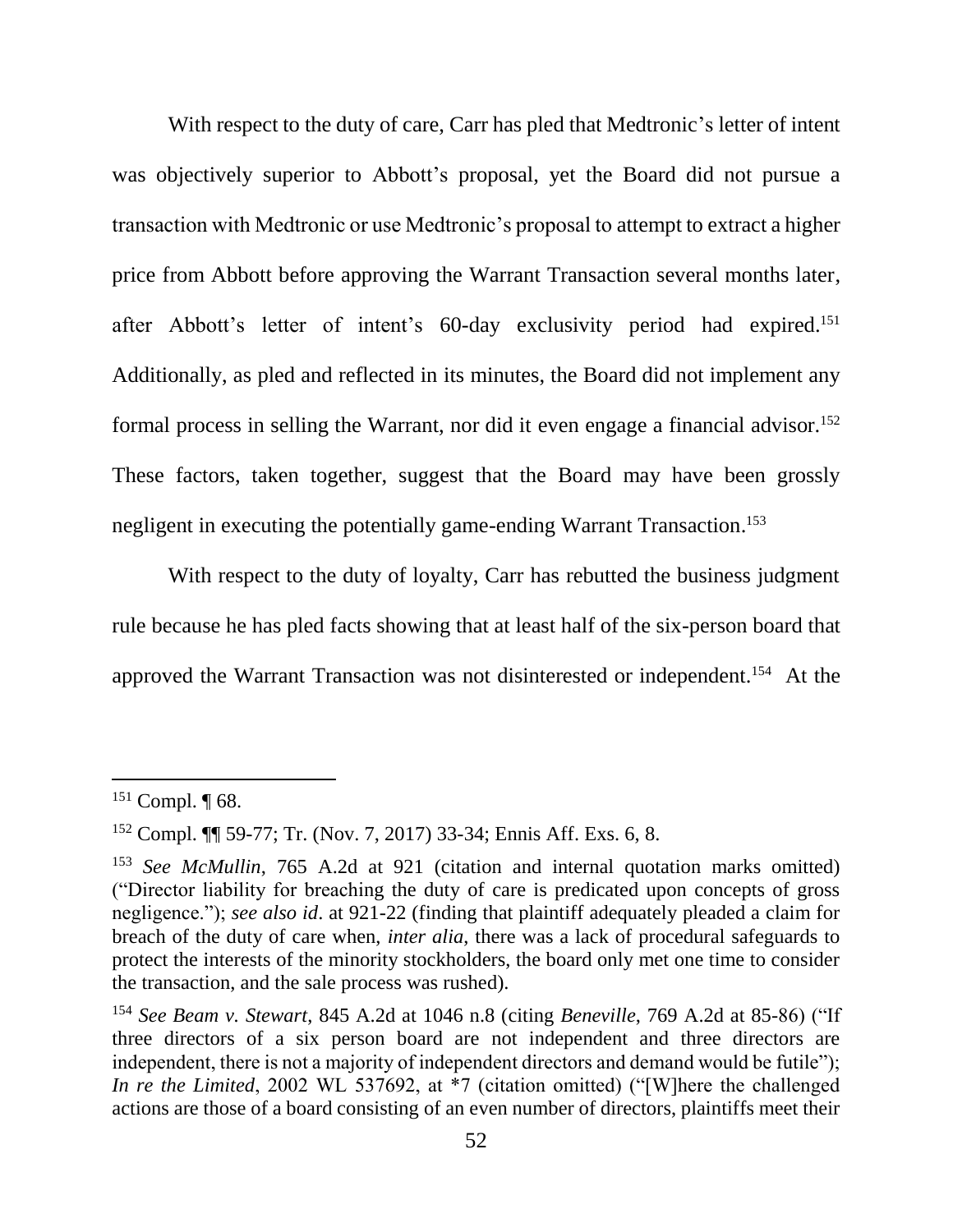With respect to the duty of care, Carr has pled that Medtronic's letter of intent was objectively superior to Abbott's proposal, yet the Board did not pursue a transaction with Medtronic or use Medtronic's proposal to attempt to extract a higher price from Abbott before approving the Warrant Transaction several months later, after Abbott's letter of intent's 60-day exclusivity period had expired. 151 Additionally, as pled and reflected in its minutes, the Board did not implement any formal process in selling the Warrant, nor did it even engage a financial advisor.<sup>152</sup> These factors, taken together, suggest that the Board may have been grossly negligent in executing the potentially game-ending Warrant Transaction. 153

With respect to the duty of loyalty, Carr has rebutted the business judgment rule because he has pled facts showing that at least half of the six-person board that approved the Warrant Transaction was not disinterested or independent.<sup>154</sup> At the

 $151$  Compl.  $\P$  68.

<sup>152</sup> Compl. ¶¶ 59-77; Tr. (Nov. 7, 2017) 33-34; Ennis Aff. Exs. 6, 8.

<sup>153</sup> *See McMullin*, 765 A.2d at 921 (citation and internal quotation marks omitted) ("Director liability for breaching the duty of care is predicated upon concepts of gross negligence."); *see also id*. at 921-22 (finding that plaintiff adequately pleaded a claim for breach of the duty of care when, *inter alia*, there was a lack of procedural safeguards to protect the interests of the minority stockholders, the board only met one time to consider the transaction, and the sale process was rushed).

<sup>154</sup> *See Beam v. Stewart*, 845 A.2d at 1046 n.8 (citing *Beneville*, 769 A.2d at 85-86) ("If three directors of a six person board are not independent and three directors are independent, there is not a majority of independent directors and demand would be futile"); *In re the Limited*, 2002 WL 537692, at \*7 (citation omitted) ("[W]here the challenged actions are those of a board consisting of an even number of directors, plaintiffs meet their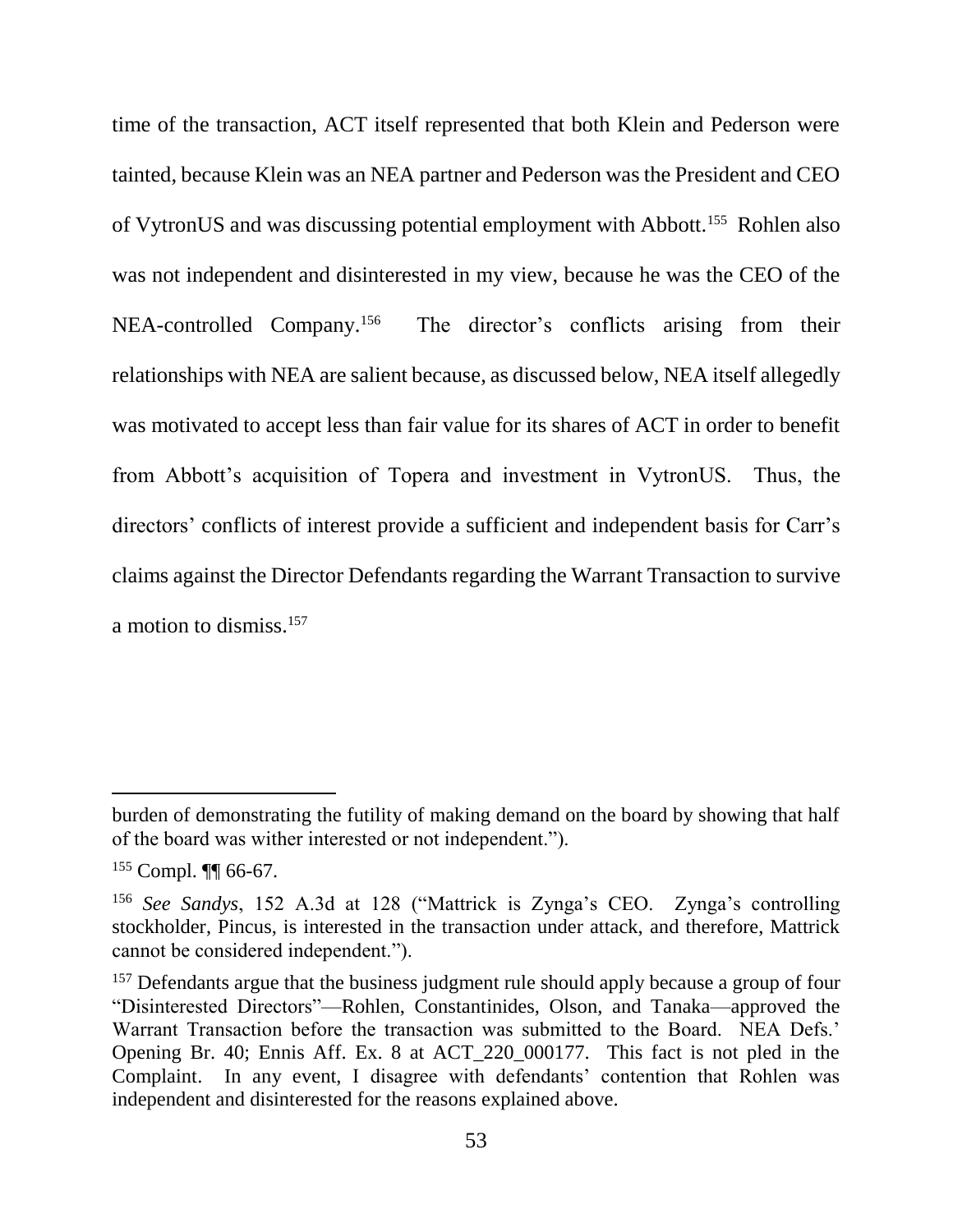time of the transaction, ACT itself represented that both Klein and Pederson were tainted, because Klein was an NEA partner and Pederson was the President and CEO of VytronUS and was discussing potential employment with Abbott.<sup>155</sup> Rohlen also was not independent and disinterested in my view, because he was the CEO of the NEA-controlled Company.<sup>156</sup> The director's conflicts arising from their relationships with NEA are salient because, as discussed below, NEA itself allegedly was motivated to accept less than fair value for its shares of ACT in order to benefit from Abbott's acquisition of Topera and investment in VytronUS. Thus, the directors' conflicts of interest provide a sufficient and independent basis for Carr's claims against the Director Defendants regarding the Warrant Transaction to survive a motion to dismiss.<sup>157</sup>

burden of demonstrating the futility of making demand on the board by showing that half of the board was wither interested or not independent.").

<sup>155</sup> Compl. ¶¶ 66-67.

<sup>156</sup> *See Sandys*, 152 A.3d at 128 ("Mattrick is Zynga's CEO. Zynga's controlling stockholder, Pincus, is interested in the transaction under attack, and therefore, Mattrick cannot be considered independent.").

<sup>&</sup>lt;sup>157</sup> Defendants argue that the business judgment rule should apply because a group of four "Disinterested Directors"—Rohlen, Constantinides, Olson, and Tanaka—approved the Warrant Transaction before the transaction was submitted to the Board. NEA Defs.' Opening Br. 40; Ennis Aff. Ex. 8 at ACT\_220\_000177. This fact is not pled in the Complaint. In any event, I disagree with defendants' contention that Rohlen was independent and disinterested for the reasons explained above.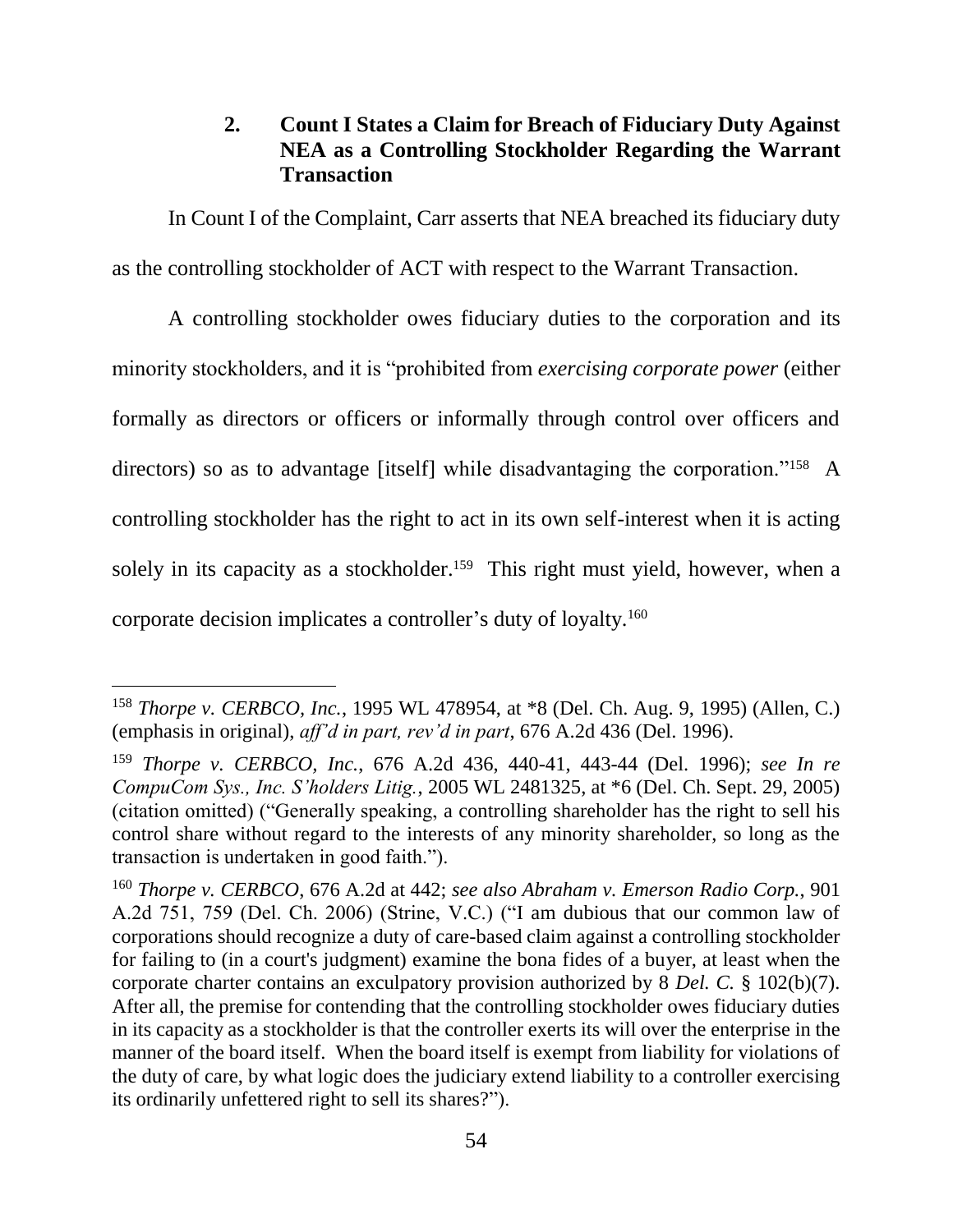# **2. Count I States a Claim for Breach of Fiduciary Duty Against NEA as a Controlling Stockholder Regarding the Warrant Transaction**

In Count I of the Complaint, Carr asserts that NEA breached its fiduciary duty as the controlling stockholder of ACT with respect to the Warrant Transaction.

A controlling stockholder owes fiduciary duties to the corporation and its minority stockholders, and it is "prohibited from *exercising corporate power* (either formally as directors or officers or informally through control over officers and directors) so as to advantage [itself] while disadvantaging the corporation."<sup>158</sup> A controlling stockholder has the right to act in its own self-interest when it is acting solely in its capacity as a stockholder.<sup>159</sup> This right must yield, however, when a corporate decision implicates a controller's duty of loyalty.<sup>160</sup>

<sup>158</sup> *Thorpe v. CERBCO, Inc.*, 1995 WL 478954, at \*8 (Del. Ch. Aug. 9, 1995) (Allen, C.) (emphasis in original), *aff'd in part, rev'd in part*, 676 A.2d 436 (Del. 1996).

<sup>159</sup> *Thorpe v. CERBCO, Inc.*, 676 A.2d 436, 440-41, 443-44 (Del. 1996); *see In re CompuCom Sys., Inc. S'holders Litig.*, 2005 WL 2481325, at \*6 (Del. Ch. Sept. 29, 2005) (citation omitted) ("Generally speaking, a controlling shareholder has the right to sell his control share without regard to the interests of any minority shareholder, so long as the transaction is undertaken in good faith.").

<sup>160</sup> *Thorpe v. CERBCO*, 676 A.2d at 442; *see also Abraham v. Emerson Radio Corp.*, 901 A.2d 751, 759 (Del. Ch. 2006) (Strine, V.C.) ("I am dubious that our common law of corporations should recognize a duty of care-based claim against a controlling stockholder for failing to (in a court's judgment) examine the bona fides of a buyer, at least when the corporate charter contains an exculpatory provision authorized by 8 *Del. C.* § 102(b)(7). After all, the premise for contending that the controlling stockholder owes fiduciary duties in its capacity as a stockholder is that the controller exerts its will over the enterprise in the manner of the board itself. When the board itself is exempt from liability for violations of the duty of care, by what logic does the judiciary extend liability to a controller exercising its ordinarily unfettered right to sell its shares?").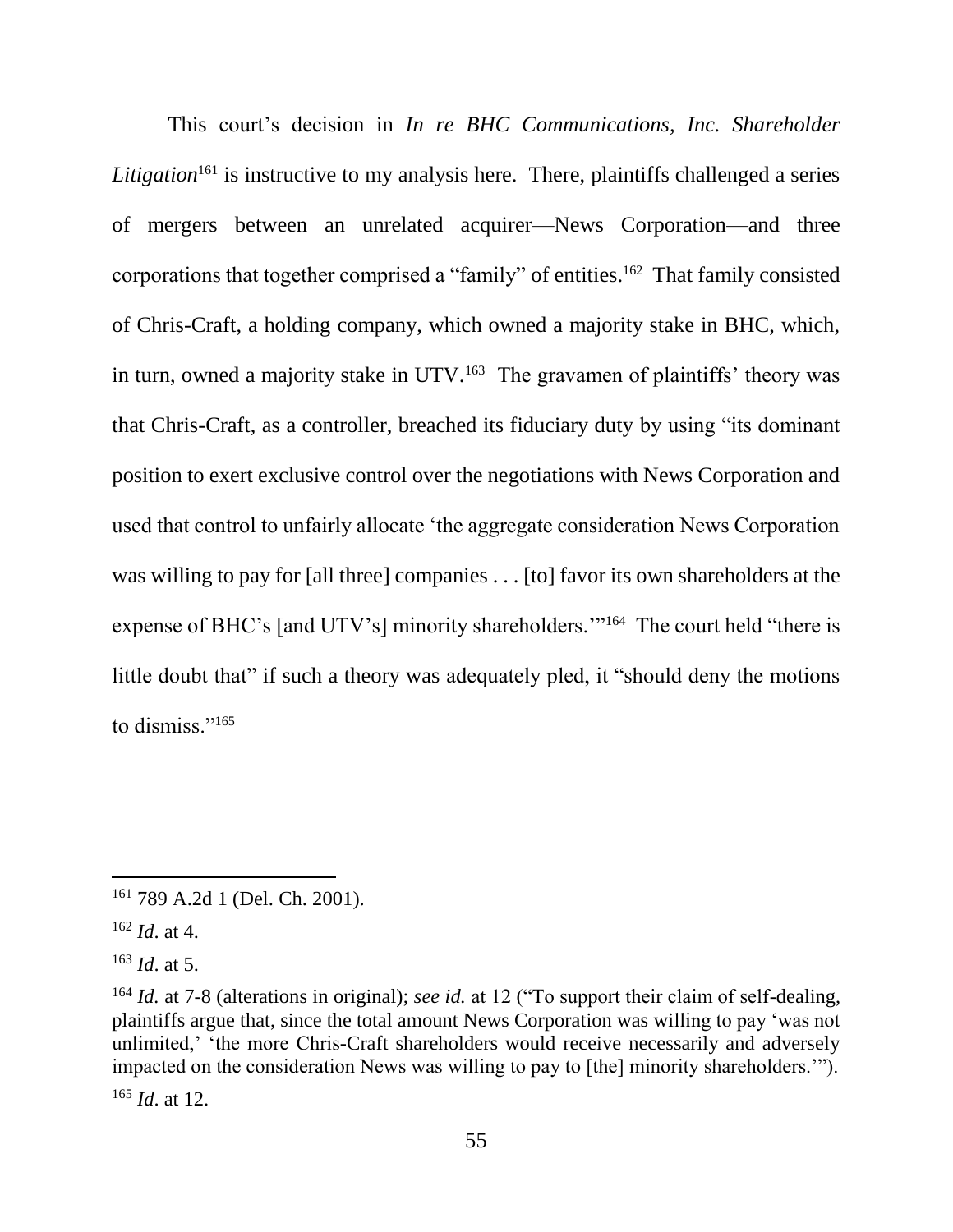This court's decision in *In re BHC Communications, Inc. Shareholder Litigation*<sup>161</sup> is instructive to my analysis here. There, plaintiffs challenged a series of mergers between an unrelated acquirer—News Corporation—and three corporations that together comprised a "family" of entities.<sup>162</sup> That family consisted of Chris-Craft, a holding company, which owned a majority stake in BHC, which, in turn, owned a majority stake in UTV.<sup>163</sup> The gravamen of plaintiffs' theory was that Chris-Craft, as a controller, breached its fiduciary duty by using "its dominant position to exert exclusive control over the negotiations with News Corporation and used that control to unfairly allocate 'the aggregate consideration News Corporation was willing to pay for [all three] companies . . . [to] favor its own shareholders at the expense of BHC's [and UTV's] minority shareholders."<sup>164</sup> The court held "there is little doubt that" if such a theory was adequately pled, it "should deny the motions to dismiss."<sup>165</sup>

<sup>161</sup> 789 A.2d 1 (Del. Ch. 2001).

<sup>162</sup> *Id*. at 4.

<sup>163</sup> *Id*. at 5.

<sup>164</sup> *Id.* at 7-8 (alterations in original); *see id.* at 12 ("To support their claim of self-dealing, plaintiffs argue that, since the total amount News Corporation was willing to pay 'was not unlimited,' 'the more Chris-Craft shareholders would receive necessarily and adversely impacted on the consideration News was willing to pay to [the] minority shareholders.'"). <sup>165</sup> *Id*. at 12.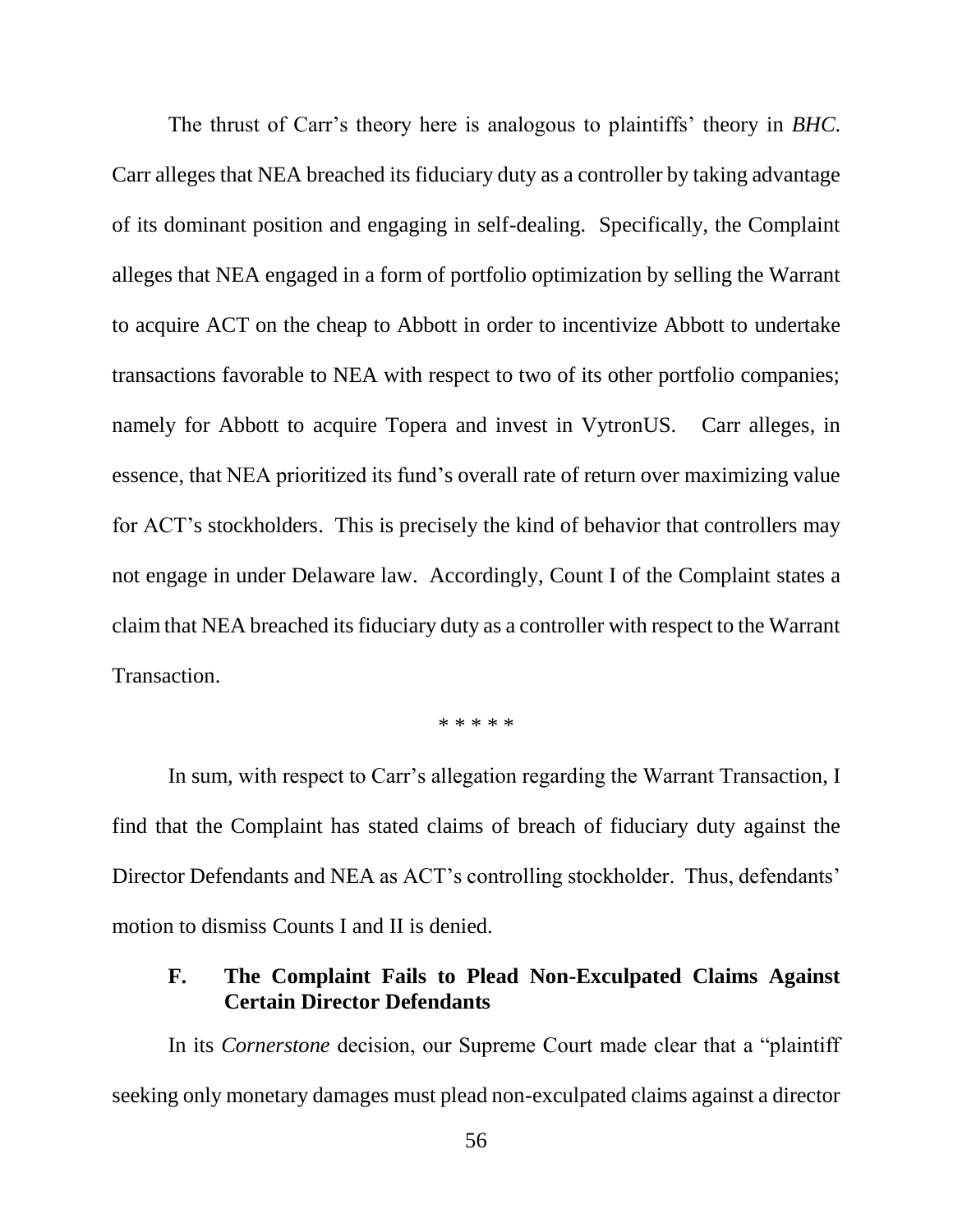The thrust of Carr's theory here is analogous to plaintiffs' theory in *BHC*. Carr alleges that NEA breached its fiduciary duty as a controller by taking advantage of its dominant position and engaging in self-dealing. Specifically, the Complaint alleges that NEA engaged in a form of portfolio optimization by selling the Warrant to acquire ACT on the cheap to Abbott in order to incentivize Abbott to undertake transactions favorable to NEA with respect to two of its other portfolio companies; namely for Abbott to acquire Topera and invest in VytronUS. Carr alleges, in essence, that NEA prioritized its fund's overall rate of return over maximizing value for ACT's stockholders. This is precisely the kind of behavior that controllers may not engage in under Delaware law. Accordingly, Count I of the Complaint states a claim that NEA breached its fiduciary duty as a controller with respect to the Warrant Transaction.

\* \* \* \* \*

In sum, with respect to Carr's allegation regarding the Warrant Transaction, I find that the Complaint has stated claims of breach of fiduciary duty against the Director Defendants and NEA as ACT's controlling stockholder. Thus, defendants' motion to dismiss Counts I and II is denied.

# **F. The Complaint Fails to Plead Non-Exculpated Claims Against Certain Director Defendants**

In its *Cornerstone* decision, our Supreme Court made clear that a "plaintiff seeking only monetary damages must plead non-exculpated claims against a director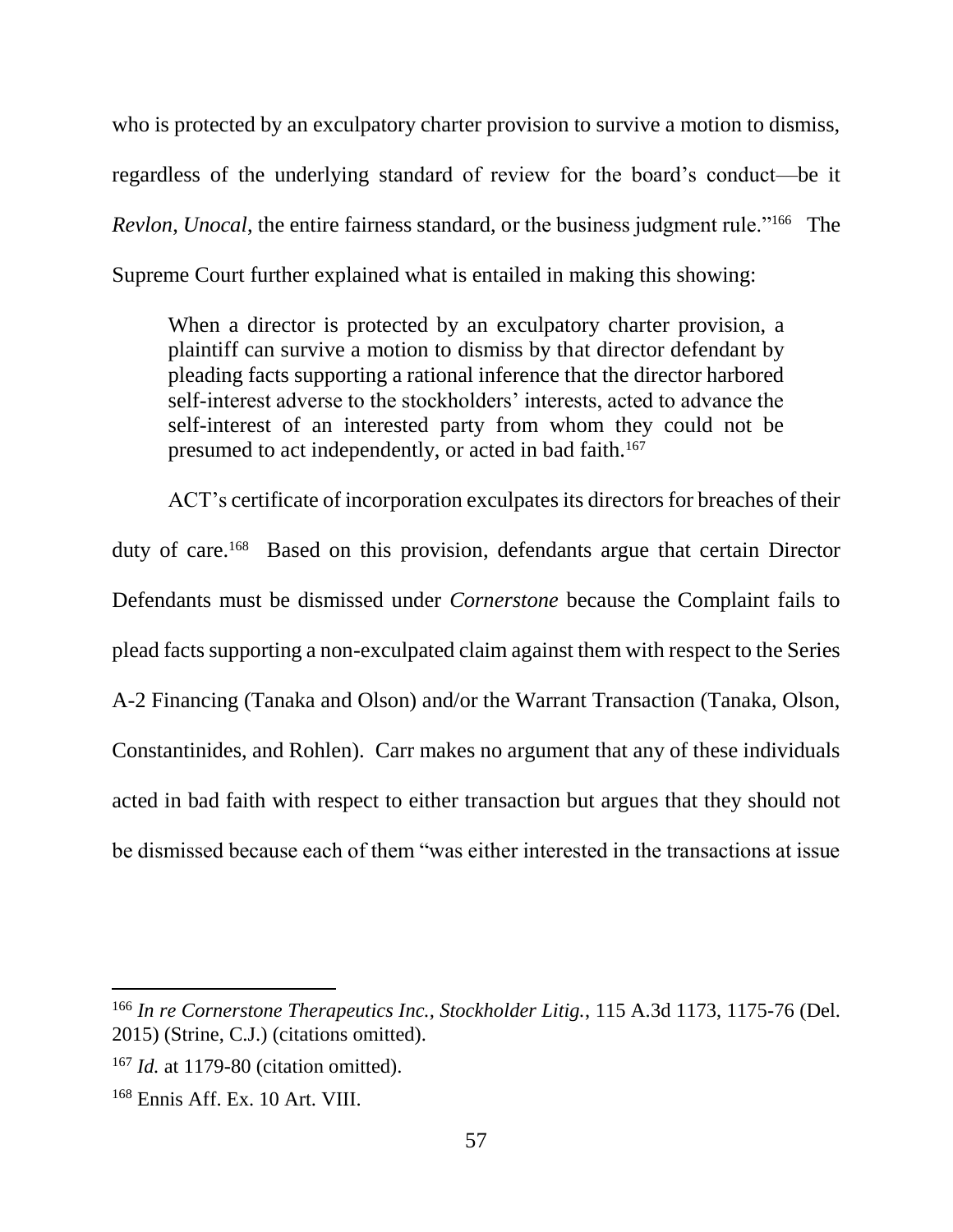who is protected by an exculpatory charter provision to survive a motion to dismiss, regardless of the underlying standard of review for the board's conduct—be it *Revlon*, *Unocal*, the entire fairness standard, or the business judgment rule."<sup>166</sup> The Supreme Court further explained what is entailed in making this showing:

When a director is protected by an exculpatory charter provision, a plaintiff can survive a motion to dismiss by that director defendant by pleading facts supporting a rational inference that the director harbored self-interest adverse to the stockholders' interests, acted to advance the self-interest of an interested party from whom they could not be presumed to act independently, or acted in bad faith.<sup>167</sup>

ACT's certificate of incorporation exculpates its directors for breaches of their duty of care.<sup>168</sup> Based on this provision, defendants argue that certain Director Defendants must be dismissed under *Cornerstone* because the Complaint fails to plead facts supporting a non-exculpated claim against them with respect to the Series A-2 Financing (Tanaka and Olson) and/or the Warrant Transaction (Tanaka, Olson, Constantinides, and Rohlen). Carr makes no argument that any of these individuals acted in bad faith with respect to either transaction but argues that they should not be dismissed because each of them "was either interested in the transactions at issue

<sup>166</sup> *In re Cornerstone Therapeutics Inc., Stockholder Litig.*, 115 A.3d 1173, 1175-76 (Del. 2015) (Strine, C.J.) (citations omitted).

<sup>167</sup> *Id.* at 1179-80 (citation omitted).

<sup>168</sup> Ennis Aff. Ex. 10 Art. VIII.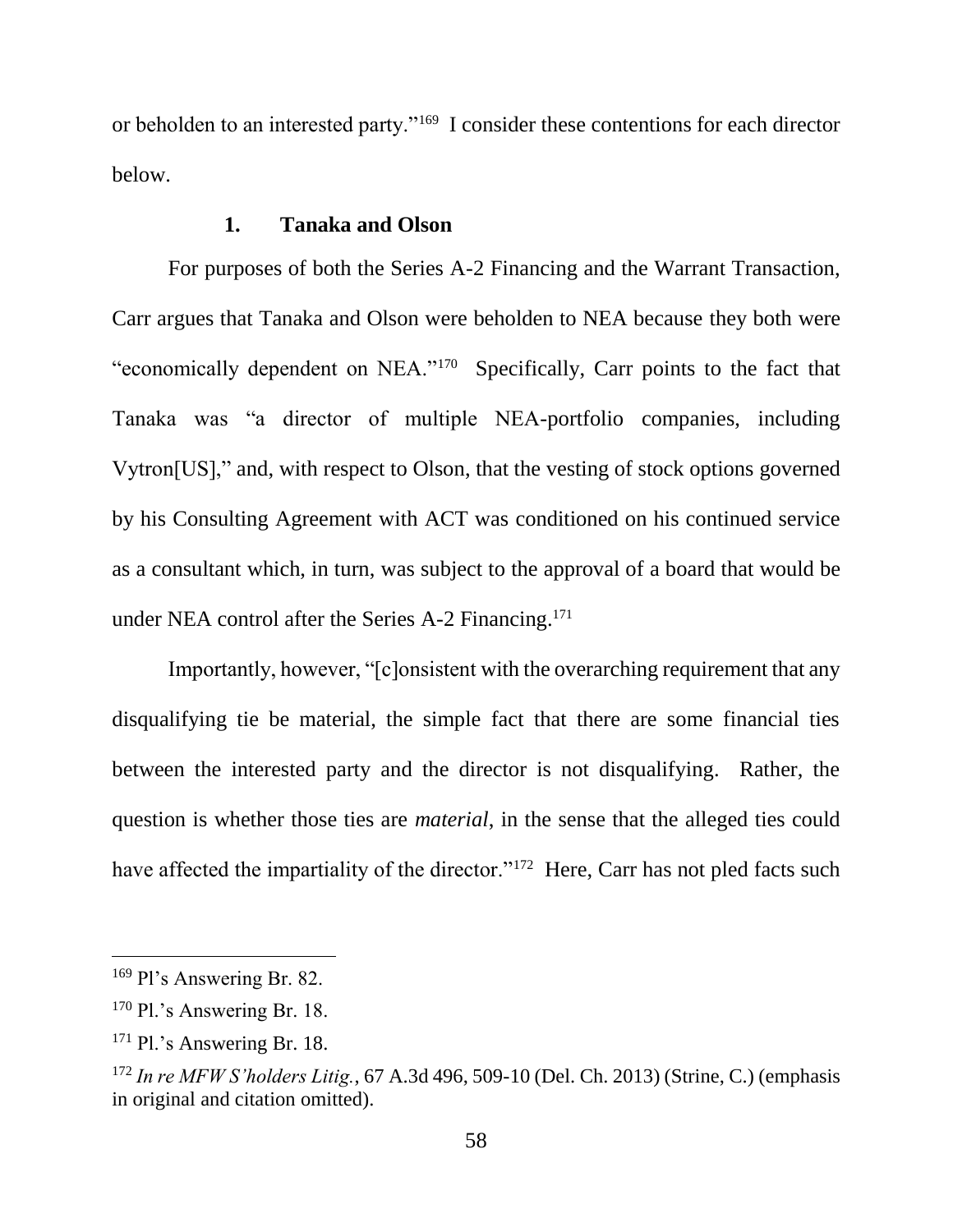or beholden to an interested party."<sup>169</sup> I consider these contentions for each director below.

### **1. Tanaka and Olson**

For purposes of both the Series A-2 Financing and the Warrant Transaction, Carr argues that Tanaka and Olson were beholden to NEA because they both were "economically dependent on NEA."<sup>170</sup> Specifically, Carr points to the fact that Tanaka was "a director of multiple NEA-portfolio companies, including Vytron[US]," and, with respect to Olson, that the vesting of stock options governed by his Consulting Agreement with ACT was conditioned on his continued service as a consultant which, in turn, was subject to the approval of a board that would be under NEA control after the Series A-2 Financing.<sup>171</sup>

Importantly, however, "[c]onsistent with the overarching requirement that any disqualifying tie be material, the simple fact that there are some financial ties between the interested party and the director is not disqualifying. Rather, the question is whether those ties are *material*, in the sense that the alleged ties could have affected the impartiality of the director."<sup>172</sup> Here, Carr has not pled facts such

<sup>169</sup> Pl's Answering Br. 82.

<sup>&</sup>lt;sup>170</sup> Pl.'s Answering Br. 18.

<sup>171</sup> Pl.'s Answering Br. 18.

<sup>172</sup> *In re MFW S'holders Litig.*, 67 A.3d 496, 509-10 (Del. Ch. 2013) (Strine, C.) (emphasis in original and citation omitted).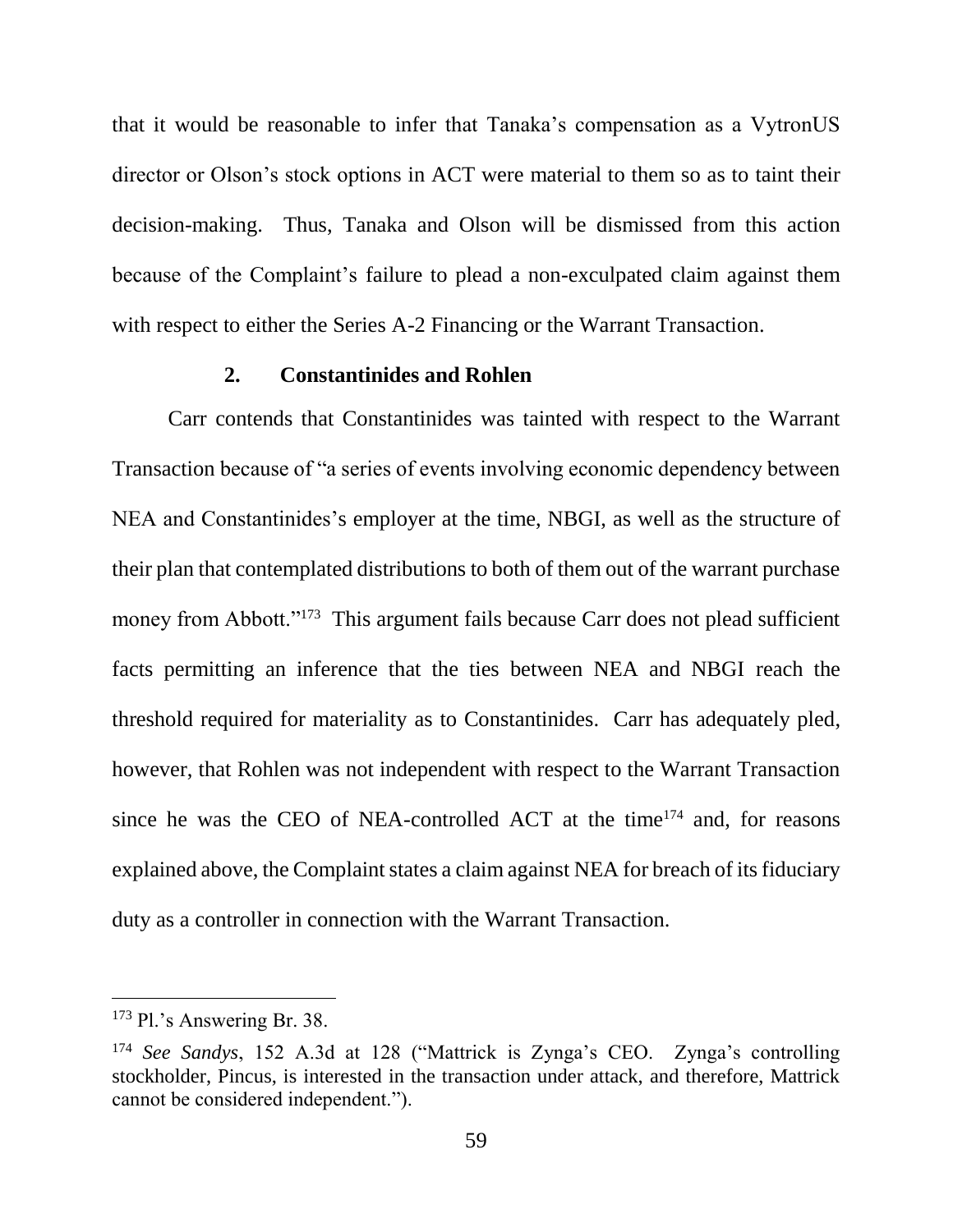that it would be reasonable to infer that Tanaka's compensation as a VytronUS director or Olson's stock options in ACT were material to them so as to taint their decision-making. Thus, Tanaka and Olson will be dismissed from this action because of the Complaint's failure to plead a non-exculpated claim against them with respect to either the Series A-2 Financing or the Warrant Transaction.

#### **2. Constantinides and Rohlen**

Carr contends that Constantinides was tainted with respect to the Warrant Transaction because of "a series of events involving economic dependency between NEA and Constantinides's employer at the time, NBGI, as well as the structure of their plan that contemplated distributions to both of them out of the warrant purchase money from Abbott."<sup>173</sup> This argument fails because Carr does not plead sufficient facts permitting an inference that the ties between NEA and NBGI reach the threshold required for materiality as to Constantinides. Carr has adequately pled, however, that Rohlen was not independent with respect to the Warrant Transaction since he was the CEO of NEA-controlled ACT at the time<sup>174</sup> and, for reasons explained above, the Complaint states a claim against NEA for breach of its fiduciary duty as a controller in connection with the Warrant Transaction.

<sup>173</sup> Pl.'s Answering Br. 38.

<sup>174</sup> *See Sandys*, 152 A.3d at 128 ("Mattrick is Zynga's CEO. Zynga's controlling stockholder, Pincus, is interested in the transaction under attack, and therefore, Mattrick cannot be considered independent.").